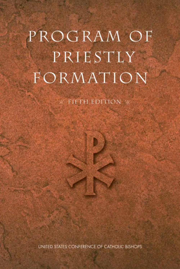# PROGRAM OF PRIESTLY FORMATION

**FIFTH EDITION &** 

UNITED STATES CONFERENCE OF CATHOLIC BISHOPS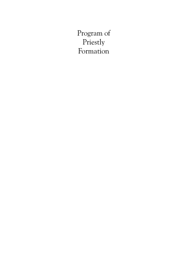Program of Priestly Formation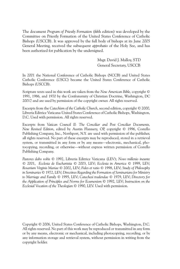The document *Program of Priestly Formation* (fifth edition) was developed by the Committee on Priestly Formation of the United States Conference of Catholic Bishops (USCCB). It was approved by the full body of bishops at its June 2005 General Meeting, received the subsequent *approbatio* of the Holy See, and has been authorized for publication by the undersigned.

> Msgr. David J. Malloy, STD General Secretary, USCCB

In 2001 the National Conference of Catholic Bishops (NCCB) and United States Catholic Conference (USCC) became the United States Conference of Catholic Bishops (USCCB).

Scripture texts used in this work are taken from the *New American Bible,* copyright © 1991, 1986, and 1970 by the Confraternity of Christian Doctrine, Washington, DC 20017 and are used by permission of the copyright owner. All rights reserved.

Excerpts from the *Catechism of the Catholic Church*, second edition, copyright © 2000, Libreria Editrice Vaticana-United States Conference of Catholic Bishops, Washington, D.C. Used with permission. All rights reserved.

Excerpts from *Vatican Council II: The Conciliar and Post Conciliar Documents, New Revised Edition*, edited by Austin Flannery, OP, copyright © 1996, Costello Publishing Company, Inc., Northport, N.Y. are used with permission of the publisher, all rights reserved. No part of these excerpts may be reproduced, stored in a retrieval system, or transmitted in any form or by any means—electronic, mechanical, photocopying, recording, or otherwise—without express written permission of Costello Publishing Company.

*Pastores dabo vobis* © 1992, Libreria Editrice Vaticana (LEV); *Novo millenio ineunte*  © 2001, *Ecclesia de Eucharistia* © 2003, LEV; *Ecclesia in America* © 1999, LEV; *Rosarium Virginis Mariae* © 2002, LEV; *Fides et ratio* © 1998, LEV; *Study of Philosophy in Seminaries* © 1972, LEV; *Directives Regarding the Formation of Seminarians for Ministry to Marriage and Family* © 1995, LEV; *Catechesi tradendae* © 1979, LEV; *Directory for the Application of Principles and Norms for Ecumenism* © 1992, LEV; *Instruction on the Ecclesial Vocation of the Theologian* © 1990, LEV. Used with permission.

Copyright © 2006, United States Conference of Catholic Bishops, Washington, D.C. All rights reserved. No part of this work may be reproduced or transmitted in any form or by any means, electronic or mechanical, including photocopying, recording, or by any information storage and retrieval system, without permission in writing from the copyright holder.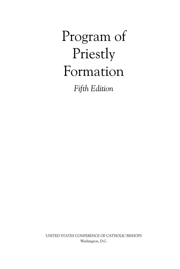Program of Priestly Formation *Fifth Edition*

UNITED STATES CONFERENCE OF CATHOLIC BISHOPS Washington, D.C.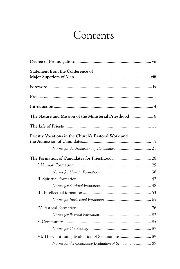# Contents

| <b>Statement from the Conference of</b>                |  |
|--------------------------------------------------------|--|
|                                                        |  |
|                                                        |  |
|                                                        |  |
| The Nature and Mission of the Ministerial Priesthood 8 |  |
|                                                        |  |
| Priestly Vocations in the Church's Pastoral Work and   |  |
|                                                        |  |
|                                                        |  |
|                                                        |  |
|                                                        |  |
|                                                        |  |
|                                                        |  |
|                                                        |  |
|                                                        |  |
|                                                        |  |
|                                                        |  |
|                                                        |  |
|                                                        |  |
| VI. The Continuing Evaluation of Seminarians 89        |  |
| Norms for the Continuing Evaluation of Seminarians  89 |  |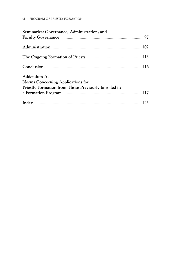#### vi | PROGRAM OF PRIESTLY FORMATION

| Seminaries: Governance, Administration, and          |  |
|------------------------------------------------------|--|
|                                                      |  |
|                                                      |  |
|                                                      |  |
|                                                      |  |
| Addendum A.                                          |  |
| Norms Concerning Applications for                    |  |
| Priestly Formation from Those Previously Enrolled in |  |
|                                                      |  |
|                                                      |  |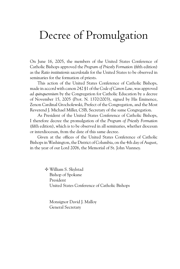### Decree of Promulgation

On June 16, 2005, the members of the United States Conference of Catholic Bishops approved the *Program of Priestly Formation* (fifth edition) as the *Ratio institutionis sacerdotalis* for the United States to be observed in seminaries for the formation of priests.

This action of the United States Conference of Catholic Bishops, made in accord with canon 242 §1 of the *Code of Canon Law*, was approved *ad quinquennium* by the Congregation for Catholic Education by a decree of November 15, 2005 (Prot. N. 1370/2003), signed by His Eminence, Zenon Cardinal Grocholewski, Prefect of the Congregation, and the Most Reverend J. Michael Miller, CSB, Secretary of the same Congregation.

As President of the United States Conference of Catholic Bishops, I therefore decree the promulgation of the *Program of Priestly Formation*  (fifth edition), which is to be observed in all seminaries, whether diocesan or interdiocesan, from the date of this same decree.

Given at the offices of the United States Conference of Catholic Bishops in Washington, the District of Columbia, on the 4th day of August, in the year of our Lord 2006, the Memorial of St. John Vianney.

> • William S. Skylstad Bishop of Spokane President United States Conference of Catholic Bishops

Monsignor David J. Malloy General Secretary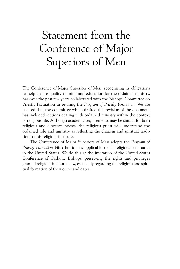# Statement from the Conference of Major Superiors of Men

The Conference of Major Superiors of Men, recognizing its obligations to help ensure quality training and education for the ordained ministry, has over the past few years collaborated with the Bishops' Committee on Priestly Formation in revising the *Program of Priestly Formation*. We are pleased that the committee which drafted this revision of the document has included sections dealing with ordained ministry within the context of religious life. Although academic requirements may be similar for both religious and diocesan priests, the religious priest will understand the ordained role and ministry as reflecting the charism and spiritual traditions of his religious institute.

The Conference of Major Superiors of Men adopts the *Program of Priestly Formation* Fifth Edition as applicable to all religious seminaries in the United States. We do this at the invitation of the United States Conference of Catholic Bishops, preserving the rights and privileges granted religious in church law, especially regarding the religious and spiritual formation of their own candidates.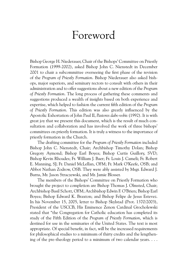### Foreword

Bishop George H. Niederauer, Chair of the Bishops' Committee on Priestly Formation (1999-2002), asked Bishop John C. Nienstedt in December 2001 to chair a subcommittee overseeing the first phase of the revision of the *Program of Priestly Formation*. Bishop Niederauer also asked bishops, major superiors, and seminary rectors to consult with others in their administration and to offer suggestions about a new edition of the *Program of Priestly Formation*. The long process of gathering these comments and suggestions produced a wealth of insights based on both experience and expertise, which helped to fashion the current fifth edition of the *Program of Priestly Formation*. This edition was also greatly influenced by the Apostolic Exhortation of John Paul II, *Pastores dabo vobis* (1992). It is with great joy that we present this document, which is the result of much consultation and collaboration and has involved the work of three bishops' committees on priestly formation. It is truly a witness to the importance of priestly formation in the Church.

The drafting committee for the *Program of Priestly Formation* included Bishop John C. Nienstedt, Chair; Archbishop Timothy Dolan; Bishop Gregory Aymond; Bishop Earl Boyea; Bishop Curtis Guillory, SVD; Bishop Kevin Rhoades; Fr. William J. Baer; Fr. Louis J. Cameli; Fr. Robert E. Manning, SJ; Fr. Daniel McLellan, OFM; Fr. Mark O'Keefe, OSB; and Abbot Nathan Zodrow, OSB. They were ably assisted by Msgr. Edward J. Burns, Mr. Jason Straczewski, and Mr. Jamie Blosser.

The members of the Bishops' Committee on Priestly Formation who brought the project to completion are Bishop Thomas J. Olmsted, Chair; Archbishop Basil Schott, OFM; Archbishop Edwin F. O'Brien; Bishop Earl Boyea; Bishop Edward K. Braxton; and Bishop Felipe de Jesus Estevez. In his November 15, 2005, letter to Bishop Skylstad (Prot. 1370/2003), President of the USCCB, His Eminence Zenon Cardinal Grocholewski stated that "the Congregation for Catholic education has completed its study of the Fifth Edition of the *Program of Priestly Formation*, which is destined for use in the seminaries of the United States. The text is most appropriate. Of special benefit, in fact, will be the increased requirements for philosophical studies to a minimum of thirty credits and the lengthening of the pre-theology period to a minimum of two calendar years. . . .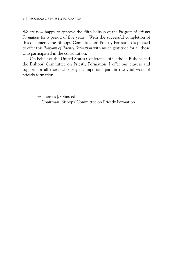We are now happy to approve the Fifth Edition of the *Program of Priestly Formation* for a period of five years." With the successful completion of this document, the Bishops' Committee on Priestly Formation is pleased to offer this *Program of Priestly Formation* with much gratitude for all those who participated in the consultation.

On behalf of the United States Conference of Catholic Bishops and the Bishops' Committee on Priestly Formation, I offer our prayers and support for all those who play an important part in the vital work of priestly formation.

> • Thomas J. Olmsted Chairman, Bishops' Committee on Priestly Formation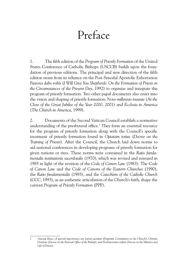### Preface

1. The fifth edition of the *Program of Priestly Formation* of the United States Conference of Catholic Bishops (USCCB) builds upon the foundation of previous editions. The principal and new direction of the fifth edition stems from its reliance on the Post-Synodal Apostolic Exhortation *Pastores dabo vobis* (*I Will Give You Shepherds: On the Formation of Priests in the Circumstances of the Present Day*, 1992) to organize and integrate the program of priestly formation. Two other papal documents also enter into the vision and shaping of priestly formation: *Novo millennio ineunte* (*At the Close of the Great Jubilee of the Year 2000*, 2001) and *Ecclesia in America* (*The Church in America*, 1999).

2. Documents of the Second Vatican Council establish a normative understanding of the presbyteral office.<sup>1</sup> They form an essential resource for the program of priestly formation along with the Council's specific treatment of priestly formation found in *Optatam totius* (*Decree on the Training of Priests*). After the Council, the Church laid down norms to aid national conferences in developing programs of priestly formation for given nations or rites. These norms were contained in the *Ratio fundamentalis institutionis sacerdotalis* (1970), which was revised and reissued in 1985 in light of the revision of the *Code of Canon Law* (1983). The *Code of Canon Law* and the *Code of Canons of the Eastern Churches* (1990), the *Ratio fundamentalis* (1985), and the *Catechism of the Catholic Church*  (CCC, 1993), as an authentic articulation of the Church's faith, shape the current *Program of Priestly Formation* (PPF).

<sup>1</sup> Among these, of special importance are *Lumen gentium* (*Dogmatic Constitution on the Church*); *Christus Dominus* (*Decree on the Pastoral Office of the Bishop*); and *Presbyterorum ordinis* (*Decree on the Ministry and Life of Priests*).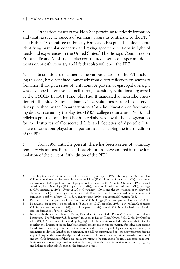3. Other documents of the Holy See pertaining to priestly formation and treating specific aspects of seminary programs contribute to the PPF.2 The Bishops' Committee on Priestly Formation has published documents identifying particular concerns and giving specific directions in light of needs and experiences in the United States.3 The Bishops' Committee on Priestly Life and Ministry has also contributed a series of important documents on priestly ministry and life that also influence the PPF.4

4. In addition to documents, the various editions of the PPF, including this one, have benefited immensely from direct reflection on seminary formation through a series of visitations. A pattern of episcopal oversight was developed after the Council through seminary visitations organized by the USCCB. In 1981, Pope John Paul II mandated an apostolic visitation of all United States seminaries. The visitations resulted in observations published by the Congregation for Catholic Education on freestanding diocesan seminary theologates (1986), college seminaries (1988), and religious priestly formation (1990) in collaboration with the Congregation for the Institutes of Consecrated Life and Societies of Apostolic Life. These observations played an important role in shaping the fourth edition of the PPF.

5. From 1995 until the present, there has been a series of voluntary seminary visitations. Results of these visitations have entered into the formulation of the current, fifth edition of the PPF.<sup>5</sup>

<sup>2</sup> The Holy See has given direction on the teaching of philosophy (1972), theology (1976), canon law (1975), mutual relations between bishops and religious (1978), liturgical formation (1979), social communications (1986), pastoral care of people on the move (1986), Oriental Churches (1987), social doctrine (1988), Mariology (1988), patristics (1989), formation in religious institutes (1990), marriage (1995), ecumenism (1998), *Fraternal Life in Community* (1994), and the interrelation of theology and philosophy (1998). The Congregation for Catholic Education has also commented on other aspects of formation, notably celibacy (1974), *Sapientia christiana* (1979), and spiritual formation (1980).

<sup>3</sup> Documents, for example, on spiritual formation (1983), liturgy (1984), and pastoral formation (1985).

<sup>4</sup> Documents, for example, on preaching (1982), stress (1982), sexuality (1983), general health of priests (1983), ongoing formation (1984), the role of pastor (1987), morale (1989), and a basic plan for the ongoing formation of priests (2001).

<sup>5</sup> For a synthesis, see Fr. Edward J. Burns, Executive Director of the Bishops' Committee on Priestly Formation, "The Voluntary U.S. Seminary Visitations in Recent Years," *Origins* Vol. 32/ No. 20 (October 24, 2002), 332-335. Some of the findings highlighted by the visitations included these needs: for faculty to reflect the diversity of the student body; special care for the ongoing formation of faculty; clear criteria for admissions; a more precise determination of how the results of psychological testing are shared; for seminaries to develop handbooks; a retention of a full, uncompromised pre-theology program; finding ways to bring out the pastoral and priestly dimensions of classroom material; attention to the ecumenical and interfaith dimensions of theology; special attention to the formation of spiritual directors; an identification of elements of a spiritual formation; the integration of celibacy formation in the entire program; and linking theological reflection to the formation process.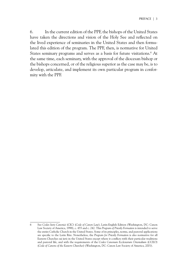6. In the current edition of the PPF, the bishops of the United States have taken the directions and vision of the Holy See and reflected on the lived experience of seminaries in the United States and then formulated this edition of the program. The PPF, then, is normative for United States seminary programs and serves as a basis for future visitations.<sup>6</sup> At the same time, each seminary, with the approval of the diocesan bishop or the bishops concerned, or of the religious superior as the case may be, is to develop, articulate, and implement its own particular program in conformity with the PPF.

<sup>6</sup> See *Codex Iuris Canonici* (CIC) (*Code of Canon Law*), Latin-English Edition (Washington, DC: Canon Law Society of America, 1998), c. 455 and c. 242. This *Program of Priestly Formation* is intended to serve the entire Catholic Church in the United States. Some of its principles, norms, and pastoral applications are specific to the Latin Rite. Nonetheless, the *Program for Priestly Formation* is also normative for all Eastern Churches *sui iuris* in the United States except where it conflicts with their particular traditions and pastoral life, and with the requirements of the *Codex Canonum Ecclesiarum Orientalium* (CCEO) (*Code of Canons of the Eastern Churches*) (Washington, DC: Canon Law Society of America, 2001).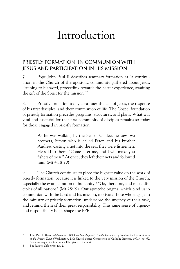### Introduction

#### Priestly Formation: In Communion with Jesus and Participation in His Mission

7. Pope John Paul II describes seminary formation as "a continuation in the Church of the apostolic community gathered about Jesus, listening to his word, proceeding towards the Easter experience, awaiting the gift of the Spirit for the mission."7

8. Priestly formation today continues the call of Jesus, the response of his first disciples, and their communion of life. The Gospel foundation of priestly formation precedes programs, structures, and plans. What was vital and essential for that first community of disciples remains so today for those engaged in priestly formation:

> As he was walking by the Sea of Galilee, he saw two brothers, Simon who is called Peter, and his brother Andrew, casting a net into the sea; they were fishermen. He said to them, "Come after me, and I will make you fishers of men." At once, they left their nets and followed him. (Mt 4:18-20)

9. The Church continues to place the highest value on the work of priestly formation, because it is linked to the very mission of the Church, especially the evangelization of humanity:<sup>8</sup> "Go, therefore, and make disciples of all nations" (Mt 28:19). Our apostolic origins, which bind us in communion with the Lord and his mission, motivate those who engage in the ministry of priestly formation, underscore the urgency of their task, and remind them of their great responsibility. This same sense of urgency and responsibility helps shape the PPF.

<sup>7</sup> John Paul II, *Pastores dabo vobis* (*I Will Give You Shepherds: On the Formation of Priests in the Circumstances of the Present Day*) (Washington, DC: United States Conference of Catholic Bishops, 1992), no. 60. Some subsequent references will be given in the text.

<sup>8</sup> See *Pastores dabo vobis*, no. 2.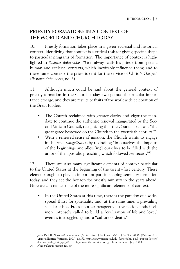#### Priestly Formation: In a Context of the World and Church Today

10. Priestly formation takes place in a given ecclesial and historical context. Identifying that context is a critical task for giving specific shape to particular programs of formation. The importance of context is highlighted in *Pastores dabo vobis*: "God always calls his priests from specific human and ecclesial contexts, which inevitably influence them; and to these same contexts the priest is sent for the service of Christ's Gospel" (*Pastores dabo vobis*, no. 5).

11. Although much could be said about the general context of priestly formation in the Church today, two points of particular importance emerge, and they are results or fruits of the worldwide celebration of the Great Jubilee.

- The Church reclaimed with greater clarity and vigor the mandate to continue the authentic renewal inaugurated by the Second Vatican Council, recognizing that the Council itself was "the great grace bestowed on the Church in the twentieth century."9
- With a renewed sense of mission, the Church wants to engage in the *new evangelization* by rekindling "in ourselves the impetus of the beginnings and allow[ing] ourselves to be filled with the ardor of the apostolic preaching which followed Pentecost."10

12. There are also many significant elements of context particular to the United States at the beginning of the twenty-first century. These elements ought to play an important part in shaping seminary formation today, and they set the horizon for priestly ministry in the years ahead. Here we can name some of the more significant elements of context.

• In the United States at this time, there is the paradox of a widespread thirst for spirituality and, at the same time, a prevailing secular ethos. From another perspective, the nation finds itself more intensely called to build a "civilization of life and love," even as it struggles against a "culture of death."

<sup>9</sup> John Paul II, *Novo millennio ineunte* (*At the Close of the Great Jubilee of the Year 2000*) (Vatican City: Libreria Editrice Vaticana, 2001), no. 57, http://www.vatican.va/holy\_father/john\_paul\_ii/apost\_letters/ documents/hf jp-ii apl 20010106 novo-millennio-ineunte en.html (accessed July 2006).

<sup>10</sup> *Novo millennio ineunte*, no. 40.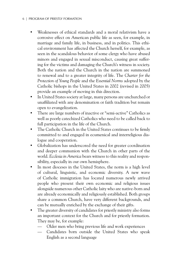#### 6 | PROGRAM OF PRIESTLY FORMATION

- Weaknesses of ethical standards and a moral relativism have a corrosive effect on American public life as seen, for example, in marriage and family life, in business, and in politics. This ethical environment has affected the Church herself, for example, as seen in the scandalous behavior of some clergy who have abused minors and engaged in sexual misconduct, causing great suffering for the victims and damaging the Church's witness in society. Both the nation and the Church in the nation are summoned to renewal and to a greater integrity of life. The *Charter for the Protection of Young People* and the *Essential Norms* adopted by the Catholic bishops in the United States in 2002 (revised in 2005) provide an example of moving in this direction.
- In United States society at large, many persons are unchurched or unaffiliated with any denomination or faith tradition but remain open to evangelization.
- There are large numbers of inactive or "semi-active" Catholics as well as poorly catechized Catholics who need to be called back to full participation in the life of the Church.
- The Catholic Church in the United States continues to be firmly committed to and engaged in ecumenical and interreligious dialogue and cooperation.
- Globalization has underscored the need for greater coordination and deeper communion with the Church in other parts of the world. *Ecclesia in America* bears witness to this reality and responsibility, especially in our own hemisphere.
- In most dioceses in the United States, the norm is a high level of cultural, linguistic, and economic diversity. A new wave of Catholic immigration has located numerous newly arrived people who present their own economic and religious issues alongside numerous other Catholic laity who are native-born and are already economically and religiously established. Both groups share a common Church, have very different backgrounds, and can be mutually enriched by the exchange of their gifts.
- The greater diversity of candidates for priestly ministry also forms an important context for the Church and for priestly formation. They may be, for example:
	- Older men who bring previous life and work experiences
	- Candidates born outside the United States who speak English as a second language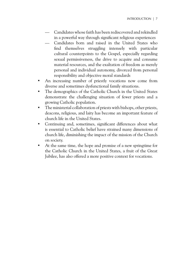- Candidates whose faith has been rediscovered and rekindled in a powerful way through significant religious experiences
- Candidates born and raised in the United States who find themselves struggling intensely with particular cultural counterpoints to the Gospel, especially regarding sexual permissiveness, the drive to acquire and consume material resources, and the exaltation of freedom as merely personal and individual autonomy, divorced from personal responsibility and objective moral standards
- An increasing number of priestly vocations now come from diverse and sometimes dysfunctional family situations.
- The demographics of the Catholic Church in the United States demonstrate the challenging situation of fewer priests and a growing Catholic population.
- The ministerial collaboration of priests with bishops, other priests, deacons, religious, and laity has become an important feature of church life in the United States.
- Continuing and, sometimes, significant differences about what is essential to Catholic belief have strained many dimensions of church life, diminishing the impact of the mission of the Church on society.
- At the same time, the hope and promise of a new springtime for the Catholic Church in the United States, a fruit of the Great Jubilee, has also offered a more positive context for vocations.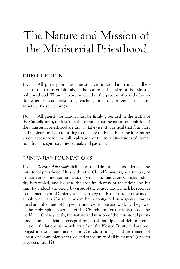# The Nature and Mission of the Ministerial Priesthood

#### **INTRODUCTION**

13. All priestly formation must have its foundation in an adherence to the truths of faith about the nature and mission of the ministerial priesthood. Those who are involved in the process of priestly formation whether as administrators, teachers, formators, or seminarians must adhere to these teachings.

14. All priestly formation must be firmly grounded in the truths of the Catholic faith, for it is from these truths that the nature and mission of the ministerial priesthood are drawn. Likewise, it is critical that formators and seminarians keep returning to the core of the faith for the integrating vision necessary for the full realization of the four dimensions of formation: human, spiritual, intellectual, and pastoral.

#### Trinitarian Foundations

15. *Pastores dabo vobis* delineates the Trinitarian foundations of the ministerial priesthood. "It is within the Church's mystery, as a mystery of Trinitarian communion in missionary tension, that every Christian identity is revealed, and likewise the specific identity of the priest and his ministry. Indeed, the priest, by virtue of the consecration which he receives in the Sacrament of Orders, is sent forth by the Father through the mediatorship of Jesus Christ, to whom he is configured in a special way as Head and Shepherd of his people, in order to live and work by the power of the Holy Spirit in service of the Church and for the salvation of the world. . . . Consequently, the nature and mission of the ministerial priesthood cannot be defined except through this multiple and rich interconnection of relationships which arise from the Blessed Trinity and are prolonged in the communion of the Church, as a sign and instrument of Christ, of communion with God and of the unity of all humanity" (*Pastores dabo vobis*, no. 12).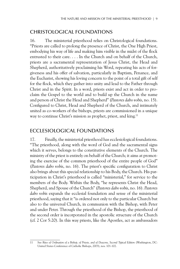#### Christological Foundations

16. The ministerial priesthood relies on Christological foundations. "Priests are called to prolong the presence of Christ, the One High Priest, embodying his way of life and making him visible in the midst of the flock entrusted to their care. . . . In the Church and on behalf of the Church, priests are a sacramental representation of Jesus Christ, the Head and Shepherd, authoritatively proclaiming his Word, repeating his acts of forgiveness and his offer of salvation, particularly in Baptism, Penance, and the Eucharist, showing his loving concern to the point of a total gift of self for the flock, which they gather into unity and lead to the Father through Christ and in the Spirit. In a word, priests exist and act in order to proclaim the Gospel to the world and to build up the Church in the name and person of Christ the Head and Shepherd" (*Pastores dabo vobis*, no. 15). Configured to Christ, Head and Shepherd of the Church, and intimately united as co-workers of the bishops, priests are commissioned in a unique way to continue Christ's mission as prophet, priest, and king.<sup>11</sup>

#### Ecclesiological Foundations

17. Finally, the ministerial priesthood has ecclesiological foundations. "The priesthood, along with the word of God and the sacramental signs which it serves, belongs to the constitutive elements of the Church. The ministry of the priest is entirely on behalf of the Church; it aims at promoting the exercise of the common priesthood of the entire people of God" (*Pastores dabo vobis*, no. 16). The priest's specific configuration to Christ also brings about this special relationship to his Body, the Church. His participation in Christ's priesthood is called "ministerial," for service to the members of the Body. Within the Body, "he represents Christ the Head, Shepherd, and Spouse of the Church" (*Pastores dabo vobis*, no. 16). *Pastores dabo vobis* expands the ecclesial foundation and sense of the ministerial priesthood, saying that it "is ordered not only to the particular Church but also to the universal Church, in communion with the Bishop, with Peter and under Peter. Through the priesthood of the Bishop, the priesthood of the second order is incorporated in the apostolic structure of the Church (cf. 2 Cor 5:20). In this way priests, like the Apostles, act as ambassadors

<sup>11</sup> See Rites of Ordination of a Bishop, of Priests, and of Deacons, Second Typical Edition (Washington, DC: United States Conference of Catholic Bishops, 2003), nos. 101-102.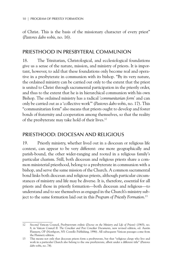of Christ. This is the basis of the missionary character of every priest" (*Pastores dabo vobis*, no. 16).

#### Priesthood in Presbyteral Communion

18. The Trinitarian, Christological, and ecclesiological foundations give us a sense of the nature, mission, and ministry of priests. It is important, however, to add that these foundations only become real and operative in a presbyterate in communion with its bishop. "By its very nature, the ordained ministry can be carried out only to the extent that the priest is united to Christ through sacramental participation in the priestly order, and thus to the extent that he is in hierarchical communion with his own Bishop. The ordained ministry has a radical *'communitarian form'* and can only be carried out as a 'collective work'" (*Pastores dabo vobis*, no. 17). This "communitarian form" also means that priests ought to develop and foster bonds of fraternity and cooperation among themselves, so that the reality of the presbyterate may take hold of their lives.12

#### Priesthood: Diocesan and Religious

19. Priestly ministry, whether lived out in a diocesan or religious life context, can appear to be very different: one more geographically and parish-bound, the other wider-ranging and rooted in a religious family's particular charism. Still, both diocesan and religious priests share a common ministerial priesthood, belong to a presbyterate in communion with a bishop, and serve the same mission of the Church. A common sacramental bond links both diocesan and religious priests, although particular circumstances of ministry and life may be diverse. It is, therefore, essential for all priests and those in priestly formation—both diocesan and religious—to understand and to see themselves as engaged in the Church's ministry subject to the same formation laid out in this *Program of Priestly Formation*. 13

<sup>12</sup> Second Vatican Council, *Presbyterorum ordinis* (*Decree on the Ministry and Life of Priests*) (1965), no. 8, in *Vatican Council II: The Conciliar and Post Conciliar Documents*, new revised edition, ed. Austin Flannery, OP (Northport, NY: Costello Publishing, 1996). All subsequent Vatican passages come from the Flannery edition.

<sup>13</sup> This means not only that diocesan priests form a presbyterate, but that "religious clergy who live and work in a particular Church also belong to the one presbyterate, albeit under a different title" (*Pastores dabo vobis*, no. 74).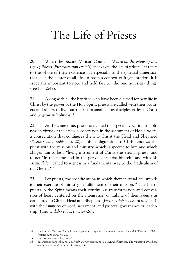## The Life of Priests

20. When the Second Vatican Council's *Decree on the Ministry and Life of Priests* (*Presbyterorum ordinis*) speaks of "the life of priests," it refers to the whole of their existence but especially to the spiritual dimension that is at the center of all life. In today's context of fragmentation, it is especially important to note and hold fast to "the one necessary thing" (see Lk 10:42).

21. Along with all the baptized who have been claimed for new life in Christ by the power of the Holy Spirit, priests are called with their brothers and sisters to live out their baptismal call as disciples of Jesus Christ and to grow in holiness.14

22. At the same time, priests are called to a specific vocation to holiness in virtue of their new consecration in the sacrament of Holy Orders, a consecration that configures them to Christ the Head and Shepherd (*Pastores dabo vobis*, no. 20). This configuration to Christ endows the priest with the mission and ministry, which is specific to him and which obliges him to be a "living instrument of Christ the eternal priest" and to act "in the name and in the person of Christ himself" and with his entire "life," called to witness in a fundamental way to the "radicalism of the Gospel."15

23. For priests, the specific arena in which their spiritual life unfolds is their exercise of ministry in fulfillment of their mission.<sup>16</sup> The life of priests in the Spirit means their continuous transformation and conversion of heart centered on the integration or linking of their *identity* as configured to Christ, Head and Shepherd (*Pastores dabo vobis*, nos. 21-23), with their *ministry* of word, sacrament, and pastoral governance or leadership (*Pastores dabo vobis*, nos. 24-26).

<sup>14</sup> See Second Vatican Council, *Lumen gentium* (*Dogmatic Constitution on the Church*) (1964), nos. 39-42; *Pastores dabo vobis*, no. 20.

<sup>15</sup> See *Pastores dabo vobis*, no. 20.

<sup>16</sup> See *Pastores dabo vobis*, no. 24; *Presbyterorum ordinis*, no. 12; Synod of Bishops, *The Ministerial Priesthood and Justice in the World* (1971), part 2, I, iii.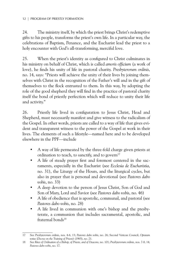24. The ministry itself, by which the priest brings Christ's redemptive gifts to his people, transforms the priest's own life. In a particular way, the celebrations of Baptism, Penance, and the Eucharist lead the priest to a holy encounter with God's all-transforming, merciful love.

25. When the priest's identity as configured to Christ culminates in his ministry on behalf of Christ, which is called *amoris officium* (a work of love), he finds his unity of life in pastoral charity. *Presbyterorum ordinis*, no. 14, says: "Priests will achieve the unity of their lives by joining themselves with Christ in the recognition of the Father's will and in the gift of themselves to the flock entrusted to them. In this way, by adopting the role of the good shepherd they will find in the practice of pastoral charity itself the bond of priestly perfection which will reduce to unity their life and activity."

26. Priestly life lived in configuration to Jesus Christ, Head and Shepherd, must necessarily manifest and give witness to the radicalism of the Gospel. In other words, priests are called to a way of life that gives evident and transparent witness to the power of the Gospel at work in their lives. The elements of such a lifestyle—named here and to be developed elsewhere in the PPF—include

- A way of life permeated by the three-fold charge given priests at ordination to teach, to sanctify, and to govern<sup>17</sup>
- A life of steady prayer first and foremost centered in the sacraments, especially in the Eucharist (see *Ecclesia de Eucharistia*, no. 31), the Liturgy of the Hours, and the liturgical cycles, but also in prayer that is personal and devotional (see *Pastores dabo vobis*, no. 33)
- A deep devotion to the person of Jesus Christ, Son of God and Son of Mary, Lord and Savior (see *Pastores dabo vobis*, no. 46)
- A life of obedience that is apostolic, communal, and pastoral (see *Pastores dabo vobis*, no. 28)
- A life lived in communion with one's bishop and the presbyterate, a communion that includes sacramental, apostolic, and fraternal bonds<sup>18</sup>

<sup>17</sup> See *Presbyterorum ordinis*, nos. 4-6, 13; *Pastores dabo vobis*, no. 26; Second Vatican Council, *Optatam totius* (*Decree on the Training of Priests*) (1965), no. 21.

<sup>18</sup> See *Rites of Ordination of a Bishop, of Priests, and of Deacons,* no. 101; *Presbyterorum ordinis*, nos. 7-8, 14; *Pastores dabo vobis*, no. 17.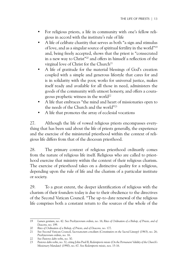- For religious priests, a life in community with one's fellow religious in accord with the institute's rule of life
- A life of celibate chastity that serves as both "a sign and stimulus of love, and as a singular source of spiritual fertility in the world"19 and, being freely accepted, shows that the priest is "consecrated in a new way to Christ"20 and offers in himself a reflection of the virginal love of Christ for the Church<sup>21</sup>
- A life of gratitude for the material blessings of God's creation coupled with a simple and generous lifestyle that cares for and is in solidarity with the poor, works for universal justice, makes itself ready and available for all those in need, administers the goods of the community with utmost honesty, and offers a courageous prophetic witness in the world<sup>22</sup>
- A life that embraces "the mind and heart of missionaries open to the needs of the Church and the world"23
- A life that promotes the array of ecclesial vocations

27. Although the life of vowed religious priests encompasses everything that has been said about the life of priests generally, the experience and the exercise of the ministerial priesthood within the context of religious life differs from that of the diocesan priesthood.

28. The primary context of religious priesthood ordinarily comes from the nature of religious life itself. Religious who are called to priesthood exercise that ministry within the context of their religious charism. The exercise of priesthood takes on a distinctive quality for a religious, depending upon the rule of life and the charism of a particular institute or society.

29. To a great extent, the deeper identification of religious with the charism of their founders today is due to their obedience to the directives of the Second Vatican Council. "The up-to-date renewal of the religious life comprises both a constant return to the sources of the whole of the

<sup>19</sup> *Lumen gentium*, no. 42. See *Presbyterorum ordinis*, no. 16; *Rites of Ordination of a Bishop, of Priests, and of Deacons,* no. 199.

<sup>20</sup> *Rites of Ordination of a Bishop, of Priests, and of Deacons,* no. 177.

<sup>21</sup> See Second Vatican Council, *Sacrosanctum concilium* (*Constitution on the Sacred Liturgy*) (1963), no. 26; *Presbyterorum ordinis*, no. 16.

<sup>22</sup> See *Pastores dabo vobis*, no. 30.

<sup>23</sup> *Pastores dabo vobis*, no. 32, citing John Paul II, *Redemptoris missio* (*On the Permanent Validity of the Church's Missionary Mandate*) (1990), no. 67. See *Redemptoris missio*, nos. 15-16.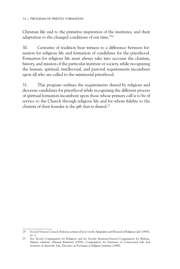Christian life and to the primitive inspiration of the institutes, and their adaptation to the changed conditions of our time."24

30. Centuries of tradition bear witness to a difference between formation for religious life and formation of candidates for the priesthood. Formation for religious life must always take into account the charism, history, and mission of the particular institute or society, while recognizing the human, spiritual, intellectual, and pastoral requirements incumbent upon all who are called to the ministerial priesthood.

31. This program outlines the requirements shared by religious and diocesan candidates for priesthood while recognizing the different process of spiritual formation incumbent upon those whose primary call is to be of service to the Church through religious life and for whom fidelity to the charism of their founder is the gift that is shared.<sup>25</sup>

<sup>24</sup> Second Vatican Council, *Perfectae caritatis* (*Decree on the Adaptation and Renewal of Religious Life*) (1965), no. 2.

<sup>25</sup> See Sacred Congregation for Religious and for Secular Institutes/Sacred Congregation for Bishops, *Mutuae relationes* (*Mutual Relations*) (1978); Congregation for Institutes of Consecrated Life and Societies of Apostolic Life, *Directives on Formation in Religious Institutes* (1990).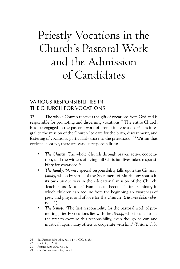# Priestly Vocations in the Church's Pastoral Work and the Admission of Candidates

#### Various Responsibilities in the Church for Vocations

32. The whole Church receives the gift of vocations from God and is responsible for promoting and discerning vocations.<sup>26</sup> The entire Church is to be engaged in the pastoral work of promoting vocations.<sup>27</sup> It is integral to the mission of the Church "to care for the birth, discernment, and fostering of vocations, particularly those to the priesthood."28 Within that ecclesial context, there are various responsibilities:

- *The Church*: The whole Church through prayer, active cooperation, and the witness of living full Christian lives takes responsibility for vocations.<sup>29</sup>
- *The family*: "A very special responsibility falls upon the *Christian family*, which by virtue of the Sacrament of Matrimony shares in its own unique way in the educational mission of the Church, Teacher, and Mother." Families can become "a first seminary in which children can acquire from the beginning an awareness of piety and prayer and of love for the Church" (*Pastores dabo vobis*, no. 41).
- *The bishop*: "The first responsibility for the pastoral work of promoting priestly vocations lies with the *Bishop*, who is called to be the first to exercise this responsibility, even though he can and must call upon many others to cooperate with him" (*Pastores dabo*

<sup>26</sup> See *Pastores dabo vobis*, nos. 34-41; CIC, c. 233.

<sup>27</sup> See CIC, c. 233§1.

<sup>28</sup> *Pastores dabo vobis*, no. 34.

<sup>29</sup> See *Pastores dabo vobis*, no. 41.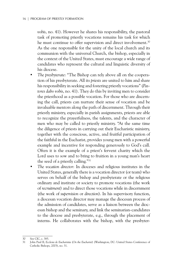*vobis*, no. 41). However he shares his responsibility, the pastoral task of promoting priestly vocations remains his task for which he must continue to offer supervision and direct involvement.<sup>30</sup> As the one responsible for the unity of the local church and its communion with the universal Church, the bishop, especially in the context of the United States, must encourage a wide range of candidates who represent the cultural and linguistic diversity of his diocese.

- *The presbyterate*: "The Bishop can rely above all on the cooperation of his presbyterate. All its *priests* are united to him and share his responsibility in seeking and fostering priestly vocations" (*Pastores dabo vobis*, no. 41). They do this by inviting men to consider the priesthood as a possible vocation. For those who are discerning the call, priests can nurture their sense of vocation and be invaluable mentors along the path of discernment. Through their priestly ministry, especially in parish assignments, priests are able to recognize the prayerfulness, the talents, and the character of men who may be called to priestly ministry. "At the same time the diligence of priests in carrying out their Eucharistic ministry, together with the conscious, active, and fruitful participation of the faithful in the Eucharist, provides young men with a powerful example and incentive for responding generously to God's call. Often it is the example of a priest's fervent charity which the Lord uses to sow and to bring to fruition in a young man's heart the seed of a priestly calling."31
- *The vocation director*: In dioceses and religious institutes in the United States, generally there is a vocation director (or team) who serves on behalf of the bishop and presbyterate or the religious ordinary and institute or society to promote vocations (the work of *recruitment*) and to direct those vocations while in discernment (the work of *supervision* or *direction*). In his supervisory function, a diocesan vocation director may manage the diocesan process of the admission of candidates, serve as a liaison between the diocesan bishop and the seminary, and link the seminarian-candidates to the diocese and presbyterate, e.g., through the placement of interns. He collaborates with the bishop, with the presbyter-

<sup>30</sup> See CIC, c. 385.

<sup>31</sup> John Paul II, *Ecclesia de Eucharistia* (*On the Eucharist*) (Washington, DC: United States Conference of Catholic Bishops, 2003), no. 31.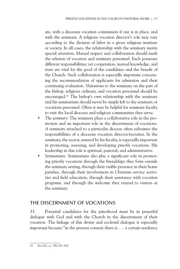ate, with a diocesan vocation commission if one is in place, and with the seminary. A religious vocation director's role may vary according to the division of labor in a given religious institute or society. In all cases, the relationship with the seminary merits special attention. Mutual respect and collaboration should mark the relation of vocation and seminary personnel. Each possesses different responsibilities; yet cooperation, mutual knowledge, and trust are vital for the good of the candidates and the benefit of the Church. Such collaboration is especially important concerning the recommendation of applicants for admission and their continuing evaluation. Visitations to the seminary on the part of the bishop, religious ordinary, and vocation personnel should be encouraged.32 The bishop's own relationship with the seminary and his seminarians should never be simply left to the seminary or vocations personnel. Often it may be helpful for seminary faculty to visit the local dioceses and religious communities they serve.

- *The seminary*: The seminary plays a collaborative role in the promotion and an important role in the discernment of vocations. A seminary attached to a particular diocese often subsumes the responsibilities of a diocesan vocation director/recruiter. In the seminary, the rector, assisted by his faculty, is especially important in promoting, assessing, and developing priestly vocations. His leadership in this role is spiritual, pastoral, and administrative.
- *Seminarians*: Seminarians also play a significant role in promoting priestly vocations through the friendships they form outside the seminary setting, through their visible presence in their home parishes, through their involvement in Christian service activities and field education, through their assistance with vocation programs, and through the welcome they extend to visitors at the seminary.

#### The Discernment of Vocations

33. Potential candidates for the priesthood must be in prayerful dialogue with God and with the Church in the discernment of their vocation. The linkage of this divine and ecclesial dialogue is especially important because "in the present context there is . . . a certain tendency

<sup>32</sup> See CIC, cc. 396-397, 628.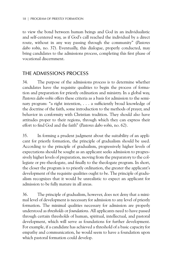to view the bond between human beings and God in an individualistic and self-centered way, as if God's call reached the individual by a direct route, without in any way passing through the community" (*Pastores dabo vobis*, no. 37). Eventually, this dialogue, properly conducted, may bring candidates to the admissions process, completing this first phase of vocational discernment.

#### The Admissions Process

34. The purpose of the admissions process is to determine whether candidates have the requisite qualities to begin the process of formation and preparation for priestly ordination and ministry. In a global way, *Pastores dabo vobis* offers these criteria as a basis for admission to the seminary program: "a right intention, . . . a sufficiently broad knowledge of the doctrine of the faith, some introduction to the methods of prayer, and behavior in conformity with Christian tradition. They should also have attitudes proper to their regions, through which they can express their effort to find God and the faith" (*Pastores dabo vobis*, no. 62).

35. In forming a prudent judgment about the suitability of an applicant for priestly formation, the principle of gradualism should be used. According to the principle of gradualism, progressively higher levels of expectations should be sought as an applicant seeks admission to progressively higher levels of preparation, moving from the preparatory to the collegiate or pre-theologate, and finally to the theologate program. In short, the closer the program is to priestly ordination, the greater the applicant's development of the requisite qualities ought to be. The principle of gradualism recognizes that it would be unrealistic to expect an applicant for admission to be fully mature in all areas.

36. The principle of gradualism, however, does not deny that a minimal level of development is necessary for admission to any level of priestly formation. The minimal qualities necessary for admission are properly understood as *thresholds* or *foundations*. All applicants need to have passed through certain thresholds of human, spiritual, intellectual, and pastoral development, which will serve as foundations for further development. For example, if a candidate has achieved a threshold of a basic capacity for empathy and communication, he would seem to have a foundation upon which pastoral formation could develop.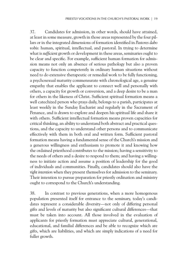37. Candidates for admission, in other words, should have attained, at least in some measure, growth in those areas represented by the four pillars or in the integrated dimensions of formation identified in *Pastores dabo vobis*: human, spiritual, intellectual, and pastoral. In trying to determine what is *sufficient* growth or development in these areas, seminaries ought to be clear and specific. For example, sufficient human formation for admission means not only an absence of serious pathology but also a proven capacity to function competently in ordinary human situations without need to do extensive therapeutic or remedial work to be fully functioning, a psychosexual maturity commensurate with chronological age, a genuine empathy that enables the applicant to connect well and personally with others, a capacity for growth or conversion, and a deep desire to be a man for others in the likeness of Christ. Sufficient spiritual formation means a well catechized person who prays daily, belongs to a parish, participates at least weekly in the Sunday Eucharist and regularly in the Sacrament of Penance, and is drawn to explore and deepen his spiritual life and share it with others. Sufficient intellectual formation means proven capacities for critical thinking, an ability to understand both abstract and practical questions, and the capacity to understand other persons and to communicate effectively with them in both oral and written form. Sufficient pastoral formation means having a fundamental sense of the Church's mission and a generous willingness and enthusiasm to promote it and knowing how the ordained priesthood contributes to the mission; having a sensitivity to the needs of others and a desire to respond to them; and having a willingness to initiate action and assume a position of leadership for the good of individuals and communities. Finally, candidates should also have the *right intention* when they present themselves for admission to the seminary. Their intention to pursue preparation for priestly ordination and ministry ought to correspond to the Church's understanding.

38. In contrast to previous generations, when a more homogenous population presented itself for entrance to the seminary, today's candidates represent a considerable diversity—not only of differing personal gifts and levels of maturity but also significant cultural differences—that must be taken into account. All those involved in the evaluation of applicants for priestly formation must appreciate cultural, generational, educational, and familial differences and be able to recognize which are gifts, which are liabilities, and which are simply indications of a need for fuller growth.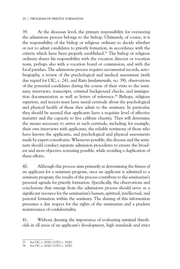39. At the diocesan level, the primary responsibility for overseeing the admissions process belongs to the bishop. Ultimately, of course, it is the responsibility of the bishop or religious ordinary to decide whether or not to admit candidates to priestly formation, in accordance with the criteria which have been properly established.33 The bishop or religious ordinary shares his responsibility with the vocation director or vocation team, perhaps also with a vocation board or commission, and with the local parishes. The admissions process requires sacramental records, autobiography, a review of the psychological and medical assessment (with due regard for CIC, c. 241, and *Ratio fundamentalis,* no. 39), observations of the potential candidates during the course of their visits to the seminary, interviews, transcripts, criminal background checks, and immigration documentation as well as letters of reference.<sup>34</sup> Bishops, religious superiors, and rectors must have moral certitude about the psychological and physical health of those they admit to the seminary. In particular, they should be assured that applicants have a requisite level of affective maturity and the capacity to live celibate chastity. They will determine the means necessary to arrive at such certitude, including, for example, their own interviews with applicants, the reliable testimony of those who have known the applicants, and psychological and physical assessments made by expert consultants. Whenever possible, the diocese and the seminary should conduct separate admission procedures to ensure the broadest and most objective screening possible, while avoiding a duplication of these efforts.

40. Although this process aims primarily at determining the fitness of an applicant for a seminary program, once an applicant is admitted to a seminary program, the results of the process contribute to the seminarian's personal agenda for priestly formation. Specifically, the observations and conclusions that emerge from the admissions process should serve as a significant resource for the seminarian's human, spiritual, intellectual, and pastoral formation within the seminary. The sharing of this information presumes a due respect for the rights of the seminarian and a prudent maintenance of confidentiality.

41. Without denying the importance of evaluating minimal thresholds in all areas of an applicant's development, high standards and strict

<sup>33</sup> See CIC, c. 241§1; CCEO, c. 342§1.

<sup>34</sup> See CIC, c. 241§2; CCEO, c. 342§2.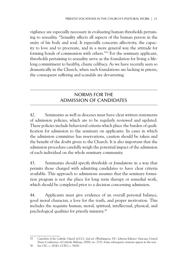vigilance are especially necessary in evaluating human thresholds pertaining to sexuality. "*Sexuality* affects all aspects of the human person in the unity of his body and soul. It especially concerns affectivity, the capacity to love and to procreate, and in a more general way the attitude for forming bonds of communion with others."35 For the seminary applicant, thresholds pertaining to sexuality serve as the foundation for living a lifelong commitment to healthy, chaste celibacy. As we have recently seen so dramatically in the Church, when such foundations are lacking in priests, the consequent suffering and scandals are devastating.

#### Norms for the Admission of Candidates

42. Seminaries as well as dioceses must have clear written statements of admission policies, which are to be regularly reviewed and updated. These policies include behavioral criteria which place the burden of qualification for admission to the seminary on applicants. In cases in which the admission committee has reservations, caution should be taken and the benefit of the doubt given to the Church. It is also important that the admission procedure carefully weigh the potential impact of the admission of each individual on the whole seminary community.

43. Seminaries should specify *thresholds* or *foundations* in a way that permits those charged with admitting candidates to have clear criteria available. This approach to admissions assumes that the seminary formation program is not the place for long term therapy or remedial work, which should be completed prior to a decision concerning admission.

44. Applicants must give evidence of an overall personal balance, good moral character, a love for the truth, and proper motivation. This includes the requisite human, moral, spiritual, intellectual, physical, and psychological qualities for priestly ministry.36

35 *Catechism of the Catholic Church* (CCC), 2nd ed. (Washington, DC: Libreria Editrice Vaticana–United States Conference of Catholic Bishops, 2000), no. 2332. Some subsequent citations appear in the text.

<sup>36</sup> See CIC, c. 241§1; CCEO, c. 342§1.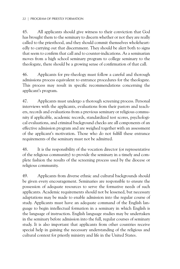45. All applicants should give witness to their conviction that God has brought them to the seminary to discern whether or not they are really called to the priesthood, and they should commit themselves wholeheartedly to carrying out that discernment. They should be alert both to signs that seem to confirm that call and to counter-indications. As a seminarian moves from a high school seminary program to college seminary to the theologate, there should be a growing sense of confirmation of that call.

46. Applicants for pre-theology must follow a careful and thorough admissions process equivalent to entrance procedures for the theologate. This process may result in specific recommendations concerning the applicant's program.

47. Applicants must undergo a thorough screening process. Personal interviews with the applicants, evaluations from their pastors and teachers, records and evaluations from a previous seminary or religious community if applicable, academic records, standardized test scores, psychological evaluations, and criminal background checks are all components of an effective admission program and are weighed together with an assessment of the applicant's motivation. Those who do not fulfill these entrance requirements of the seminary must not be admitted.

48. It is the responsibility of the vocation director (or representative of the religious community) to provide the seminary in a timely and complete fashion the results of the screening process used by the diocese or religious community.

49. Applicants from diverse ethnic and cultural backgrounds should be given every encouragement. Seminaries are responsible to ensure the possession of adequate resources to serve the formative needs of such applicants. Academic requirements should not be lessened, but necessary adaptations may be made to enable admission into the regular course of study. Applicants must have an adequate command of the English language to begin intellectual formation in a seminary in which English is the language of instruction. English language studies may be undertaken in the seminary before admission into the full, regular courses of seminary study. It is also important that applicants from other countries receive special help in gaining the necessary understanding of the religious and cultural context for priestly ministry and life in the United States.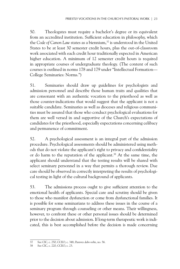50. Theologates must require a bachelor's degree or its equivalent from an accredited institution. Sufficient education in philosophy, which the *Code of Canon Law* states as a biennium,<sup>37</sup> is understood in the United States to be at least 30 semester credit hours, plus the out-of-classroom work associated with each credit hour traditionally expected in American higher education. A minimum of 12 semester credit hours is required in appropriate courses of undergraduate theology. (The content of such courses is outlined in norms 178 and 179 under "Intellectual Formation— College Seminaries: Norms.")

51. Seminaries should draw up guidelines for psychologists and admission personnel and describe those human traits and qualities that are consonant with an authentic vocation to the priesthood as well as those counter-indications that would suggest that the applicant is not a suitable candidate. Seminaries as well as dioceses and religious communities must be assured that those who conduct psychological evaluations for them are well versed in and supportive of the Church's expectations of candidates for the priesthood, especially expectations concerning celibacy and permanence of commitment.

52. A psychological assessment is an integral part of the admission procedure. Psychological assessments should be administered using methods that do not violate the applicant's right to privacy and confidentiality or do harm to the reputation of the applicant.<sup>38</sup> At the same time, the applicant should understand that the testing results will be shared with select seminary personnel in a way that permits a thorough review. Due care should be observed in correctly interpreting the results of psychological testing in light of the cultural background of applicants.

53. The admissions process ought to give sufficient attention to the emotional health of applicants. Special care and scrutiny should be given to those who manifest dysfunction or come from dysfunctional families. It is possible for some seminarians to address these issues in the course of a seminary program through counseling or other means. Their willingness, however, to confront these or other personal issues should be determined prior to the decision about admission. If long-term therapeutic work is indicated, this is best accomplished before the decision is made concerning

<sup>37</sup> See CIC, c. 250; CCEO, c. 348; *Pastores dabo vobis*, no. 56.

<sup>38</sup> See CIC, c. 220; CCEO, c. 23.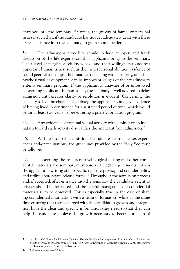entrance into the seminary. At times, the gravity of family or personal issues is such that, if the candidate has not yet adequately dealt with these issues, entrance into the seminary program should be denied.

54. The admissions procedure should include an open and frank discussion of the life experiences that applicants bring to the seminary. Their level of insight or self-knowledge and their willingness to address important human issues, such as their interpersonal abilities, evidence of sound peer relationships, their manner of dealing with authority, and their psychosexual development, can be important gauges of their readiness to enter a seminary program. If the applicant is unaware of or unresolved concerning significant human issues, the seminary is well advised to delay admission until greater clarity or resolution is evident. Concerning the capacity to live the charism of celibacy, the applicant should give evidence of having lived in continence for a sustained period of time, which would be for at least two years before entering a priestly formation program.

55. Any evidence of criminal sexual activity with a minor or an inclination toward such activity disqualifies the applicant from admission.<sup>39</sup>

56. With regard to the admission of candidates with same-sex experiences and/or inclinations, the guidelines provided by the Holy See must be followed.

57. Concerning the results of psychological testing and other confidential materials, the seminary must observe all legal requirements, inform the applicant in writing of his specific rights to privacy and confidentiality, and utilize appropriate release forms.<sup>40</sup> Throughout the admission process and, if accepted, after entrance into the seminary, the candidate's right to privacy should be respected and the careful management of confidential materials is to be observed. This is especially true in the case of sharing confidential information with a team of formators, while at the same time ensuring that those charged with the candidate's growth and integration have the clear and specific information they need so that they can help the candidate achieve the growth necessary to become a "man of

<sup>39</sup> See *Essential Norms for Diocesan/Eparchial Policies Dealing with Allegations of Sexual Abuse of Minors by Priests or Deacons* (Washington, DC: United States Conference of Catholic Bishops, 2006), http://www. nccbuscc.org/ocyp/2005EssentialNorms.pdf.

<sup>40</sup> See CIC, c. 220; CCEO, c. 23.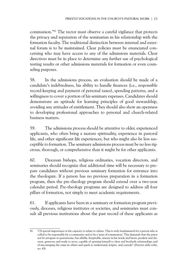communion."41 The rector must observe a careful vigilance that protects the privacy and reputation of the seminarian in his relationship with the formation faculty. The traditional distinction between internal and external forum is to be maintained. Clear policies must be enunciated concerning who may have access to any of the admissions materials. Clear directives must be in place to determine any further use of psychological testing results or other admissions materials for formation or even counseling purposes.

58. In the admissions process, an evaluation should be made of a candidate's indebtedness, his ability to handle finances (i.e., responsible record-keeping and payment of personal taxes), spending patterns, and a willingness to cover a portion of his seminary expenses. Candidates should demonstrate an aptitude for learning principles of good stewardship, avoiding any attitudes of entitlement. They should also show an openness to developing professional approaches to personal and church-related business matters.

59. The admissions process should be attentive to older, experienced applicants, who often bring a mature spirituality, experience in pastoral life, and other significant life experiences, but who might also be less susceptible to formation. The seminary admissions process must be no less rigorous, thorough, or comprehensive than it might be for other applicants.

60. Diocesan bishops, religious ordinaries, vocation directors, and seminaries should recognize that additional time will be necessary to prepare candidates without previous seminary formation for entrance into the theologate. If a person has no previous preparation in a formation program, then the pre-theology program should extend over a two-year calendar period. Pre-theology programs are designed to address all four pillars of formation, not simply to meet academic requirements.

61. If applicants have been in a seminary or formation program previously, dioceses, religious institutes or societies, and seminaries must consult all previous institutions about the past record of these applicants as

<sup>41</sup> "Of special importance is the capacity to relate to others. This is truly fundamental for a person who is called to be responsible for a community and to be a 'man of communion.' This demands that the priest not be arrogant or quarrelsome, but affable, hospitable, sincere in his words and heart, prudent and discreet, generous and ready to serve, capable of opening himself to clear and brotherly relationships and of encouraging the same in others and quick to understand, forgive, and console" (*Pastores dabo vobis*, no. 43).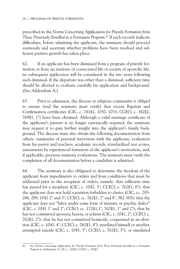prescribed in the *Norms Concerning Applications for Priestly Formation from Those Previously Enrolled in a Formation Program*. 42 If such records indicate difficulties, before admitting the applicant, the seminary should proceed cautiously and ascertain whether problems have been resolved and sufficient positive growth has taken place.

62. If an applicant has been dismissed from a program of priestly formation or from an institute of consecrated life or society of apostolic life, no subsequent application will be considered in the two years following such dismissal. If the departure was other than a dismissal, sufficient time should be allotted to evaluate carefully his application and background. (See Addendum A.)

63. Prior to admission, the diocese or religious community is obliged to ensure (and the seminary must verify) that recent Baptism and Confirmation certificates (CIC, c. 241§2, 1050, 1033; CCEO, c. 342§2, 769§1, 1°) have been obtained. Although a valid marriage certificate of the applicant's parents is no longer canonically required, the seminary may request it to gain further insight into the applicant's family background. The diocese must also obtain the following documentation from others: summaries of personal interviews with the applicant, evaluation from his pastor and teachers, academic records, standardized test scores, assessments by experienced formators of the applicant's motivation, and, if applicable, previous seminary evaluations. The seminary must verify the completion of all documentation before a candidate is admitted.

64. The seminary is also obligated to determine the freedom of the applicant from impediments to orders and from conditions that must be addressed prior to the reception of orders, namely: that sufficient time has passed for a neophyte (CIC, c. 1042, 3°; CCEO, c. 762§1, 8°); that the applicant does not hold a position forbidden to clerics (CIC, cc. 285- 286, 289, 1042 2° and 3°; CCEO, cc. 762§1, 7° and 8°, 382-385); that the applicant does not "labor under some form of insanity or psychic defect" (CIC, c. 1041 1° and 2°; CCEO, cc. 172§1,1°, 762§1, 1° and 2°); that he has not committed apostasy, heresy, or schism (CIC, c. 1041, 2°; CCEO, c. 762§1, 2°); that he has not committed homicide, cooperated in an abortion (CIC, c. 1041, 4°; CCEO, c. 762§1, 4°), mutilated himself or another, attempted suicide (CIC, c. 1041, 5°; CCEO, c. 762§1, 5°), or simulated

<sup>42</sup> See *Norms Concerning Applications for Priestly Formation from Those Previously Enrolled in a Formation Program* in Addendum A; CIC, c. 241§3; CCEO, c. 342§3.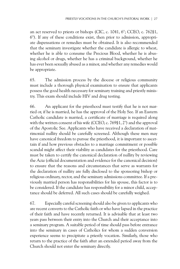an act reserved to priests or bishops (CIC, c. 1041, 6°; CCEO, c. 762§1, 6°). If any of these conditions exist, then prior to admission, appropriate dispensations or remedies must be obtained. It is also recommended that the seminary investigate whether the candidate is allergic to wheat, whether he is able to consume the Precious Blood, whether he is abusing alcohol or drugs, whether he has a criminal background, whether he has ever been sexually abused as a minor, and whether any remedies would be appropriate.

65. The admission process by the diocese or religious community must include a thorough physical examination to ensure that applicants possess the good health necessary for seminary training and priestly ministry. This exam should include HIV and drug testing.

66. An applicant for the priesthood must testify that he is not married or, if he is married, he has the approval of the Holy See. If an Eastern Catholic candidate is married, a certificate of marriage is required along with the written consent of his wife (CCEO, c. 769§1, 2°) and the approval of the Apostolic See. Applicants who have received a declaration of matrimonial nullity should be carefully screened. Although these men may have canonical freedom to pursue the priesthood, it is important to ascertain if and how previous obstacles to a marriage commitment or possible scandal might affect their viability as candidates for the priesthood. Care must be taken to certify the canonical declaration of nullity by reviewing the *Acta* (official documentation and evidence for the canonical decision) to ensure that the reasons and circumstances that serve as warrants for the declaration of nullity are fully disclosed to the sponsoring bishop or religious ordinary, rector, and the seminary admissions committee. If a previously married person has responsibilities for his spouse, this factor is to be considered. If the candidate has responsibility for a minor child, acceptance should be deferred. All such cases should be carefully weighed.

67. Especially careful screening should also be given to applicants who are recent converts to the Catholic faith or who have lapsed in the practice of their faith and have recently returned. It is advisable that at least two years pass between their entry into the Church and their acceptance into a seminary program. A suitable period of time should pass before entrance into the seminary in cases of Catholics for whom a sudden conversion experience seems to precipitate a priestly vocation. Similarly, those who return to the practice of the faith after an extended period away from the Church should not enter the seminary directly.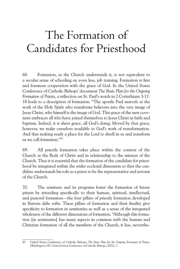# The Formation of Candidates for Priesthood

68. Formation, as the Church understands it, is not equivalent to a secular sense of schooling or, even less, job training. Formation is first and foremost cooperation with the grace of God. In the United States Conference of Catholic Bishops' document *The Basic Plan for the Ongoing Formation of Priests*, a reflection on St. Paul's words in 2 Corinthians 3:17- 18 leads to a description of formation. "The apostle Paul marvels at the work of the Holy Spirit who transforms believers into the very image of Jesus Christ, who himself is the image of God. This grace of the new covenant embraces all who have joined themselves to Jesus Christ in faith and baptism. Indeed, it is sheer grace, all God's doing. Moved by that grace, however, we make ourselves available to God's work of transformation. And that making ready a place for the Lord to dwell in us and transform us we call formation."43

69. All priestly formation takes place within the context of the Church as the Body of Christ and in relationship to the mission of the Church. Thus it is essential that the formation of the candidate for priesthood be integrated within the wider ecclesial dimension so that the candidate understands his role as a priest to be the representative and servant of the Church.

70. The seminary and its programs foster the formation of future priests by attending specifically to their human, spiritual, intellectual, and pastoral formation—the four pillars of priestly formation developed in *Pastores dabo vobis*. These pillars of formation and their finality give specificity to formation in seminaries as well as a sense of the integrated wholeness of the different dimensions of formation. "Although this formation [in seminaries] has many aspects in common with the human and Christian formation of all the members of the Church, it has, neverthe-

<sup>43</sup> United States Conference of Catholic Bishops, *The Basic Plan for the Ongoing Formation of Priests,*  (Washington, DC: United States Conference of Catholic Bishops, 2001), 7.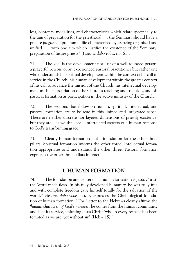less, contents, modalities, and characteristics which relate specifically to the aim of preparation for the priesthood . . . the Seminary should have a precise *program*, a program of life characterized by its being organized and unified . . . with one aim which justifies the existence of the Seminary: preparation of future priests" (*Pastores dabo vobis*, no. 61).

71. The goal is the development not just of a well-rounded person, a prayerful person, or an experienced pastoral practitioner but rather one who understands his spiritual development within the context of his call to service in the Church, his human development within the greater context of his call to advance the mission of the Church, his intellectual development as the appropriation of the Church's teaching and tradition, and his pastoral formation as participation in the active ministry of the Church.

72. The sections that follow on human, spiritual, intellectual, and pastoral formation are to be read in this unified and integrated sense. These are neither discrete nor layered dimensions of priestly existence, but they are—as we shall see—interrelated aspects of a human response to God's transforming grace.

73. Clearly human formation is the foundation for the other three pillars. Spiritual formation informs the other three. Intellectual formation appropriates and understands the other three. Pastoral formation expresses the other three pillars in practice.

# **I. Human Formation**

74. The foundation and center of all human formation is Jesus Christ, the Word made flesh. In his fully developed humanity, he was truly free and with complete freedom gave himself totally for the salvation of the world.44 *Pastores dabo vobis*, no. 5, expresses the Christological foundation of human formation: "The Letter to the Hebrews clearly affirms the '*human character' of God's minister*: he comes from the human community and is at its service, imitating Jesus Christ 'who in every respect has been tempted as we are, yet without sin' (Heb 4:15)."

<sup>44</sup> See Jn 10:17-18; Mk 10:45.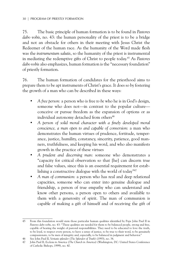75. The basic principle of human formation is to be found in *Pastores dabo vobis*, no. 43: the human personality of the priest is to be a bridge and not an obstacle for others in their meeting with Jesus Christ the Redeemer of the human race. As the humanity of the Word made flesh was the *instrumentum salutis*, so the humanity of the priest is instrumental in mediating the redemptive gifts of Christ to people today.45 As *Pastores dabo vobis* also emphasizes, human formation is the "necessary foundation" of priestly formation.

76. The human formation of candidates for the priesthood aims to prepare them to be apt instruments of Christ's grace. It does so by fostering the growth of a man who can be described in these ways:

- *A free person:* a person who is free *to be* who he is in God's design, someone who does not—in contrast to the popular culture conceive or pursue freedom as the expansion of options or as individual autonomy detached from others<sup>46</sup>
- *A person of solid moral character with a finely developed moral conscience, a man open to and capable of conversion*: a man who demonstrates the human virtues of prudence, fortitude, temperance, justice, humility, constancy, sincerity, patience, good manners, truthfulness, and keeping his word, and who also manifests growth in the practice of these virtues
- *A prudent and discerning man*: someone who demonstrates a "capacity for critical observation so that [he] can discern true and false values, since this is an essential requirement for establishing a constructive dialogue with the world of today"47
- *A man of communion*: a person who has real and deep relational capacities, someone who can enter into genuine dialogue and friendship, a person of true empathy who can understand and know other persons, a person open to others and available to them with a generosity of spirit. The man of communion is capable of making a gift of himself and of receiving the gift of

<sup>45</sup> From this foundation would stem those particular human qualities identified by Pope John Paul II in *Pastores dabo vobis*, no. 43: "These qualities are needed for them to be balanced people, strong and free, capable of bearing the weight of pastoral responsibilities. They need to be educated to love the truth, to be loyal, to respect every person, to have a sense of justice, to be true to their word, to be genuinely compassionate, to be men of integrity and, especially, to be balanced in judgment and behavior."

<sup>46</sup> See John Paul II, *Veritatis splendor* (*The Splendor of Truth*) (1993), no. 34.

<sup>47</sup> John Paul II, *Ecclesia in America* (*The Church in America*) (Washington, DC: United States Conference of Catholic Bishops, 1999), no. 40.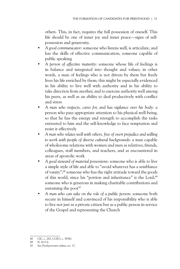others. This, in fact, requires the full possession of oneself. This life should be one of inner joy and inner peace—signs of selfpossession and generosity.

- *A good communicator*: someone who listens well, is articulate, and has the skills of effective communication, someone capable of public speaking
- *A person of affective maturity*: someone whose life of feelings is in balance and integrated into thought and values; in other words, a man of feelings who is not driven by them but freely lives his life enriched by them; this might be especially evidenced in his ability to live well with authority and in his ability to take direction from another, and to exercise authority well among his peers, as well as an ability to deal productively with conflict and stress
- *A man who respects, cares for, and has vigilance over his body*: a person who pays appropriate attention to his physical well-being, so that he has the energy and strength to accomplish the tasks entrusted to him and the self-knowledge to face temptation and resist it effectively
- *A man who relates well with others, free of overt prejudice and willing to work with people of diverse cultural backgrounds*: a man capable of wholesome relations with women and men as relatives, friends, colleagues, staff members, and teachers, and as encountered in areas of apostolic work
- *A good steward of material possessions*: someone who is able to live a simple style of life and able to "avoid whatever has a semblance of vanity";48 someone who has the right attitude toward the goods of this world, since his "portion and inheritance" is the Lord;<sup>49</sup> someone who is generous in making charitable contributions and sustaining the poor $50$
- *A man who can take on the role of a public person*: someone both secure in himself and convinced of his responsibility who is able to live not just as a private citizen but as a public person in service of the Gospel and representing the Church

<sup>48</sup> CIC, c. 282; CCEO, c. 385§1.

<sup>49</sup> Ps 16:5-6.

<sup>50</sup> See *Presbyterorum ordinis*, no. 17.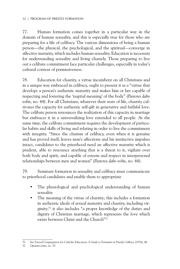77. Human formation comes together in a particular way in the domain of human sexuality, and this is especially true for those who are preparing for a life of celibacy. The various dimensions of being a human person—the physical, the psychological, and the spiritual—converge in affective maturity, which includes human sexuality. Education is necessary for understanding sexuality and living chastely. Those preparing to live out a celibate commitment face particular challenges, especially in today's cultural context of permissiveness.

78. Education for chastity, a virtue incumbent on all Christians and in a unique way embraced in celibacy, ought to present it as a "virtue that develops a person's authentic maturity and makes him or her capable of respecting and fostering the 'nuptial meaning' of the body" (*Pastores dabo vobis*, no. 44). For all Christians, whatever their state of life, chastity cultivates the capacity for authentic self-gift in generative and faithful love. The celibate person renounces the realization of this capacity in marriage but embraces it in a universalizing love extended to all people. At the same time, the celibate commitment requires the development of particular habits and skills of living and relating in order to live the commitment with integrity. "Since the charism of celibacy, even when it is genuine and has proved itself, leaves man's affections and his instinctive impulses intact, candidates to the priesthood need an affective maturity which is prudent, able to renounce anything that is a threat to it, vigilant over both body and spirit, and capable of esteem and respect in interpersonal relationships between men and women" (*Pastores dabo vobis*, no. 44).

79. Seminary formation in sexuality and celibacy must communicate to priesthood candidates and enable them to appropriate

- The physiological and psychological understanding of human sexuality
- The meaning of the virtue of chastity; this includes a formation in authentic ideals of sexual maturity and chastity, including virginity;51 it also includes "a proper knowledge of the duties and dignity of Christian marriage, which represents the love which exists between Christ and the Church"52

<sup>51</sup> See Sacred Congregation for Catholic Education, *A Guide to Formation in Priestly Celibacy* (1974), 46.

<sup>52</sup> *Optatam totius*, no. 10.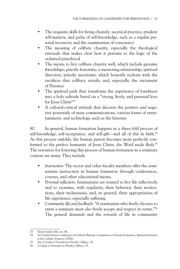- The requisite skills for living chastely: ascetical practice, prudent self-mastery, and paths of self-knowledge, such as a regular personal inventory and the examination of conscience
- The meaning of celibate chastity, especially the theological rationale that makes clear how it pertains to the logic of the ordained priesthood
- The means to live celibate chastity well, which include genuine friendships; priestly fraternity; a mentoring relationship; spiritual direction; priestly asceticism, which honestly reckons with the sacrifices that celibacy entails; and, especially, the sacrament of Penance
- The spiritual path that transforms the experience of loneliness into a holy solitude based on a "strong, lively, and personal love for Jesus Christ"<sup>53</sup>
- A cultural-critical attitude that discerns the positive and negative potentials of mass communications, various forms of entertainment, and technology, such as the Internet

80. In general, human formation happens in a three-fold process of self-knowledge, self-acceptance, and self-gift—and all of this in faith.<sup>54</sup> As this process unfolds, the human person becomes more perfectly conformed to the perfect humanity of Jesus Christ, the Word made flesh.<sup>55</sup> The resources for fostering this process of human formation in a seminary context are many. They include

- *Instruction*: The rector and other faculty members offer the seminarians instruction in human formation through conferences, courses, and other educational means.
- *Personal reflection*: Seminarians are trained to live life reflectively and to examine, with regularity, their behavior, their motivations, their inclinations, and, in general, their appropriation of life experience, especially suffering.
- *Community life and feedback*: "A seminarian who freely chooses to enter a seminary must also freely accept and respect its terms."56 The general demands and the rewards of life in community

<sup>53</sup> *Pastores dabo vobis,* no. 44.

<sup>54</sup> See United States Conference of Catholic Bishops, Committee on Priestly Formation, *Spiritual Formation in the Catholic Seminary* (1982).

<sup>55</sup> See *A Guide to Formation in Priestly Celibacy*, 19.

<sup>56</sup> *A Guide to Formation in Priestly Celibacy*, 74.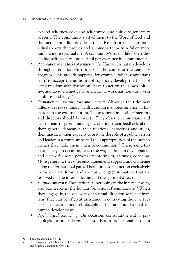expand self-knowledge and self-control and cultivate generosity of spirit. The community's attachment to the Word of God and the sacramental life provides a reflective mirror that helps individuals know themselves and summons them to a fuller, more human, more spiritual life. A community's rule of life fosters discipline, self-mastery, and faithful perseverance in commitments.

- *Application to the tasks of seminary life*: Human formation develops through interaction with others in the course of the seminary program. This growth happens, for example, when seminarians learn to accept the authority of superiors, develop the habit of using freedom with discretion, learn to act on their own initiative and do so energetically, and learn to work harmoniously with confreres and laity.<sup>57</sup>
- *Formation advisors/mentors and directors*: Although the titles may differ, on every seminary faculty, certain members function as formators in the external forum. These formation advisors/mentors and directors should be priests. They observe seminarians and assist them to grow humanly by offering them feedback about their general demeanor, their relational capacities and styles, their maturity, their capacity to assume the role of a public person and leader in a community, and their appropriation of the human virtues that make them "men of communion." These same formators may, on occasion, teach the ways of human development and even offer some personal mentoring or, at times, coaching. More generally, they offer encouragement, support, and challenge along the formational path. These formators function exclusively in the external forum and are not to engage in matters that are reserved for the internal forum and the spiritual director.
- *Spiritual directors*: These priests, functioning in the internal forum, also play a role in the human formation of seminarians.<sup>58</sup> When they engage in the dialogue of spiritual direction with seminarians, they can be of great assistance in cultivating those virtues of self-reflection and self-discipline that are foundational for human development.
- *Psychological counseling*: On occasion, consultation with a psychologist or other licensed mental health professional can be a

<sup>57</sup> See *Optatam totius*, no. 11.

<sup>58</sup> See Congregation for Institutes of Consecrated Life and Societies of Apostolic Life, *Letter to U.S. Bishops and Religious Superiors* (1990)*,* 31.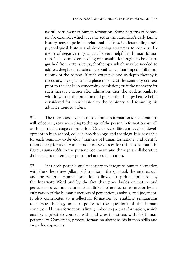useful instrument of human formation. Some patterns of behavior, for example, which became set in the candidate's early family history, may impede his relational abilities. Understanding one's psychological history and developing strategies to address elements of negative impact can be very helpful in human formation. This kind of counseling or consultation ought to be distinguished from extensive psychotherapy, which may be needed to address deeply entrenched personal issues that impede full functioning of the person. If such extensive and in-depth therapy is necessary, it ought to take place outside of the seminary context prior to the decision concerning admission; or, if the necessity for such therapy emerges after admission, then the student ought to withdraw from the program and pursue the therapy before being considered for re-admission to the seminary and resuming his advancement to orders.

81. The norms and expectations of human formation for seminarians will, of course, vary according to the age of the person in formation as well as the particular stage of formation. One expects different levels of development in high school, college, pre-theology, and theology. It is advisable for each seminary to develop "markers of human formation" and identify them clearly for faculty and students. Resources for this can be found in *Pastores dabo vobis*, in the present document, and through a collaborative dialogue among seminary personnel across the nation.

82. It is both possible and necessary to integrate human formation with the other three pillars of formation—the spiritual, the intellectual, and the pastoral. Human formation is linked to spiritual formation by the Incarnate Word and by the fact that grace builds on nature and perfects nature. Human formation is linked to intellectual formation by the cultivation of the human functions of perception, analysis, and judgment. It also contributes to intellectual formation by enabling seminarians to pursue theology as a response to the questions of the human condition. Human formation is finally linked to pastoral formation, which enables a priest to connect with and care for others with his human personality. Conversely, pastoral formation sharpens his human skills and empathic capacities.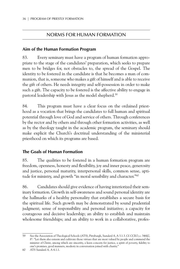#### Norms For Human Formation

#### **Aim of the Human Formation Program**

83. Every seminary must have a program of human formation appropriate to the stage of the candidates' preparation, which seeks to prepare men to be bridges for, not obstacles to, the spread of the Gospel. The identity to be fostered in the candidate is that he becomes a man of communion, that is, someone who makes a gift of himself and is able to receive the gift of others. He needs integrity and self-possession in order to make such a gift. The capacity to be fostered is the affective ability to engage in pastoral leadership with Jesus as the model shepherd.<sup>59</sup>

84. This program must have a clear focus on the ordained priesthood as a vocation that brings the candidates to full human and spiritual potential through love of God and service of others. Through conferences by the rector and by others and through other formation activities, as well as by the theology taught in the academic program, the seminary should make explicit the Church's doctrinal understanding of the ministerial priesthood on which its programs are based.

#### **The Goals of Human Formation**

85. The qualities to be fostered in a human formation program are freedom, openness, honesty and flexibility, joy and inner peace, generosity and justice, personal maturity, interpersonal skills, common sense, aptitude for ministry, and growth "in moral sensibility and character."60

86. Candidates should give evidence of having interiorized their seminary formation. Growth in self-awareness and sound personal identity are the hallmarks of a healthy personality that establishes a secure basis for the spiritual life. Such growth may be demonstrated by sound prudential judgment; sense of responsibility and personal initiative; a capacity for courageous and decisive leadership; an ability to establish and maintain wholesome friendships; and an ability to work in a collaborative, profes-

<sup>59</sup> See the Association of Theological Schools (ATS), Pittsburgh, *Standard A,* A 3.1.3. Cf. CCEO, c. 346§2, 8°: "Let them also esteem and cultivate those virtues that are most valued by people and commend the minister of Christ, among which are sincerity, a keen concern for justice, a spirit of poverty, fidelity to one's promises, good manners, modesty in conversation joined with charity."

<sup>60</sup> ATS *Standard A,* A 4.1.1.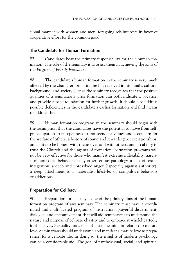sional manner with women and men, foregoing self-interests in favor of cooperative effort for the common good.

#### **The Candidate for Human Formation**

87. Candidates bear the primary responsibility for their human formation. The role of the seminary is to assist them in achieving the aims of the *Program of Priestly Formation*.

88. The candidate's human formation in the seminary is very much affected by the character formation he has received in his family, cultural background, and society. Just as the seminary recognizes that the positive qualities of a seminarian's prior formation can both indicate a vocation and provide a solid foundation for further growth, it should also address possible deficiencies in the candidate's earlier formation and find means to address them.

89. Human formation programs in the seminary should begin with the assumption that the candidates have the potential to move from selfpreoccupation to an openness to transcendent values and a concern for the welfare of others; a history of sound and rewarding peer relationships; an ability to be honest with themselves and with others; and an ability to trust the Church and the agents of formation. Formation programs will not be very effective for those who manifest extreme inflexibility, narcissism, antisocial behavior or any other serious pathology, a lack of sexual integration, a deep and unresolved anger (especially against authority), a deep attachment to a materialist lifestyle, or compulsive behaviors or addictions.

#### **Preparation for Celibacy**

90. Preparation for celibacy is one of the primary aims of the human formation program of any seminary. The seminary must have a coordinated and multifaceted program of instruction, prayerful discernment, dialogue, and encouragement that will aid seminarians to understand the nature and purpose of celibate chastity and to embrace it wholeheartedly in their lives. Sexuality finds its authentic meaning in relation to mature love. Seminarians should understand and manifest a mature love as preparation for a celibate life. In doing so, the insights of modern psychology can be a considerable aid. The goal of psychosexual, social, and spiritual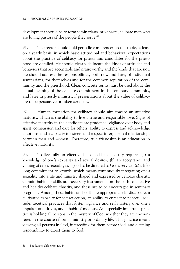development should be to form seminarians into chaste, celibate men who are loving pastors of the people they serve.<sup>61</sup>

91. The rector should hold periodic conferences on this topic, at least on a yearly basis, in which basic attitudinal and behavioral expectations about the practice of celibacy for priests and candidates for the priesthood are detailed. He should clearly delineate the kinds of attitudes and behaviors that are acceptable and praiseworthy and the kinds that are not. He should address the responsibilities, both now and later, of individual seminarians, for themselves and for the common reputation of the community and the priesthood. Clear, concrete terms must be used about the actual meaning of the celibate commitment in the seminary community, and later in priestly ministry, if presentations about the value of celibacy are to be persuasive or taken seriously.

92. Human formation for celibacy should aim toward an affective maturity, which is the ability to live a true and responsible love. Signs of affective maturity in the candidate are prudence, vigilance over body and spirit, compassion and care for others, ability to express and acknowledge emotions, and a capacity to esteem and respect interpersonal relationships between men and women. Therefore, true friendship is an education in affective maturity.

93. To live fully an effective life of celibate chastity requires (a) a knowledge of one's sexuality and sexual desires; (b) an acceptance and valuing of one's sexuality as a good to be directed to God's service; (c) a lifelong commitment to growth, which means continuously integrating one's sexuality into a life and ministry shaped and expressed by celibate chastity. Certain habits or skills are necessary instruments on the path to effective and healthy celibate chastity, and these are to be encouraged in seminary programs. Among these habits and skills are appropriate self- disclosure, a cultivated capacity for self-reflection, an ability to enter into peaceful solitude, ascetical practices that foster vigilance and self mastery over one's impulses and drives, and a habit of modesty. An especially important practice is holding all persons in the mystery of God, whether they are encountered in the course of formal ministry or ordinary life. This practice means viewing all persons in God, interceding for them before God, and claiming responsibility to direct them to God.

<sup>61</sup> See *Pastores dabo vobis*, no. 44.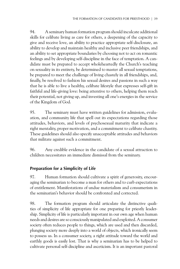94. A seminary human formation program should inculcate additional skills for celibate living as care for others, a deepening of the capacity to give and receive love, an ability to practice appropriate self-disclosure, an ability to develop and maintain healthy and inclusive peer friendships, and an ability to set appropriate boundaries by choosing not to act on romantic feelings and by developing self-discipline in the face of temptation. A candidate must be prepared to accept wholeheartedly the Church's teaching on sexuality in its entirety, be determined to master all sexual temptations, be prepared to meet the challenge of living chastely in all friendships, and, finally, be resolved to fashion his sexual desires and passions in such a way that he is able to live a healthy, celibate lifestyle that expresses self-gift in faithful and life-giving love: being attentive to others, helping them reach their potential, not giving up, and investing all one's energies in the service of the Kingdom of God.

95. The seminary must have written guidelines for admission, evaluation, and community life that spell out its expectations regarding those attitudes, behaviors, and levels of psychosexual maturity that indicate a right mentality, proper motivation, and a commitment to celibate chastity. These guidelines should also specify unacceptable attitudes and behaviors that militate against such a commitment.

96. Any credible evidence in the candidate of a sexual attraction to children necessitates an immediate dismissal from the seminary.

## **Preparation for a Simplicity of Life**

97. Human formation should cultivate a spirit of generosity, encouraging the seminarian to become a man for others and to curb expectations of entitlement. Manifestations of undue materialism and consumerism in the seminarian's behavior should be confronted and corrected.

98. The formation program should articulate the distinctive qualities of simplicity of life appropriate for one preparing for priestly leadership. Simplicity of life is particularly important in our own age when human needs and desires are so consciously manipulated and exploited. A consumer society often reduces people to things, which are used and then discarded, plunging society more deeply into a world of objects, which ironically seem to possess us. In a consumer society, a right attitude toward the world and earthly goods is easily lost. That is why a seminarian has to be helped to cultivate personal self-discipline and asceticism. It is an important pastoral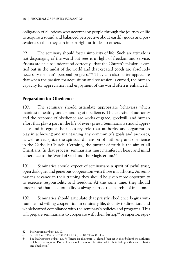obligation of all priests who accompany people through the journey of life to acquire a sound and balanced perspective about earthly goods and possessions so that they can impart right attitudes to others.

99. The seminary should foster simplicity of life. Such an attitude is not disparaging of the world but sees it in light of freedom and service. Priests are able to understand correctly "that the Church's mission is carried out in the midst of the world and that created goods are absolutely necessary for man's personal progress."62 They can also better appreciate that when the passion for acquisition and possession is curbed, the human capacity for appreciation and enjoyment of the world often is enhanced.

#### **Preparation for Obedience**

100. The seminary should articulate appropriate behaviors which manifest a healthy understanding of obedience. The exercise of authority and the response of obedience are works of grace, goodwill, and human effort that play a part in the life of every priest. Seminarians should appreciate and integrate the necessary role that authority and organization play in achieving and maintaining any community's goals and purposes, as well as recognize the spiritual dimension of authority and obedience in the Catholic Church. Certainly, the pursuit of truth is the aim of all Christians. In that process, seminarians must manifest in heart and mind adherence to the Word of God and the Magisterium.<sup>63</sup>

101. Seminaries should expect of seminarians a spirit of joyful trust, open dialogue, and generous cooperation with those in authority. As seminarians advance in their training they should be given more opportunity to exercise responsibility and freedom. At the same time, they should understand that accountability is always part of the exercise of freedom.

102. Seminaries should articulate that priestly obedience begins with humble and willing cooperation in seminary life, docility to direction, and wholehearted compliance with the seminary's policies and programs. This will prepare seminarians to cooperate with their bishop<sup>64</sup> or superior, espe-

<sup>62</sup> *Presbyterorum ordinis*, no. 17.

See CIC, cc. 748§1 and 750-754; CCEO, cc. 10, 598-600, 1436.

<sup>64</sup> See *Presbyterorum ordinis*, no. 7: "Priests for their part . . . should [respect in their bishop] the authority of Christ the supreme Pastor. They should therefore be attached to their bishop with sincere charity and obedience."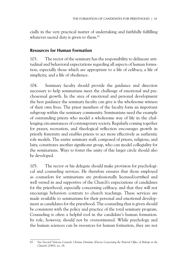cially in the very practical matter of undertaking and faithfully fulfilling whatever sacred duty is given to them.<sup>65</sup>

#### **Resources for Human Formation**

103. The rector of the seminary has the responsibility to delineate attitudinal and behavioral expectations regarding all aspects of human formation, especially those which are appropriate to a life of celibacy, a life of simplicity, and a life of obedience.

104. Seminary faculty should provide the guidance and direction necessary to help seminarians meet the challenge of emotional and psychosexual growth. In the area of emotional and personal development the best guidance the seminary faculty can give is the wholesome witness of their own lives. The priest members of the faculty form an important subgroup within the seminary community. Seminarians need the example of outstanding priests who model a wholesome way of life in the challenging circumstances of contemporary society. Regularly coming together for prayer, recreation, and theological reflection encourages growth in priestly fraternity and enables priests to act more effectively as authentic role models. The entire seminary staff, composed of priests, religious, and laity, constitutes another significant group, who can model collegiality for the seminarians. Ways to foster the unity of this larger circle should also be developed.

105. The rector or his delegate should make provision for psychological and counseling services. He therefore ensures that those employed as counselors for seminarians are professionally licensed/certified and well versed in and supportive of the Church's expectations of candidates for the priesthood, especially concerning celibacy, and that they will not encourage behaviors contrary to church teachings. These services are made available to seminarians for their personal and emotional development as candidates for the priesthood. The counseling that is given should be consistent with the policy and practice of the total seminary program. Counseling is often a helpful tool in the candidate's human formation. Its role, however, should not be overestimated. While psychology and the human sciences can be resources for human formation, they are not

<sup>65</sup> See Second Vatican Council, *Christus Dominus* (*Decree Concerning the Pastoral Office of Bishops in the Church*) (1965), no. 28.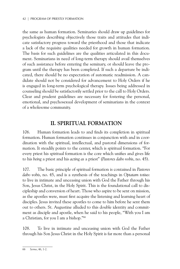the same as human formation. Seminaries should draw up guidelines for psychologists describing objectively those traits and attitudes that indicate satisfactory progress toward the priesthood and those that indicate a lack of the requisite qualities needed for growth in human formation. The basis for such guidelines are the qualities articulated in this document. Seminarians in need of long-term therapy should avail themselves of such assistance before entering the seminary, or should leave the program until the therapy has been completed. If such a departure be indicated, there should be no expectation of automatic readmission. A candidate should not be considered for advancement to Holy Orders if he is engaged in long-term psychological therapy. Issues being addressed in counseling should be satisfactorily settled prior to the call to Holy Orders. Clear and prudent guidelines are necessary for fostering the personal, emotional, and psychosexual development of seminarians in the context of a wholesome community.

## **II. Spiritual Formation**

106. Human formation leads to and finds its completion in spiritual formation. Human formation continues in conjunction with and in coordination with the spiritual, intellectual, and pastoral dimensions of formation. It steadily points to the center, which is spiritual formation. "For every priest his spiritual formation is the core which unifies and gives life to his *being* a priest and his *acting as* a priest" (*Pastores dabo vobis*, no. 45).

107. The basic principle of spiritual formation is contained in *Pastores dabo vobis*, no. 45, and is a synthesis of the teachings in *Optatam totius*: to live in intimate and unceasing union with God the Father through his Son, Jesus Christ, in the Holy Spirit. This is the foundational call to discipleship and conversion of heart. Those who aspire to be sent on mission, as the apostles were, must first acquire the listening and learning heart of disciples. Jesus invited these apostles to come to him before he sent them out to others. St. Augustine alluded to this double identity and commitment as disciple and apostle, when he said to his people, "With you I am a Christian, for you I am a bishop."66

108. To live in intimate and unceasing union with God the Father through his Son Jesus Christ in the Holy Spirit is far more than a personal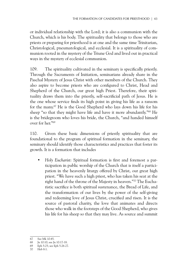or individual relationship with the Lord; it is also a communion with the Church, which is his body. The spirituality that belongs to those who are priests or preparing for priesthood is at one and the same time Trinitarian, Christological, pneumatological, and ecclesial. It is a spirituality of communion rooted in the mystery of the Triune God and lived out in practical ways in the mystery of ecclesial communion.

109. The spirituality cultivated in the seminary is specifically priestly. Through the Sacraments of Initiation, seminarians already share in the Paschal Mystery of Jesus Christ with other members of the Church. They also aspire to become priests who are configured to Christ, Head and Shepherd of the Church, our great high Priest. Therefore, their spirituality draws them into the priestly, self-sacrificial path of Jesus. He is the one whose service finds its high point in giving his life as a ransom for the many.67 He is the Good Shepherd who lays down his life for his sheep "so that they might have life and have it more abundantly."68 He is the bridegroom who loves his bride, the Church, "and handed himself over for her."69

110. Given these basic dimensions of priestly spirituality that are foundational to the program of spiritual formation in the seminary, the seminary should identify those characteristics and practices that foster its growth. It is a formation that includes

• *Holy Eucharist*: Spiritual formation is first and foremost a participation in public worship of the Church that is itself a participation in the heavenly liturgy offered by Christ, our great high priest. "We have such a high priest, who has taken his seat at the right hand of the throne of the Majesty in heaven."70 The Eucharistic sacrifice is both spiritual sustenance, the Bread of Life, and the transformation of our lives by the power of the self-giving and redeeming love of Jesus Christ, crucified and risen. It is the source of pastoral charity, the love that animates and directs those who walk in the footsteps of the Good Shepherd, who gives his life for his sheep so that they may live. As source and summit

<sup>67</sup> See Mk 10:45.

<sup>68</sup> Jn 10:10; see Jn 10:17-18.

<sup>69</sup> Eph 5:25; see Eph 5:26-27.

<sup>70</sup> Heb 8:1.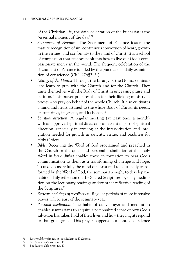of the Christian life, the daily celebration of the Eucharist is the "essential moment of the day."71

- *Sacrament of Penance*: The Sacrament of Penance fosters the mature recognition of sin, continuous conversion of heart, growth in the virtues, and conformity to the mind of Christ. It is a school of compassion that teaches penitents how to live out God's compassionate mercy in the world. The frequent celebration of the Sacrament of Penance is aided by the practice of a daily examination of conscience (CIC, 276§2, 5°).
- *Liturgy of the Hours*: Through the Liturgy of the Hours, seminarians learn to pray with the Church and for the Church. They unite themselves with the Body of Christ in unceasing praise and petition. This prayer prepares them for their lifelong ministry as priests who pray on behalf of the whole Church. It also cultivates a mind and heart attuned to the whole Body of Christ, its needs, its sufferings, its graces, and its hopes.72
- *Spiritual direction*: A regular meeting (at least once a month) with an approved spiritual director is an essential part of spiritual direction, especially in arriving at the interiorization and integration needed for growth in sanctity, virtue, and readiness for Holy Orders.
- *Bible*: Receiving the Word of God proclaimed and preached in the Church or the quiet and personal assimilation of that holy Word in *lectio divina* enables those in formation to hear God's communication to them as a transforming challenge and hope. To take on more fully the mind of Christ and to be steadily transformed by the Word of God, the seminarian ought to develop the habit of daily reflection on the Sacred Scriptures, by daily meditation on the lectionary readings and/or other reflective reading of the Scriptures.73
- *Retreats and days of recollection*: Regular periods of more intensive prayer will be part of the seminary year.
- *Personal meditation*: The habit of daily prayer and meditation enables seminarians to acquire a personalized sense of how God's salvation has taken hold of their lives and how they might respond to that great grace. This prayer happens in a context of silence

<sup>71</sup> *Pastores dabo vobis*, no. 46; see *Ecclesia de Eucharistia.*

<sup>72</sup> See *Pastores dabo vobis*, no. 48.

<sup>73</sup> See *Pastores dabo vobis*, no. 47.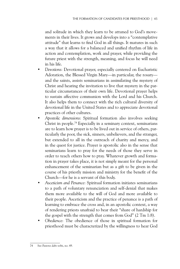and solitude in which they learn to be attuned to God's movements in their lives. It grows and develops into a "contemplative attitude" that learns to find God in all things. It matures in such a way that it allows for a balanced and unified rhythm of life in action and contemplation, work and prayer, while providing the future priest with the strength, meaning, and focus he will need in his life.

- *Devotions*: Devotional prayer, especially centered on Eucharistic Adoration, the Blessed Virgin Mary—in particular, the rosary and the saints, assists seminarians in assimilating the mystery of Christ and hearing the invitation to live that mystery in the particular circumstances of their own life. Devotional prayer helps to sustain affective communion with the Lord and his Church. It also helps them to connect with the rich cultural diversity of devotional life in the United States and to appreciate devotional practices of other cultures.
- *Apostolic dimensions*: Spiritual formation also involves seeking Christ in people.74 Especially in a seminary context, seminarians are to learn how prayer is to be lived out in service of others, particularly the poor, the sick, sinners, unbelievers, and the stranger, but extended to all in the outreach of charity and mercy, and in the quest for justice. Prayer is apostolic also in the sense that seminarians learn to pray for the needs of those they serve in order to teach others how to pray. Whatever growth and formation in prayer takes place, it is not simply meant for the personal enhancement of the seminarian but as a gift to be given in the course of his priestly mission and ministry for the benefit of the Church—for he is a servant of this body.
- *Asceticism and Penance*: Spiritual formation initiates seminarians to a path of voluntary renunciation and self-denial that makes them more available to the will of God and more available to their people. Asceticism and the practice of penance is a path of learning to embrace the cross and, in an apostolic context, a way of rendering priests unafraid to bear their "share of hardship for the gospel with the strength that comes from God" (2 Tm 1:8).
- *Obedience*: The obedience of those in spiritual formation for priesthood must be characterized by the willingness to hear God

<sup>74</sup> See *Pastores dabo vobis*, no. 49.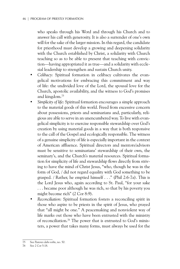who speaks through his Word and through his Church and to answer his call with generosity. It is also a surrender of one's own will for the sake of the larger mission. In this regard, the candidate for priesthood must develop a growing and deepening solidarity with the Church established by Christ, a solidarity with Church teaching so as to be able to present that teaching with conviction—having appropriated it as true—and a solidarity with ecclesial leadership to strengthen and sustain Church unity.

- *Celibacy*: Spiritual formation in celibacy cultivates the evangelical motivations for embracing this commitment and way of life: the undivided love of the Lord, the spousal love for the Church, apostolic availability, and the witness to God's promises and kingdom.75
- *Simplicity of life*: Spiritual formation encourages a simple approach to the material goods of this world. Freed from excessive concern about possessions, priests and seminarians and, particularly, religious are able to serve in an unencumbered way. To live with evangelical simplicity is to exercise responsible stewardship over God's creation by using material goods in a way that is both responsive to the call of the Gospel and ecologically responsible. The witness of a genuine simplicity of life is especially important in the context of American affluence. Spiritual directors and mentors/advisors must be sensitive to seminarians' stewardship of their own, the seminary's, and the Church's material resources. Spiritual formation for simplicity of life and stewardship flows directly from striving to have the mind of Christ Jesus, "who, though he was in the form of God, / did not regard equality with God something to be grasped. / Rather, he emptied himself . . ." (Phil 2:6-7a). This is the Lord Jesus who, again according to St. Paul, "for your sake . . . became poor although he was rich, so that by his poverty you might become rich" (2 Cor 8:9).
- *Reconciliation*: Spiritual formation fosters a reconciling spirit in those who aspire to be priests in the spirit of Jesus, who prayed that "all might be one." A peacemaking and nonviolent way of life marks out those who have been entrusted with the ministry of reconciliation.76 The power that is entrusted to God's ministers, a power that takes many forms, must always be used for the

<sup>75</sup> See *Pastores dabo vobis*, no. 50.

<sup>76</sup> See 2 Cor 5:18.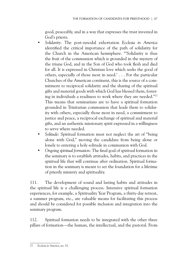good, peaceably, and in a way that expresses the trust invested in God's priests.

- *Solidarity*: The post-synodal exhortation *Ecclesia in America* identified the critical importance of the path of solidarity for the Church in the American hemisphere. "'Solidarity is thus the fruit of the communion which is grounded in the mystery of the triune God, and in the Son of God who took flesh and died for all. It is expressed in Christian love which seeks the good of others, especially of those most in need.' . . . For the particular Churches of the American continent, this is the source of a commitment to reciprocal solidarity and the sharing of the spiritual gifts and material goods with which God has blessed them, fostering in individuals a readiness to work where they are needed."77 This means that seminarians are to have a spiritual formation grounded in Trinitarian communion that leads them to solidarity with others, especially those most in need, a commitment to justice and peace, a reciprocal exchange of spiritual and material gifts, and an authentic missionary spirit expressed in a willingness to serve where needed.
- *Solitude*: Spiritual formation must not neglect the art of "being alone with God," moving the candidate from being alone or lonely to entering a holy solitude in communion with God.
- *Ongoing spiritual formation*: The final goal of spiritual formation in the seminary is to establish attitudes, habits, and practices in the spiritual life that will continue after ordination. Spiritual formation in the seminary is meant to set the foundation for a lifetime of priestly ministry and spirituality.

111. The development of sound and lasting habits and attitudes in the spiritual life is a challenging process. Intensive spiritual formation experiences, for example, a Spirituality Year Program, a thirty-day retreat, a summer program, etc., are valuable means for facilitating this process and should be considered for possible inclusion and integration into the seminary program.

112. Spiritual formation needs to be integrated with the other three pillars of formation—the human, the intellectual, and the pastoral. From

<sup>77</sup> *Ecclesia in America*, no. 52.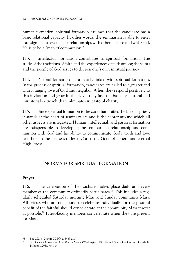human formation, spiritual formation assumes that the candidate has a basic relational capacity. In other words, the seminarian is able to enter into significant, even deep, relationships with other persons and with God. He is to be a "man of communion."

113. Intellectual formation contributes to spiritual formation. The study of the traditions of faith and the experiences of faith among the saints and the people of God serves to deepen one's own spiritual journey.

114. Pastoral formation is intimately linked with spiritual formation. In the process of spiritual formation, candidates are called to a greater and wider-ranging love of God and neighbor. When they respond positively to this invitation and grow in that love, they find the basis for pastoral and ministerial outreach that culminates in pastoral charity.

115. Since spiritual formation is the core that unifies the life of a priest, it stands at the heart of seminary life and is the center around which all other aspects are integrated. Human, intellectual, and pastoral formation are indispensable in developing the seminarian's relationship and communion with God and his ability to communicate God's truth and love to others in the likeness of Jesus Christ, the Good Shepherd and eternal High Priest.

## Norms For Spiritual Formation

#### **Prayer**

116. The celebration of the Eucharist takes place daily and every member of the community ordinarily participates.<sup>78</sup> This includes a regularly scheduled Saturday morning Mass and Sunday community Mass. All priests who are not bound to celebrate individually for the pastoral benefit of the faithful should concelebrate at the community Mass insofar as possible.79 Priest-faculty members concelebrate when they are present for Mass.

<sup>78</sup> See CIC, c. 246§1; CCEO, c. 346§2, 2°.

<sup>79</sup> See *General Instruction of the Roman Missal* (Washington, DC: United States Conference of Catholic Bishops, 2003), no. 114.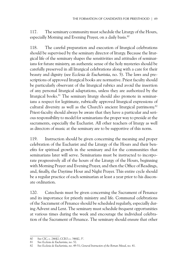117. The seminary community must schedule the Liturgy of the Hours, especially Morning and Evening Prayer, on a daily basis.<sup>80</sup>

118. The careful preparation and execution of liturgical celebrations should be supervised by the seminary director of liturgy. Because the liturgical life of the seminary shapes the sensitivities and attitudes of seminarians for future ministry, an authentic sense of the holy mysteries should be carefully preserved in all liturgical celebrations along with a care for their beauty and dignity (see *Ecclesia de Eucharistia*, no. 5). The laws and prescriptions of approved liturgical books are normative. Priest faculty should be particularly observant of the liturgical rubrics and avoid the insertion of any personal liturgical adaptations, unless they are authorized by the liturgical books.<sup>81</sup> The seminary liturgy should also promote in seminarians a respect for legitimate, rubrically approved liturgical expressions of cultural diversity as well as the Church's ancient liturgical patrimony.82 Priest-faculty should always be aware that they have a particular and serious responsibility to model for seminarians the proper way to preside at the sacraments, especially the Eucharist. All other teachers of liturgy as well as directors of music at the seminary are to be supportive of this norm.

119. Instruction should be given concerning the meaning and proper celebration of the Eucharist and the Liturgy of the Hours and their benefits for spiritual growth in the seminary and for the communities that seminarians later will serve. Seminarians must be instructed to incorporate progressively all of the hours of the Liturgy of the Hours, beginning with Morning Prayer and Evening Prayer, and then the Office of Readings, and, finally, the Daytime Hour and Night Prayer. This entire cycle should be a regular practice of each seminarian at least a year prior to his diaconate ordination.

120. Catechesis must be given concerning the Sacrament of Penance and its importance for priestly ministry and life. Communal celebrations of the Sacrament of Penance should be scheduled regularly, especially during Advent and Lent. The seminary must schedule frequent opportunities at various times during the week and encourage the individual celebration of the Sacrament of Penance. The seminary should ensure that other

<sup>80</sup> See CIC, c. 246§2; CCEO, c. 346§2, 3°.

<sup>81</sup> See *Ecclesia de Eucharistia*, no. 52.

<sup>82</sup> See *Ecclesia de Eucharistia*, no. 49-51; *General Instruction of the Roman Missal*, no. 41.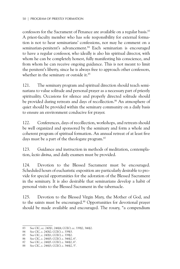confessors for the Sacrament of Penance are available on a regular basis.<sup>83</sup> A priest-faculty member who has sole responsibility for external formation is not to hear seminarians' confessions, nor may he comment on a seminarian-penitent's advancement.<sup>84</sup> Each seminarian is encouraged to have a regular confessor, who ideally is also his spiritual director, with whom he can be completely honest, fully manifesting his conscience, and from whom he can receive ongoing guidance. This is not meant to limit the penitent's liberty, since he is always free to approach other confessors, whether in the seminary or outside it.<sup>85</sup>

121. The seminary program and spiritual direction should teach seminarians to value solitude and personal prayer as a necessary part of priestly spirituality. Occasions for silence and properly directed solitude should be provided during retreats and days of recollection.<sup>86</sup> An atmosphere of quiet should be provided within the seminary community on a daily basis to ensure an environment conducive for prayer.

122. Conferences, days of recollection, workshops, and retreats should be well organized and sponsored by the seminary and form a whole and coherent program of spiritual formation. An annual retreat of at least five days must be a part of the theologate program.<sup>87</sup>

123. Guidance and instruction in methods of meditation, contemplation, *lectio divina*, and daily examen must be provided.

124. Devotion to the Blessed Sacrament must be encouraged. Scheduled hours of eucharistic exposition are particularly desirable to provide for special opportunities for the adoration of the Blessed Sacrament in the seminary. It is also desirable that seminarians develop a habit of personal visits to the Blessed Sacrament in the tabernacle.

125. Devotion to the Blessed Virgin Mary, the Mother of God, and to the saints must be encouraged.<sup>88</sup> Opportunities for devotional prayer should be made available and encouraged. The rosary, "a compendium

<sup>83</sup> See CIC, cc. 240§1, 246§4; CCEO, cc. 339§2, 346§2.

<sup>84</sup> See CIC, c. 240§2; CCEO, c. 339§3.<br>85 See CIC, c. 240§1: CCEO, c. 339§2.

See CIC, c. 240§1; CCEO, c. 339§2.

<sup>86</sup> See CIC, c. 246§5; CCEO, c. 346§2, 6°.

<sup>87</sup> See CIC, c. 246§5. CCEO, c. 346§2, 6°.

<sup>88</sup> See CIC, c. 246§3; CCEO, c. 346§2, 5°.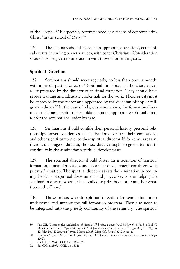of the Gospel,"89 is especially recommended as a means of contemplating Christ "in the school of Mary."90

126. The seminary should sponsor, on appropriate occasions, ecumenical events, including prayer services, with other Christians. Consideration should also be given to interaction with those of other religions.

#### **Spiritual Direction**

127. Seminarians should meet regularly, no less than once a month, with a priest spiritual director.<sup>91</sup> Spiritual directors must be chosen from a list prepared by the director of spiritual formation. They should have proper training and adequate credentials for the work. These priests must be approved by the rector and appointed by the diocesan bishop or religious ordinary.92 In the case of religious seminarians, the formation director or religious superior offers guidance on an appropriate spiritual director for the seminarians under his care.

128. Seminarians should confide their personal history, personal relationships, prayer experiences, the cultivation of virtues, their temptations, and other significant topics to their spiritual director. If, for serious reason, there is a change of director, the new director ought to give attention to continuity in the seminarian's spiritual development.

129. The spiritual director should foster an integration of spiritual formation, human formation, and character development consistent with priestly formation. The spiritual director assists the seminarian in acquiring the skills of spiritual discernment and plays a key role in helping the seminarian discern whether he is called to priesthood or to another vocation in the Church.

130. Those priests who do spiritual direction for seminarians must understand and support the full formation program. They also need to be integrated into the priestly community of the seminary. The spiritual

<sup>89</sup> Pius XII, "Letter to the Archbishop of Manila," *Philippinas insulas* (*AAS* 38 [1946] 419). See Paul VI, *Marialis cultus* (*For the Right Ordering and Development of Devotion to the Blessed Virgin Mary*) (1974), no. 42; John Paul II, *Rosarium Virginis Mariae* (*On the Most Holy Rosary*) (2002), no. 1.

<sup>90</sup> *Rosarium Virginis Mariae*, no. 1 (Washington, DC: United States Conference of Catholic Bishops, 2002).

<sup>91</sup> See CIC, c. 246§4; CCEO, c. 346§2, 4°.

<sup>92</sup> See CIC, c. 239§2; CCEO, c. 339§1.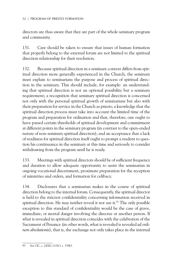directors are thus aware that they are part of the whole seminary program and community.

131. Care should be taken to ensure that issues of human formation that properly belong to the external forum are not limited to the spiritual direction relationship for their resolution.

132. Because spiritual direction in a seminary context differs from spiritual direction more generally experienced in the Church, the seminary must explain to seminarians the purpose and process of spiritual direction in the seminary. This should include, for example: an understanding that spiritual direction is not an optional possibility but a seminary requirement; a recognition that seminary spiritual direction is concerned not only with the personal spiritual growth of seminarians but also with their preparation for service in the Church as priests; a knowledge that the spiritual direction process must take into account the limited time of the program and preparation for ordination and that, therefore, one ought to have passed certain thresholds of spiritual development and commitment at different points in the seminary program (in contrast to the open-ended nature of non-seminary spiritual direction); and an acceptance that a lack of readiness for spiritual direction itself ought to prompt a student to question his continuance in the seminary at this time and seriously to consider withdrawing from the program until he is ready.

133. Meetings with spiritual directors should be of sufficient frequency and duration to allow adequate opportunity to assist the seminarian in ongoing vocational discernment, proximate preparation for the reception of ministries and orders, and formation for celibacy.

134. Disclosures that a seminarian makes in the course of spiritual direction belong to the internal forum. Consequently, the spiritual director is held to the strictest confidentiality concerning information received in spiritual direction. He may neither reveal it nor use it.<sup>93</sup> The only possible exception to this standard of confidentiality would be the case of grave, immediate, or mortal danger involving the directee or another person. If what is revealed in spiritual direction coincides with the celebration of the Sacrament of Penance (in other words, what is revealed is revealed *ad ordinem absolutionis*), that is, the exchange not only takes place in the internal

<sup>93</sup> See CIC, c. 240§2; CCEO, c. 339§3.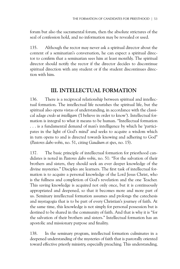forum but also the sacramental forum, then the absolute strictures of the seal of confession hold, and no information may be revealed or used.

135. Although the rector may never ask a spiritual director about the content of a seminarian's conversation, he can expect a spiritual director to confirm that a seminarian sees him at least monthly. The spiritual director should notify the rector if the director decides to discontinue spiritual direction with any student or if the student discontinues direction with him.

# **III. Intellectual Formation**

136. There is a reciprocal relationship between spiritual and intellectual formation. The intellectual life nourishes the spiritual life, but the spiritual also opens vistas of understanding, in accordance with the classical adage *credo ut intelligam* ('I believe in order to know'). Intellectual formation is integral to what it means to be human. "Intellectual formation . . . is a fundamental demand of man's intelligence by which he 'participates in the light of God's mind' and seeks to acquire a wisdom which in turn opens to and is directed towards knowing and adhering to God" (*Pastores dabo vobis*, no. 51, citing *Gaudium et spes*, no. 15).

137. The basic principle of intellectual formation for priesthood candidates is noted in *Pastores dabo vobis*, no. 51: "For the salvation of their brothers and sisters, they should seek an ever deeper knowledge of the divine mysteries." Disciples are learners. The first task of intellectual formation is to acquire a personal knowledge of the Lord Jesus Christ, who is the fullness and completion of God's revelation and the one Teacher. This saving knowledge is acquired not only once, but it is continuously appropriated and deepened, so that it becomes more and more part of us. Seminary intellectual formation assumes and prolongs the catechesis and mystagogia that is to be part of every Christian's journey of faith. At the same time, this knowledge is not simply for personal possession but is destined to be shared in the community of faith. And that is why it is "for the salvation of their brothers and sisters." Intellectual formation has an apostolic and missionary purpose and finality.

138. In the seminary program, intellectual formation culminates in a deepened understanding of the mysteries of faith that is pastorally oriented toward effective priestly ministry, especially preaching. This understanding,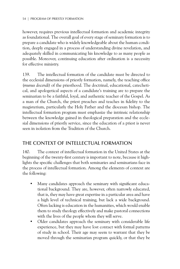however, requires previous intellectual formation and academic integrity as foundational. The overall goal of every stage of seminary formation is to prepare a candidate who is widely knowledgeable about the human condition, deeply engaged in a process of understanding divine revelation, and adequately skilled in communicating his knowledge to as many people as possible. Moreover, continuing education after ordination is a necessity for effective ministry.

139. The intellectual formation of the candidate must be directed to the ecclesial dimensions of priestly formation, namely, the teaching office (*munus docendi*) of the priesthood. The doctrinal, educational, catechetical, and apologetical aspects of a candidate's training are to prepare the seminarian to be a faithful, loyal, and authentic teacher of the Gospel. As a man of the Church, the priest preaches and teaches in fidelity to the magisterium, particularly the Holy Father and the diocesan bishop. The intellectual formation program must emphasize the intrinsic relationship between the knowledge gained in theological preparation and the ecclesial dimensions of priestly service, since the education of a priest is never seen in isolation from the Tradition of the Church.

## The Context of Intellectual Formation

140. The context of intellectual formation in the United States at the beginning of the twenty-first century is important to note, because it highlights the specific challenges that both seminaries and seminarians face in the process of intellectual formation. Among the elements of context are the following:

- Many candidates approach the seminary with significant educational background. They are, however, often narrowly educated, that is, they may have great expertise in a particular area and have a high level of technical training, but lack a wide background. Often lacking is education in the humanities, which would enable them to study theology effectively and make pastoral connections with the lives of the people whom they will serve.
- Older candidates approach the seminary with considerable life experience, but they may have lost contact with formal patterns of study in school. Their age may seem to warrant that they be moved through the seminarian program quickly, or that they be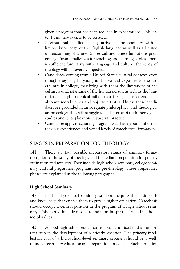given a program that has been reduced in expectations. This latter trend, however, is to be resisted.

- International candidates may arrive at the seminary with a limited knowledge of the English language as well as a limited understanding of United States culture. These limitations present significant challenges for teaching and learning. Unless there is sufficient familiarity with language and culture, the study of theology will be severely impeded.
- Candidates coming from a United States cultural context, even though they may be young and have had exposure to the liberal arts in college, may bring with them the limitations of the culture's understanding of the human person as well as the limitations of a philosophical milieu that is suspicious of enduring, absolute moral values and objective truths. Unless these candidates are grounded in an adequate philosophical and theological anthropology, they will struggle to make sense of their theological studies and its application in pastoral practice.
- Candidates apply to seminary programs with backgrounds of varied religious experiences and varied levels of catechetical formation.

# Stages in Preparation for Theology

141. There are four possible preparatory stages of seminary formation prior to the study of theology and immediate preparation for priestly ordination and ministry. They include high school seminary, college seminary, cultural preparation programs, and pre-theology. These preparatory phases are explained in the following paragraphs.

#### **High School Seminary**

142. In the high school seminary, students acquire the basic skills and knowledge that enable them to pursue higher education. Catechesis should occupy a central position in the program of a high school seminary. This should include a solid foundation in spirituality and Catholic moral values.

143. A good high school education is a value in itself and an important step in the development of a priestly vocation. The primary intellectual goal of a high-school-level seminary program should be a wellrounded secondary education as a preparation for college. Such formation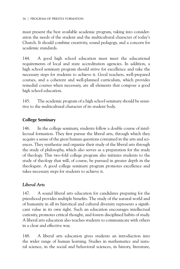must present the best available academic program, taking into consideration the needs of the student and the multicultural character of today's Church. It should combine creativity, sound pedagogy, and a concern for academic standards.

144. A good high school education must meet the educational requirements of local and state accreditation agencies. In addition, a high school seminary program should strive for excellence and take the necessary steps for students to achieve it. Good teachers, well-prepared courses, and a coherent and well-planned curriculum, which provides remedial courses when necessary, are all elements that compose a good high school education.

145. The academic program of a high school seminary should be sensitive to the multicultural character of its student body.

#### **College Seminary**

146. In the college seminary, students follow a double course of intellectual formation. They first pursue the liberal arts, through which they acquire a sense of the great human questions contained in the arts and sciences. They synthesize and organize their study of the liberal arts through the study of philosophy, which also serves as a preparation for the study of theology. This two-fold college program also initiates students to the study of theology that will, of course, be pursued in greater depth in the theologate. A good college seminary program promotes excellence and takes necessary steps for students to achieve it.

## *Liberal Arts*

147. A sound liberal arts education for candidates preparing for the priesthood provides multiple benefits. The study of the natural world and of humanity in all its historical and cultural diversity represents a significant value in its own right. Such an education encourages intellectual curiosity, promotes critical thought, and fosters disciplined habits of study. A liberal arts education also teaches students to communicate with others in a clear and effective way.

148. A liberal arts education gives students an introduction into the wider range of human learning. Studies in mathematics and natural science, in the social and behavioral sciences, in history, literature,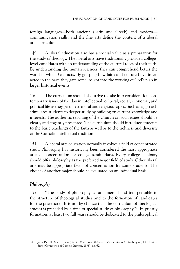foreign languages—both ancient (Latin and Greek) and modern communication skills, and the fine arts define the content of a liberal arts curriculum.

149. A liberal education also has a special value as a preparation for the study of theology. The liberal arts have traditionally provided collegelevel candidates with an understanding of the cultural roots of their faith. By understanding the human sciences, they can comprehend better the world in which God acts. By grasping how faith and culture have interacted in the past, they gain some insight into the working of God's plan in larger historical events.

150. The curriculum should also strive to take into consideration contemporary issues of the day in intellectual, cultural, social, economic, and political life as they pertain to moral and religious topics. Such an approach stimulates students to deeper study by building on current knowledge and interests. The authentic teaching of the Church on such issues should be clearly and cogently presented. The curriculum should introduce students to the basic teachings of the faith as well as to the richness and diversity of the Catholic intellectual tradition.

151. A liberal arts education normally involves a field of concentrated study. Philosophy has historically been considered the most appropriate area of concentration for college seminarians. Every college seminary should offer philosophy as the preferred major field of study. Other liberal arts may be appropriate fields of concentration for some students. The choice of another major should be evaluated on an individual basis.

# *Philosophy*

152. "The study of philosophy is fundamental and indispensable to the structure of theological studies and to the formation of candidates for the priesthood. It is not by chance that the curriculum of theological studies is preceded by a time of special study of philosophy."94 In priestly formation, at least two full years should be dedicated to the philosophical

<sup>94</sup> John Paul II, *Fides et ratio* (*On the Relationship Between Faith and Reason*) (Washington, DC: United States Conference of Catholic Bishops, 1998), no. 62.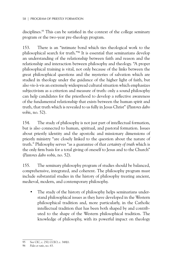disciplines.<sup>95</sup> This can be satisfied in the context of the college seminary program or the two-year pre-theology program.

153. There is an "intimate bond which ties theological work to the philosophical search for truth."96 It is essential that seminarians develop an understanding of the relationship between faith and reason and the relationship and interaction between philosophy and theology. "A proper philosophical training is vital, not only because of the links between the great philosophical questions and the mysteries of salvation which are studied in theology under the guidance of the higher light of faith, but also vis-à-vis an extremely widespread cultural situation which emphasizes subjectivism as a criterion and measure of truth: only a sound philosophy can help candidates for the priesthood to develop a reflective awareness of the fundamental relationship that exists between the human spirit and truth, that truth which is revealed to us fully in Jesus Christ" (*Pastores dabo vobis*, no. 52).

154. The study of philosophy is not just part of intellectual formation, but is also connected to human, spiritual, and pastoral formation. Issues about priestly identity and the apostolic and missionary dimensions of priestly ministry "are closely linked to the question about the nature of truth." Philosophy serves "as a guarantee of that *certainty of truth* which is the only firm basis for a total giving of oneself to Jesus and to the Church" (*Pastores dabo vobis*, no. 52).

155. The seminary philosophy program of studies should be balanced, comprehensive, integrated, and coherent. The philosophy program must include substantial studies in the history of philosophy treating ancient, medieval, modern, and contemporary philosophy.

The study of the history of philosophy helps seminarians understand philosophical issues as they have developed in the Western philosophical tradition and, more particularly, in the Catholic intellectual tradition that has been both shaped by and contributed to the shape of the Western philosophical tradition. The knowledge of philosophy, with its powerful impact on theology

<sup>95</sup> See CIC, c. 250; CCEO, c. 348§1.

<sup>96</sup> *Fides et ratio*, no. 63.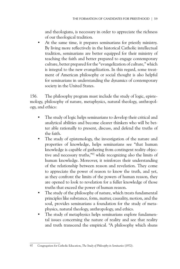and theologians, is necessary in order to appreciate the richness of our theological tradition.

At the same time, it prepares seminarians for priestly ministry. By living more reflectively in the historical Catholic intellectual tradition, seminarians are better equipped for their ministry of teaching the faith and better prepared to engage contemporary culture, better prepared for the "evangelization of culture," which is integral to the new evangelization. In this regard, some treatment of American philosophy or social thought is also helpful for seminarians in understanding the dynamics of contemporary society in the United States.

156. The philosophy program must include the study of logic, epistemology, philosophy of nature, metaphysics, natural theology, anthropology, and ethics:

- The study of logic helps seminarians to develop their critical and analytical abilities and become clearer thinkers who will be better able rationally to present, discuss, and defend the truths of the faith.
- The study of epistemology, the investigation of the nature and properties of knowledge, helps seminarians see "that human knowledge is capable of gathering from contingent reality objective and necessary truths,"97 while recognizing also the limits of human knowledge. Moreover, it reinforces their understanding of the relationship between reason and revelation. They come to appreciate the power of reason to know the truth, and yet, as they confront the limits of the powers of human reason, they are opened to look to revelation for a fuller knowledge of those truths that exceed the power of human reason.
- The study of the philosophy of nature, which treats fundamental principles like substance, form, matter, causality, motion, and the soul, provides seminarians a foundation for the study of metaphysics, natural theology, anthropology, and ethics.
- The study of metaphysics helps seminarians explore fundamental issues concerning the nature of reality and see that reality and truth transcend the empirical. "A philosophy which shuns

<sup>97</sup> Congregation for Catholic Education, *The Study of Philosophy in Seminaries* (1972).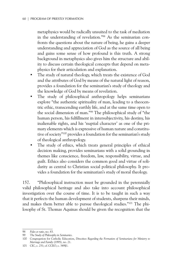metaphysics would be radically unsuited to the task of mediation in the understanding of revelation."98 As the seminarian confronts the questions about the nature of being, he gains a deeper understanding and appreciation of God as the source of all being and gains some sense of how profound is this truth. A strong background in metaphysics also gives him the structure and ability to discuss certain theological concepts that depend on metaphysics for their articulation and explanation.

- The study of natural theology, which treats the existence of God and the attributes of God by means of the natural light of reason, provides a foundation for the seminarian's study of theology and the knowledge of God by means of revelation.
- The study of philosophical anthropology helps seminarians explore "the authentic spirituality of man, leading to a theocentric ethic, transcending earthly life, and at the same time open to the social dimension of man."99 The philosophical study of "the human person, his fulfillment in intersubjectivity, his destiny, his inalienable rights, and his 'nuptial character' as one of the primary elements which is expressive of human nature and constitutive of society"100 provides a foundation for the seminarian's study of theological anthropology.
- The study of ethics, which treats general principles of ethical decision making, provides seminarians with a solid grounding in themes like conscience, freedom, law, responsibility, virtue, and guilt. Ethics also considers the common good and virtue of solidarity as central to Christian social political philosophy. It provides a foundation for the seminarian's study of moral theology.

157. "Philosophical instruction must be grounded in the perennially valid philosophical heritage and also take into account philosophical investigation over the course of time. It is to be taught in such a way that it perfects the human development of students, sharpens their minds, and makes them better able to pursue theological studies."101 The philosophy of St. Thomas Aquinas should be given the recognition that the

<sup>98</sup> *Fides et ratio*, no. 83.

<sup>99</sup> *The Study of Philosophy in Seminaries*.

<sup>100</sup> Congregation for Catholic Education, *Directives Regarding the Formation of Seminarians for Ministry to Marriage and Family* (1995), no. 21.

<sup>101</sup> CIC, c. 251; cf. CCEO, c. 349§1.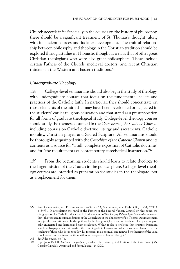Church accords it.102 Especially in the courses on the history of philosophy, there should be a significant treatment of St. Thomas's thought, along with its ancient sources and its later development. The fruitful relationship between philosophy and theology in the Christian tradition should be explored through studies in Thomistic thought as well as that of other great Christian theologians who were also great philosophers. These include certain Fathers of the Church, medieval doctors, and recent Christian thinkers in the Western and Eastern traditions.103

#### *Undergraduate Theology*

158. College-level seminarians should also begin the study of theology, with undergraduate courses that focus on the fundamental beliefs and practices of the Catholic faith. In particular, they should concentrate on those elements of the faith that may have been overlooked or neglected in the students' earlier religious education and that stand as a presupposition for all forms of graduate theological study. College-level theology courses should study the themes contained in the *Catechism of the Catholic Church*, including courses on Catholic doctrine, liturgy and sacraments, Catholic morality, Christian prayer, and Sacred Scripture. All seminarians should be thoroughly acquainted with the *Catechism of the Catholic Church* and its contents as a source for "a full, complete exposition of Catholic doctrine" and for "the requirements of contemporary catechetical instruction."104

159. From the beginning, students should learn to relate theology to the larger mission of the Church in the public sphere. College-level theology courses are intended as preparation for studies in the theologate, not as a replacement for them.

<sup>102</sup> See *Optatam totius*, no. 15; *Pastores dabo vobis*, no. 53; *Fides et ratio*, nos. 43-44; CIC, c. 251; CCEO, c. 349§1. In articulating the mind of the Fathers of the Second Vatican Council on this point, the Congregation for Catholic Education, in its document on *The Study of Philosophy in Seminaries*, observed that "the repeated recommendations of the Church about the philosophy of St. Thomas Aquinas remain fully justified and still valid. In this philosophy the first principles of natural truth are clearly and organically enunciated and harmonized with revelation. Within it also is enclosed that creative dynamism which, as biographers attest, marked the teaching of St. Thomas and which must also characterize the teaching of those who desire to follow his footsteps in a continual and renewed synthesizing of the valid conclusions received from tradition with new conquests of human thought."

<sup>103</sup> See *Fides et ratio*, no. 74.

<sup>104</sup> Pope John Paul II, *Laetamur magnopere* (in which the Latin Typical Edition of the *Catechism of the Catholic Church* Is Approved and Promulgated), in CCC.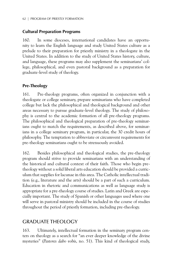#### **Cultural Preparation Programs**

160. In some dioceses, international candidates have an opportunity to learn the English language and study United States culture as a prelude to their preparation for priestly ministry in a theologate in the United States. In addition to the study of United States history, culture, and language, these programs may also supplement the seminarians' college, philosophical, and even pastoral background as a preparation for graduate-level study of theology.

#### **Pre-Theology**

161. Pre-theology programs, often organized in conjunction with a theologate or college seminary, prepare seminarians who have completed college but lack the philosophical and theological background and other areas necessary to pursue graduate-level theology. The study of philosophy is central to the academic formation of all pre-theology programs. The philosophical and theological preparation of pre-theology seminarians ought to match the requirements, as described above, for seminarians in a college seminary program, in particular, the 30 credit hours of philosophy. The temptation to abbreviate or circumvent requirements for pre-theology seminarians ought to be strenuously avoided.

162. Besides philosophical and theological studies, the pre-theology program should strive to provide seminarians with an understanding of the historical and cultural context of their faith. Those who begin pretheology without a solid liberal arts education should be provided a curriculum that supplies for lacunae in this area. The Catholic intellectual tradition (e.g., literature and the arts) should be a part of such a curriculum. Education in rhetoric and communications as well as language study is appropriate for a pre-theology course of studies. Latin and Greek are especially important. The study of Spanish or other languages used where one will serve in pastoral ministry should be included in the course of studies throughout the period of priestly formation, including pre-theology.

# Graduate Theology

163. Ultimately, intellectual formation in the seminary program centers on theology as a search for "an ever deeper knowledge of the divine mysteries" (*Pastores dabo vobis*, no. 51). This kind of theological study,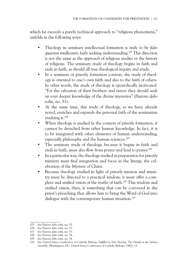which far exceeds a purely technical approach to "religious phenomena," unfolds in the following ways:

- Theology in seminary intellectual formation is truly to be *fides quaerens intellectum*, faith seeking understanding.105 This direction is not the same as the approach of religious studies or the history of religions. The seminary study of theology begins in faith and ends in faith, as should all true theological inquiry and study.
- In a seminary or priestly formation context, the study of theology is oriented to one's own faith and also to the faith of others. In other words, the study of theology is apostolically motivated. "For the salvation of their brothers and sisters they should seek an ever deeper knowledge of the divine mysteries" (*Pastores dabo vobis*, no. 51).
- At the same time, this study of theology, as we have already noted, enriches and expands the personal faith of the seminarian studying it.106
- When theology is studied in the context of priestly formation, it cannot be detached from other human knowledge. In fact, it is to be integrated with other elements of human understanding, especially philosophy and the human sciences.<sup>107</sup>
- The seminary study of theology, because it begins in faith and ends in faith, must also flow from prayer and lead to prayer.108
- In a particular way, the theology studied in preparation for priestly ministry must find integration and focus in the liturgy, the celebration of the Mystery of Christ.
- Because theology studied in light of priestly mission and ministry must be directed to a practical wisdom, it must offer a complete and unified vision of the truths of faith.109 This wisdom and unified vision, then, is something that can be conveyed in the priest's preaching, that allows him to bring the Word of God into dialogue with the contemporary human situation.<sup>110</sup>

<sup>105</sup> See *Pastores dabo vobis*, no. 53.

<sup>106</sup> See *Pastores dabo vobis*, no. 53.

<sup>107</sup> See *Pastores dabo vobis*, no. 53.

<sup>108</sup> See *Pastores dabo vobis*, no. 54.

<sup>109</sup> See *Pastores dabo vobis*, no. 54.

<sup>110</sup> See United States Conference of Catholic Bishops, *Fulfilled in Your Hearing: The Homily in the Sunday Assembly* (Washington, DC: United States Conference of Catholic Bishops, 1982), 13.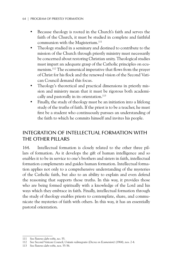- Because theology is rooted in the Church's faith and serves the faith of the Church, it must be studied in complete and faithful communion with the Magisterium.<sup>111</sup>
- Theology studied in a seminary and destined to contribute to the mission of the Church through priestly ministry must necessarily be concerned about restoring Christian unity. Theological studies must impart an adequate grasp of the Catholic principles on ecumenism.112 The ecumenical imperative that flows from the prayer of Christ for his flock and the renewed vision of the Second Vatican Council demand this focus.
- Theology's theoretical and practical dimensions in priestly mission and ministry mean that it must be rigorous both academically and pastorally in its orientation.<sup>113</sup>
- Finally, the study of theology must be an initiation into a lifelong study of the truths of faith. If the priest is to be a teacher, he must first be a student who continuously pursues an understanding of the faith to which he commits himself and invites his people.

# Integration of Intellectual Formation with the Other Pillars

164. Intellectual formation is closely related to the other three pillars of formation. As it develops the gift of human intelligence and so enables it to be in service to one's brothers and sisters in faith, intellectual formation complements and guides human formation. Intellectual formation applies not only to a comprehensive understanding of the mysteries of the Catholic faith, but also to an ability to explain and even defend the reasoning that supports those truths. In this way, it provides those who are being formed spiritually with a knowledge of the Lord and his ways which they embrace in faith. Finally, intellectual formation through the study of theology enables priests to contemplate, share, and communicate the mysteries of faith with others. In this way, it has an essentially pastoral orientation.

<sup>111</sup> See *Pastores dabo vobis*, no. 55.

<sup>112</sup> See Second Vatican Council, *Unitatis redintegratio* (*Decree on Ecumenism*) (1964), nos. 2-4.

<sup>113</sup> See *Pastores dabo vobis*, nos. 55-56.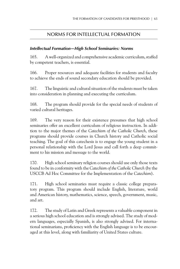## NORMS For INTELLECTUAL FORMATION

#### *Intellectual Formation—High School Seminaries: Norms*

165. A well-organized and comprehensive academic curriculum, staffed by competent teachers, is essential.

166. Proper resources and adequate facilities for students and faculty to achieve the ends of sound secondary education should be provided.

167. The linguistic and cultural situation of the students must be taken into consideration in planning and executing the curriculum.

168. The program should provide for the special needs of students of varied cultural heritages.

169. The very reason for their existence presumes that high school seminaries offer an excellent curriculum of religious instruction. In addition to the major themes of the *Catechism of the Catholic Church*, these programs should provide courses in Church history and Catholic social teaching. The goal of this catechesis is to engage the young student in a personal relationship with the Lord Jesus and call forth a deep commitment to his mission and message to the world.

170. High school seminary religion courses should use only those texts found to be in conformity with the *Catechism of the Catholic Church* (by the USCCB Ad Hoc Committee for the Implementation of the *Catechism*).

171. High school seminaries must require a classic college preparatory program. This program should include English, literature, world and American history, mathematics, science, speech, government, music, and art.

172. The study of Latin and Greek represents a valuable component in a serious high school education and is strongly advised. The study of modern languages, especially Spanish, is also strongly advised. For international seminarians, proficiency with the English language is to be encouraged at this level, along with familiarity of United States culture.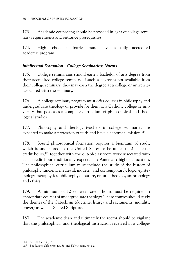173. Academic counseling should be provided in light of college seminary requirements and entrance prerequisites.

174. High school seminaries must have a fully accredited academic program.

#### *Intellectual Formation—College Seminaries: Norms*

175. College seminarians should earn a bachelor of arts degree from their accredited college seminary. If such a degree is not available from their college seminary, they may earn the degree at a college or university associated with the seminary.

176. A college seminary program must offer courses in philosophy and undergraduate theology or provide for them at a Catholic college or university that possesses a complete curriculum of philosophical and theological studies.

177. Philosophy and theology teachers in college seminaries are expected to make a profession of faith and have a canonical mission.<sup>114</sup>

178. Sound philosophical formation requires a biennium of study, which is understood in the United States to be at least 30 semester credit hours,<sup>115</sup> together with the out-of-classroom work associated with each credit hour traditionally expected in American higher education. The philosophical curriculum must include the study of the history of philosophy (ancient, medieval, modern, and contemporary), logic, epistemology, metaphysics, philosophy of nature, natural theology, anthropology and ethics.

179. A minimum of 12 semester credit hours must be required in appropriate courses of undergraduate theology. These courses should study the themes of the Catechism (doctrine, liturgy and sacraments, morality, prayer) as well as Sacred Scripture.

180. The academic dean and ultimately the rector should be vigilant that the philosophical and theological instruction received at a college/

<sup>114</sup> See CIC, c. 833, 6°.

<sup>115</sup> See *Pastores dabo vobis*, no. 56, and *Fides et ratio*, no. 62.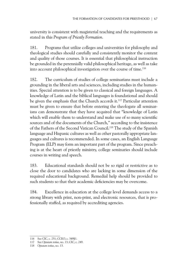university is consistent with magisterial teaching and the requirements as stated in this *Program of Priestly Formation.*

181. Programs that utilize colleges and universities for philosophy and theological studies should carefully and consistently monitor the content and quality of those courses. It is essential that philosophical instruction be grounded in the perennially valid philosophical heritage, as well as take into account philosophical investigation over the course of time.116

182. The curriculum of studies of college seminarians must include a grounding in the liberal arts and sciences, including studies in the humanities. Special attention is to be given to classical and foreign languages. A knowledge of Latin and the biblical languages is foundational and should be given the emphasis that the Church accords it.<sup>117</sup> Particular attention must be given to ensure that before entering the theologate all seminarians can demonstrate that they have acquired that "knowledge of Latin which will enable them to understand and make use of so many scientific sources and of the documents of the Church," according to the insistence of the Fathers of the Second Vatican Council.118 The study of the Spanish language and Hispanic cultures as well as other pastorally appropriate languages and cultures is recommended. In some cases, an English Language Program (ELP) may form an important part of the program. Since preaching is at the heart of priestly ministry, college seminaries should include courses in writing and speech.

183. Educational standards should not be so rigid or restrictive as to close the door to candidates who are lacking in some dimension of the required educational background. Remedial help should be provided to such students so that their academic deficiencies may be overcome.

184. Excellence in education at the college level demands access to a strong library with print, non-print, and electronic resources, that is professionally staffed, as required by accrediting agencies.

<sup>116</sup> See CIC, c. 251; CCEO, c. 349§1.

<sup>117</sup> See *Optatam totius*, no. 13; CIC, c. 249.

<sup>118</sup> *Optatam totius*, no. 13.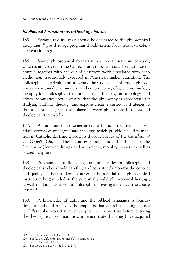#### *Intellectual Formation—Pre-Theology: Norms*

185. Because two full years should be dedicated to the philosophical disciplines,<sup>119</sup> pre-theology programs should extend for at least two calendar years in length.

186. Sound philosophical formation requires a biennium of study, which is understood in the United States to be at least 30 semester credit hours<sup>120</sup> together with the out-of-classroom work associated with each credit hour traditionally expected in American higher education. The philosophical curriculum must include the study of the history of philosophy (ancient, medieval, modern, and contemporary), logic, epistemology, metaphysics, philosophy of nature, natural theology, anthropology, and ethics. Seminaries should ensure that the philosophy is appropriate for studying Catholic theology and explore creative curricular strategies so that students can grasp the linkage between philosophical insights and theological frameworks.

187. A minimum of 12 semester credit hours is required in appropriate courses of undergraduate theology, which provide a solid foundation in Catholic doctrine through a thorough study of the *Catechism of the Catholic Church*. These courses should study the themes of the Catechism (doctrine, liturgy and sacraments, morality, prayer) as well as Sacred Scripture.

188. Programs that utilize colleges and universities for philosophy and theological studies should carefully and consistently monitor the content and quality of their students' courses. It is essential that philosophical instruction be grounded in the perennially valid philosophical heritage, as well as taking into account philosophical investigations over the course of time.121

189. A knowledge of Latin and the biblical languages is foundational and should be given the emphasis that church teaching accords it.<sup>122</sup> Particular attention must be given to ensure that before entering the theologate all seminarians can demonstrate that they have acquired

<sup>119</sup> See CIC, c. 250; CCEO, c. 348§1.

<sup>120</sup> See *Pastores dabo vobis*, no. 56, and *Fides et ratio*, no. 62.

<sup>121</sup> See CIC, c. 251; CCEO, c. 349.

<sup>122</sup> See *Optatam totius*, no. 13; CIC, c. 249.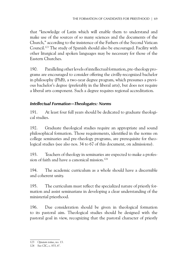that "knowledge of Latin which will enable them to understand and make use of the sources of so many sciences and the documents of the Church," according to the insistence of the Fathers of the Second Vatican Council.123 The study of Spanish should also be encouraged. Facility with other liturgical and spoken languages may be necessary for those of the Eastern Churches.

190. Paralleling other levels of intellectual formation, pre-theology programs are encouraged to consider offering the civilly-recognized bachelor in philosophy (PhB), a two-year degree program, which presumes a previous bachelor's degree (preferably in the liberal arts), but does not require a liberal arts component. Such a degree requires regional accreditation.

### *Intellectual Formation—Theologates: Norms*

191. At least four full years should be dedicated to graduate theological studies.

192. Graduate theological studies require an appropriate and sound philosophical formation. Those requirements, identified in the norms on college seminaries and pre-theology programs, are prerequisite for theological studies (see also nos. 34 to 67 of this document, on admissions).

193. Teachers of theology in seminaries are expected to make a profession of faith and have a canonical mission.<sup>124</sup>

194. The academic curriculum as a whole should have a discernible and coherent unity.

195. The curriculum must reflect the specialized nature of priestly formation and assist seminarians in developing a clear understanding of the ministerial priesthood.

196. Due consideration should be given in theological formation to its pastoral aim. Theological studies should be designed with the pastoral goal in view, recognizing that the pastoral character of priestly

<sup>123</sup> *Optatam totius*, no. 13.

<sup>124</sup> See CIC, c. 833, 6°.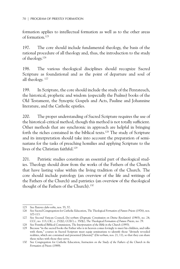formation applies to intellectual formation as well as to the other areas of formation.125

197. The core should include fundamental theology, the basis of the rational procedure of all theology and, thus, the introduction to the study of theology.126

198. The various theological disciplines should recognize Sacred Scripture as foundational and as the point of departure and soul of all theology. 127

199. In Scripture, the core should include the study of the Pentateuch, the historical, prophetic and wisdom (especially the Psalms) books of the Old Testament, the Synoptic Gospels and Acts, Pauline and Johannine literature, and the Catholic epistles.

200. The proper understanding of Sacred Scripture requires the use of the historical-critical method, though this method is not totally sufficient. Other methods that are synchronic in approach are helpful in bringing forth the riches contained in the biblical texts.128 The study of Scripture and its interpretation should take into account the preparation of seminarians for the tasks of preaching homilies and applying Scripture to the lives of the Christian faithful.<sup>129</sup>

201. Patristic studies constitute an essential part of theological studies. Theology should draw from the works of the Fathers of the Church that have lasting value within the living tradition of the Church. The core should include patrology (an overview of the life and writings of the Fathers of the Church) and patristics (an overview of the theological thought of the Fathers of the Church).<sup>130</sup>

<sup>125</sup> See *Pastores dabo vobis*, nos. 55, 57.

<sup>126</sup> See Sacred Congregation for Catholic Education, *The Theological Formation of Future Priests* (1976), nos. 107**-**113.

<sup>127</sup> See Second Vatican Council, *Dei verbum* (*Dogmatic Constitution on Divine Revelation*) (1965), no. 24; CCC, no. 113; CIC, c. 252§2; CCEO, c. 350§2; *The Theological Formation of Future Priests*, no. 79.

<sup>128</sup> See Pontifical Biblical Commission, *The Interpretation of the Bible in the Church* (1993)*.*

<sup>129</sup> Because "in the sacred books the Father who is in heaven comes lovingly to meet his children, and talks with them," courses in Sacred Scripture must equip seminarians to identify those "divinely revealed realities, which are contained and presented [therein]" (*Dei verbum*, nos. 21, 11), so that they can share these riches with those they serve.

<sup>130</sup> See Congregation for Catholic Education, *Instruction on the Study of the Fathers of the Church in the Formation of Priests* (1989).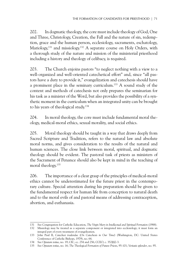202. In dogmatic theology, the core must include theology of God, One and Three, Christology, Creation, the Fall and the nature of sin, redemption, grace and the human person, ecclesiology, sacraments, eschatology, Mariology,  $131$  and missiology.  $132$  A separate course on Holy Orders, with a thorough study of the nature and mission of the ministerial priesthood including a history and theology of celibacy, is required.

203. The Church enjoins pastors "to neglect nothing with a view to a well-organized and well-oriented catechetical effort" and, since "all pastors have a duty to provide it," evangelization and catechesis should have a prominent place in the seminary curriculum.133 A sound study of the content and methods of catechesis not only prepares the seminarian for his task as a minister of the Word, but also provides the possibility of a synthetic moment in the curriculum when an integrated unity can be brought to his years of theological study.134

204. In moral theology, the core must include fundamental moral theology, medical-moral ethics, sexual morality, and social ethics.

205. Moral theology should be taught in a way that draws deeply from Sacred Scripture and Tradition, refers to the natural law and absolute moral norms, and gives consideration to the results of the natural and human sciences. The close link between moral, spiritual, and dogmatic theology should be evident. The pastoral task of priests as ministers of the Sacrament of Penance should also be kept in mind in the teaching of moral theology.135

206. The importance of a clear grasp of the principles of medical-moral ethics cannot be underestimated for the future priest in the contemporary culture. Special attention during his preparation should be given to the fundamental respect for human life from conception to natural death and to the moral evils of and pastoral means of addressing contraception, abortion, and euthanasia.

<sup>131</sup> See Congregation for Catholic Education, *The Virgin Mary in Intellectual and Spiritual Formation* (1988).

<sup>132</sup> Missiology may be treated as a separate component or integrated into ecclesiology; it must form an integral part of every treatment of evangelization.

<sup>133</sup> John Paul II, *Catechesi tradendae* (*On Catechesis in Our Time*) (Washington, DC: United States Conference of Catholic Bishops, 1979), no. 64.

<sup>134</sup> See *Optatam totius*, no. 19; CIC, cc. 254 and 256; CCEO, c. 352§§2-3.

<sup>135</sup> See *Optatam totius*, no. 16; *The Theological Formation of Future Priests*, 95-101; *Veritatis splendor*, no. 95.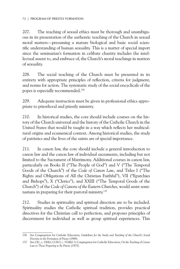207. The teaching of sexual ethics must be thorough and unambiguous in its presentation of the authentic teaching of the Church in sexual moral matters—presuming a mature biological and basic social scientific understanding of human sexuality. This is a matter of special import since the seminarian's formation in celibate chastity includes the intellectual assent to, and embrace of, the Church's moral teachings in matters of sexuality.

208. The social teaching of the Church must be presented in its entirety with appropriate principles of reflection, criteria for judgment, and norms for action. The systematic study of the social encyclicals of the popes is especially recommended.136

209. Adequate instruction must be given in professional ethics appropriate to priesthood and priestly ministry.

210. In historical studies, the core should include courses on the history of the Church universal and the history of the Catholic Church in the United States that would be taught in a way which reflects her multicultural origins and ecumenical context. Among historical studies, the study of patristics and the lives of the saints are of special importance.

211. In canon law, the core should include a general introduction to canon law and the canon law of individual sacraments, including but not limited to the Sacrament of Matrimony. Additional courses in canon law, particularly on Books II ("The People of God") and V ("The Temporal Goods of the Church") of the *Code of Canon Law*, and Titles I ("The Rights and Obligations of All the Christian Faithful"), VII ("Eparchies and Bishops"), X ("Clerics"), and XXIII ("The Temporal Goods of the Church") of the *Code of Canons of the Eastern Churches*, would assist seminarians in preparing for their pastoral ministry.137

212. Studies in spirituality and spiritual direction are to be included. Spirituality studies the Catholic spiritual tradition, provides practical directives for the Christian call to perfection, and proposes principles of discernment for individual as well as group spiritual experiences. This

<sup>136</sup> See Congregation for Catholic Education, *Guidelines for the Study and Teaching of the Church's Social Doctrine in the Formation of Priests* (1988).

<sup>137</sup> See CIC, c. 256§1; CCEO, c. 352§§2-3; Congregation for Catholic Education, *On the Teaching of Canon Law to Those Preparing to Be Priests* (1975).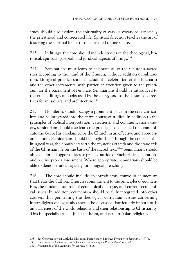study should also explore the spirituality of various vocations, especially the priesthood and consecrated life. Spiritual direction teaches the art of fostering the spiritual life of those entrusted to one's care.

213. In liturgy, the core should include studies in the theological, historical, spiritual, pastoral, and juridical aspects of liturgy.138

214. Seminarians must learn to celebrate all of the Church's sacred rites according to the mind of the Church, without addition or subtraction. Liturgical practica should include the celebration of the Eucharist and the other sacraments, with particular attention given to the practicum for the Sacrament of Penance. Seminarians should be introduced to the official liturgical books used by the clergy and to the Church's directives for music, art, and architecture.<sup>139</sup>

215. Homiletics should occupy a prominent place in the core curriculum and be integrated into the entire course of studies. In addition to the principles of biblical interpretation, catechesis, and communications theory, seminarians should also learn the practical skills needed to communicate the Gospel as proclaimed by the Church in an effective and appropriate manner. Seminarians should be taught that "through the course of the liturgical year, the homily sets forth the mysteries of faith and the standards of the Christian life on the basis of the sacred text."140 Seminarians should also be afforded opportunities to preach outside of Eucharistic celebrations and receive proper assessment. Where appropriate, seminarians should be able to demonstrate a capacity for bilingual preaching.

216. The core should include an introductory course in ecumenism that treats the Catholic Church's commitment to the principles of ecumenism, the fundamental role of ecumenical dialogue, and current ecumenical issues. In addition, ecumenism should be fully integrated into other courses, thus permeating the theological curriculum. Issues concerning interreligious dialogue also should be discussed. Particularly important is an awareness of the world religions and their relationship to Christianity. This is especially true of Judaism, Islam, and certain Asian religions.

<sup>138</sup> See Congregation for Catholic Education, *Instruction on Liturgical Formation in Seminaries* (1979).

<sup>139</sup> See *Ecclesia de Eucharistia*, no. 5; *General Instruction of the Roman Missal*, nos. 5-6.

<sup>140</sup> *Praenotanda* of the *Lectionary for the Mass* (1981).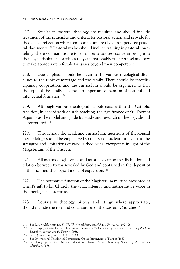217. Studies in pastoral theology are required and should include treatment of the principles and criteria for pastoral action and provide for theological reflection where seminarians are involved in supervised pastoral placements.141 Pastoral studies should include training in pastoral counseling, where seminarians are to learn how to address concerns brought to them by parishioners for whom they can reasonably offer counsel and how to make appropriate referrals for issues beyond their competence.

218. Due emphasis should be given in the various theological disciplines to the topic of marriage and the family. There should be interdisciplinary cooperation, and the curriculum should be organized so that the topic of the family becomes an important dimension of pastoral and intellectual formation.142

219. Although various theological schools exist within the Catholic tradition, in accord with church teaching, the significance of St. Thomas Aquinas as the model and guide for study and research in theology should be recognized.143

220. Throughout the academic curriculum, questions of theological methodology should be emphasized so that students learn to evaluate the strengths and limitations of various theological viewpoints in light of the Magisterium of the Church.

221. All methodologies employed must be clear on the distinction and relation between truths revealed by God and contained in the deposit of faith, and their theological mode of expression.<sup>144</sup>

222. The normative function of the Magisterium must be presented as Christ's gift to his Church: the vital, integral, and authoritative voice in the theological enterprise.

223. Courses in theology, history, and liturgy, where appropriate, should include the role and contribution of the Eastern Churches.<sup>145</sup>

<sup>141</sup> See *Pastores dabo vobis*, no. 57; *The Theological Formation of Future Priests*, *nos.* 102**-**106**.**

<sup>142</sup> See Congregation for Catholic Education, *Directives on the Formation of Seminarians Concerning Problems Related to Marriage and the Family* (1995).

<sup>143</sup> See *Optatam totius*, no. 16; CIC, c. 252§3.

<sup>144</sup> See International Theological Commission, *On the Interpretation of Dogmas* (1989).

<sup>145</sup> See Congregation for Catholic Education, *Circular Letter Concerning Studies of the Oriental Churches* (1987).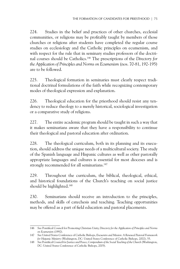224. Studies in the belief and practices of other churches, ecclesial communities, or religions may be profitably taught by members of those churches or religions after students have completed the regular course studies on ecclesiology and the Catholic principles on ecumenism, and with respect for the rule that in seminary studies professors of the doctrinal courses should be Catholics.146 The prescriptions of the *Directory for the Application of Principles and Norms on Ecumenism* (nos. 70-81, 192-195) are to be followed.

225. Theological formation in seminaries must clearly respect traditional doctrinal formulations of the faith while recognizing contemporary modes of theological expression and explanation.

226. Theological education for the priesthood should resist any tendency to reduce theology to a merely historical, sociological investigation or a comparative study of religions.

227. The entire academic program should be taught in such a way that it makes seminarians aware that they have a responsibility to continue their theological and pastoral education after ordination.

228. The theological curriculum, both in its planning and its execution, should address the unique needs of a multicultural society. The study of the Spanish language and Hispanic cultures as well as other pastorally appropriate languages and cultures is essential for most dioceses and is strongly recommended for all seminarians.<sup>147</sup>

229. Throughout the curriculum, the biblical, theological, ethical, and historical foundations of the Church's teaching on social justice should be highlighted.<sup>148</sup>

230. Seminarians should receive an introduction to the principles, methods, and skills of catechesis and teaching. Teaching opportunities may be offered as a part of field education and pastoral placements.

<sup>146</sup> See Pontifical Council for Promoting Christian Unity, *Directory for the Application of Principles and Norms on Ecumenism* (1992).

<sup>147</sup> See United States Conference of Catholic Bishops, *Encuentro and Mission: A Renewed Pastoral Framework for Hispanic Ministry* (Washington, DC: United States Conference of Catholic Bishops, 2002), 55.

<sup>148</sup> See Pontifical Council for Justice and Peace, *Compendium of the Social Teaching of the Church* (Washington, DC: United States Conference of Catholic Bishops, 2005).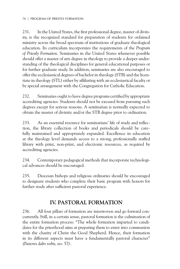231. In the United States, the first professional degree, master of divinity, is the recognized standard for preparation of students for ordained ministry across the broad spectrum of institutions of graduate theological education. Its curriculum incorporates the requirements of the *Program of Priestly Formation*. Seminaries in the United States whenever possible should offer a master of arts degree in theology to provide a deeper understanding of the theological disciplines for general educational purposes or for further graduate study. In addition, seminaries are also encouraged to offer the ecclesiastical degrees of bachelor in theology (STB) and the licentiate in theology (STL) either by affiliating with an ecclesiastical faculty or by special arrangement with the Congregation for Catholic Education.

232. Seminaries ought to have degree programs certified by appropriate accrediting agencies. Students should not be excused from pursuing such degrees except for serious reasons. A seminarian is normally expected to obtain the master of divinity and/or the STB degree prior to ordination.

233. As an essential resource for seminarians' life of study and reflection, the library collection of books and periodicals should be carefully maintained and appropriately expanded. Excellence in education at the theology level demands access to a strong, professionally staffed library with print, non-print, and electronic resources, as required by accrediting agencies.

234. Contemporary pedagogical methods that incorporate technological advances should be encouraged.

235. Diocesan bishops and religious ordinaries should be encouraged to designate students who complete their basic program with honors for further study after sufficient pastoral experience.

# **IV. Pastoral Formation**

236. All four pillars of formation are interwoven and go forward concurrently. Still, in a certain sense, pastoral formation is the culmination of the entire formation process: "The whole formation imparted to candidates for the priesthood aims at preparing them to enter into communion with the charity of Christ the Good Shepherd. Hence, their formation in its different aspects must have a fundamentally pastoral character" (*Pastores dabo vobis*, no. 57).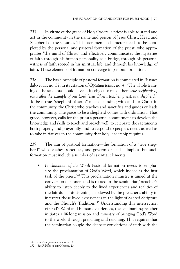237. In virtue of the grace of Holy Orders, a priest is able to stand and act in the community in the name and person of Jesus Christ, Head and Shepherd of the Church. This sacramental character needs to be completed by the personal and pastoral formation of the priest, who appropriates "the mind of Christ" and effectively communicates the mysteries of faith through his human personality as a bridge, through his personal witness of faith rooted in his spiritual life, and through his knowledge of faith. These elements of formation converge in pastoral formation.

238. The basic principle of pastoral formation is enunciated in *Pastores dabo vobis*, no. 57, in its citation of *Optatam totius*, no. 4: "The whole training of the students should have as its object to make them *true shepherds of souls after the example of our Lord Jesus Christ, teacher, priest, and shepherd*." To be a true "shepherd of souls" means standing with and for Christ in the community, the Christ who teaches and sanctifies and guides or leads the community. The grace to be a shepherd comes with ordination. That grace, however, calls for the priest's personal commitment to develop the knowledge and skills to teach and preach well, to celebrate the sacraments both properly and prayerfully, and to respond to people's needs as well as to take initiatives in the community that holy leadership requires.

239. The aim of pastoral formation—the formation of a "true shepherd" who teaches, sanctifies, and governs or leads—implies that such formation must include a number of essential elements:

• *Proclamation of the Word*: Pastoral formation needs to emphasize the proclamation of God's Word, which indeed is the first task of the priest.149 This proclamation ministry is aimed at the conversion of sinners and is rooted in the seminarian/preacher's ability to listen deeply to the lived experiences and realities of the faithful. This listening is followed by the preacher's ability to interpret those lived experiences in the light of Sacred Scripture and the Church's Tradition.<sup>150</sup> Understanding this intersection of God's Word and human experiences, the seminarian/preacher initiates a lifelong mission and ministry of bringing God's Word to the world through preaching and teaching. This requires that the seminarian couple the deepest convictions of faith with the

<sup>149</sup> See *Presbyterorum ordinis*, no. 4.

<sup>150</sup> See *Fulfilled in Your Hearing*, 20.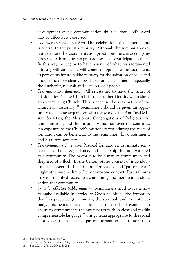development of his communication skills so that God's Word may be effectively expressed.

- *The sacramental dimension*: The celebration of the sacraments is central to the priest's ministry. Although the seminarian cannot celebrate the sacraments as a priest does, he can accompany priests who do and he can prepare those who participate in them. In this way, he begins to have a sense of what his sacramental ministry will entail. He will come to appreciate the sacraments as part of his future public ministry for the salvation of souls and understand more clearly how the Church's sacraments, especially the Eucharist, nourish and sustain God's people.
- *The missionary dimension*: All priests are to have the heart of missionaries.151 The Church is truest to her identity when she is an evangelizing Church. This is because the very nature of the Church is missionary.152 Seminarians should be given an opportunity to become acquainted with the work of the Pontifical Mission Societies, the Missionary Congregations of Religious, the home missions, and the missionary tradition over the centuries. An exposure to the Church's missionary work during the years of formation can be beneficial to the seminarian, his discernment, and his future ministry.
- *The community dimension*: Pastoral formation must initiate seminarians to the care, guidance, and leadership that are extended to a community. The pastor is to be a man of communion and shepherd of a flock. In the United States context of individualism, the concern is that "pastoral formation" and "pastoral care" might otherwise be limited to one-to-one contact. Pastoral ministry is primarily directed to a community and then to individuals within that community.
- *Skills for effective public ministry*: Seminarians need to learn how to make available in service to God's people all the formation that has preceded (the human, the spiritual, and the intellectual). This means the acquisition of certain skills, for example, an ability to communicate the mysteries of faith in clear and readily comprehensible language<sup>153</sup> using media appropriate to the social context. At the same time, pastoral formation means more than

<sup>151</sup> See *Redemptoris missio*, no. 67.

<sup>152</sup> See Second Vatican Council, *Ad gentes divinitus* (*Decree on the Church's Missionary Activity*), no. 2.

<sup>153</sup> See CIC, c. 255; CCEO, c. 352§2.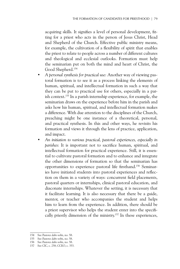acquiring skills. It signifies a level of personal development, fitting for a priest who acts in the person of Jesus Christ, Head and Shepherd of the Church. Effective public ministry means, for example, the cultivation of a flexibility of spirit that enables the priest to relate to people across a number of different cultures and theological and ecclesial outlooks. Formation must help the seminarian put on both the mind and heart of Christ, the Good Shepherd.154

- *A personal synthesis for practical use*: Another way of viewing pastoral formation is to see it as a process linking the elements of human, spiritual, and intellectual formation in such a way that they can be put to practical use for others, especially in a parish context.155 In a parish internship experience, for example, the seminarian draws on the experience before him in the parish and asks how his human, spiritual, and intellectual formation makes a difference. With due attention to the disciplines of the Church, preaching might be one instance of a theoretical, personal, and practical synthesis. In this and other ways, he revisits his formation and views it through the lens of practice, application, and impact.
- *An initiation to various practical, pastoral experiences, especially in parishes*: It is important not to sacrifice human, spiritual, and intellectual formation for practical experience. Still, it is essential to cultivate pastoral formation and to enhance and integrate the other dimensions of formation so that the seminarian has opportunities to experience pastoral life firsthand.156 Seminaries have initiated students into pastoral experiences and reflection on them in a variety of ways: concurrent field placements, pastoral quarters or internships, clinical pastoral education, and diaconate internships. Whatever the setting, it is necessary that it facilitate learning. It is also necessary that there be a guide, mentor, or teacher who accompanies the student and helps him to learn from the experience. In addition, there should be a priest supervisor who helps the student enter into the specifically priestly dimension of the ministry.157 In these experiences,

- 155 See *Pastores dabo vobis*, no. 58.
- 156 See *Pastores dabo vobis*, no. 58.

<sup>154</sup> See *Pastores dabo vobis*, no. 58.

<sup>157</sup> See CIC, c. 258; CCEO, c. 353.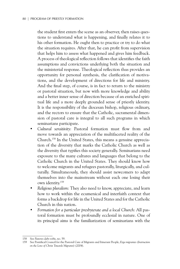the student first enters the scene as an observer, then raises questions to understand what is happening, and finally relates it to his other formation. He ought then to practice or try to do what the situation requires. After that, he can profit from supervision that helps him to assess what happened and gives him feedback. A process of theological reflection follows that identifies the faith assumptions and convictions underlying both the situation and the ministerial response. Theological reflection thus provides an opportunity for personal synthesis, the clarification of motivations, and the development of directions for life and ministry. And the final step, of course, is in fact to return to the ministry or pastoral situation, but now with more knowledge and ability and a better inner sense of direction because of an enriched spiritual life and a more deeply grounded sense of priestly identity. It is the responsibility of the diocesan bishop, religious ordinary, and the rectors to ensure that the Catholic, sacramental dimension of pastoral care is integral to all such programs in which seminarians participate.

- *Cultural sensitivity*: Pastoral formation must flow from and move towards an appreciation of the multifaceted reality of the Church.158 In the United States, this means a genuine appreciation of the diversity that marks the Catholic Church as well as the diversity that typifies this society generally. Seminarians need exposure to the many cultures and languages that belong to the Catholic Church in the United States. They should know how to welcome migrants and refugees pastorally, liturgically, and culturally. Simultaneously, they should assist newcomers to adapt themselves into the mainstream without each one losing their own identity.159
- *Religious pluralism*: They also need to know, appreciate, and learn how to work within the ecumenical and interfaith context that forms a backdrop for life in the United States and for the Catholic Church in this nation.
- *Formation for a particular presbyterate and a local Church*: All pastoral formation must be profoundly ecclesial in nature. One of its principal aims is the familiarization of seminarians with the

<sup>158</sup> See *Pastores dabo vobis*, no. 59.

<sup>159</sup> See Pontifical Council for the Pastoral Care of Migrants and Itinerant People, *Erga migrantes* (*Instruction on the Love of Christ Towards Migrants*) (2004).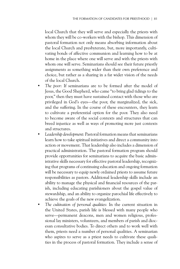local Church that they will serve and especially the priests with whom they will be co-workers with the bishop. This dimension of pastoral formation not only means absorbing information about the local Church and presbyterate, but, more importantly, cultivating bonds of affective communion and learning how to be at home in the place where one will serve and with the priests with whom one will serve. Seminarians should see their future priestly assignments as something wider than their own preference and choice, but rather as a sharing in a far wider vision of the needs of the local Church.

- The poor: If seminarians are to be formed after the model of Jesus, the Good Shepherd, who came "to bring glad tidings to the poor," then they must have sustained contact with those who are privileged in God's eyes—the poor, the marginalized, the sick, and the suffering. In the course of these encounters, they learn to cultivate a preferential option for the poor. They also need to become aware of the social contexts and structures that can breed injustice as well as ways of promoting more just contexts and structures.
- *Leadership development*: Pastoral formation means that seminarians learn how to take spiritual initiatives and direct a community into action or movement. That leadership also includes a dimension of practical administration. The pastoral formation program should provide opportunities for seminarians to acquire the basic administrative skills necessary for effective pastoral leadership, recognizing that programs of continuing education and ongoing formation will be necessary to equip newly ordained priests to assume future responsibilities as pastors. Additional leadership skills include an ability to manage the physical and financial resources of the parish, including educating parishioners about the gospel value of stewardship, and an ability to organize parochial life effectively to achieve the goals of the new evangelization.
- *The cultivation of personal qualities*: In the current situation in the United States, parish life is blessed with many people who serve—permanent deacons, men and women religious, professional lay ministers, volunteers, and members of parish and diocesan consultative bodies. To direct others and to work well with them, priests need a number of personal qualities. A seminarian who aspires to serve as a priest needs to cultivate these qualities in the process of pastoral formation. They include a sense of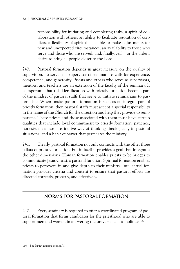responsibility for initiating and completing tasks, a spirit of collaboration with others, an ability to facilitate resolution of conflicts, a flexibility of spirit that is able to make adjustments for new and unexpected circumstances, an availability to those who serve and those who are served, and, finally, zeal—or the ardent desire to bring all people closer to the Lord.

240. Pastoral formation depends in great measure on the quality of supervision. To serve as a supervisor of seminarians calls for experience, competence, and generosity. Priests and others who serve as supervisors, mentors, and teachers are an extension of the faculty of the seminary. It is important that this identification with priestly formation become part of the mindset of pastoral staffs that serve to initiate seminarians to pastoral life. When onsite pastoral formation is seen as an integral part of priestly formation, then pastoral staffs must accept a special responsibility in the name of the Church for the direction and help they provide to seminarians. These priests and those associated with them must have certain qualities that include loyal commitment to priestly formation, patience, honesty, an almost instinctive way of thinking theologically in pastoral situations, and a habit of prayer that permeates the ministry.

241. Clearly, pastoral formation not only connects with the other three pillars of priestly formation, but in itself it provides a goal that integrates the other dimensions. Human formation enables priests to be bridges to communicate Jesus Christ, a pastoral function. Spiritual formation enables priests to persevere in and give depth to their ministry. Intellectual formation provides criteria and content to ensure that pastoral efforts are directed correctly, properly, and effectively.

# Norms For Pastoral Formation

242. Every seminary is required to offer a coordinated program of pastoral formation that forms candidates for the priesthood who are able to support men and women in answering the universal call to holiness.<sup>160</sup>

<sup>160</sup> See *Lumen gentium*, section V.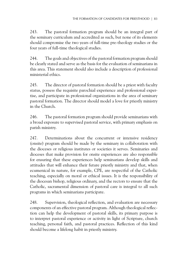243. The pastoral formation program should be an integral part of the seminary curriculum and accredited as such, but none of its elements should compromise the two years of full-time pre-theology studies or the four years of full-time theological studies.

244. The goals and objectives of the pastoral formation program should be clearly stated and serve as the basis for the evaluation of seminarians in this area. This statement should also include a description of professional ministerial ethics.

245. The director of pastoral formation should be a priest with faculty status, possess the requisite parochial experience and professional expertise, and participate in professional organizations in the area of seminary pastoral formation. The director should model a love for priestly ministry in the Church.

246. The pastoral formation program should provide seminarians with a broad exposure to supervised pastoral service, with primary emphasis on parish ministry*.*

247. Determinations about the concurrent or intensive residency (onsite) program should be made by the seminary in collaboration with the dioceses or religious institutes or societies it serves. Seminaries and dioceses that make provision for onsite experiences are also responsible for ensuring that these experiences help seminarians develop skills and attitudes that will enhance their future priestly ministry and that, when ecumenical in nature, for example, CPE, are respectful of the Catholic teaching, especially on moral or ethical issues. It is the responsibility of the diocesan bishop, religious ordinary, and the rectors to ensure that the Catholic, sacramental dimension of pastoral care is integral to all such programs in which seminarians participate.

248. Supervision, theological reflection, and evaluation are necessary components of an effective pastoral program. Although theological reflection can help the development of pastoral skills, its primary purpose is to interpret pastoral experience or activity in light of Scripture, church teaching, personal faith, and pastoral practices. Reflection of this kind should become a lifelong habit in priestly ministry.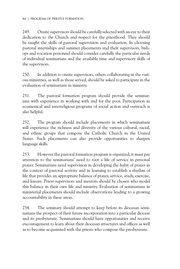249. Onsite supervisors should be carefully selected with an eye to their dedication to the Church and respect for the priesthood. They should be taught the skills of pastoral supervision and evaluation. In choosing pastoral internships and summer placements and their supervisors, bishops and vocation personnel should consider carefully the particular needs of individual seminarians and the available time and supervisory skills of the supervisors.

250. In addition to onsite supervisors, others collaborating in the various ministries, as well as those served, should be asked to participate in the evaluation of seminarians in ministry.

251. The pastoral formation program should provide the seminarians with experience in working with and for the poor. Participation in ecumenical and interreligious programs of social action and outreach is also helpful.

252. The program should include placements in which seminarians will experience the richness and diversity of the various cultural, racial, and ethnic groups that compose the Catholic Church in the United States. Such placements can also provide opportunities to sharpen language skills.

253. However the pastoral formation program is organized, it must pay attention to the seminarians' need to root a life of service in personal prayer. Seminarians need supervision in developing the habit of prayer in the context of pastoral activity and in learning to establish a rhythm of life that provides an appropriate balance of prayer, service, study, exercise, and leisure. Priest-supervisors and mentors should be chosen who model this balance in their own life and ministry. Evaluation of seminarians in ministerial placements should include observations leading to a growing accountability in these areas.

254. The seminary should attempt to keep before its diocesan seminarians the prospect of their future incorporation into a particular diocese and its presbyterate. Seminarians should have opportunities and receive encouragement to learn about their diocesan structures and offices as well as to become acquainted with the priests who compose the presbyterate.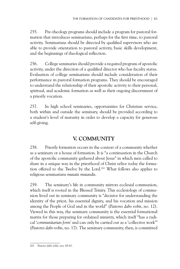255. Pre-theology programs should include a program for pastoral formation that introduces seminarians, perhaps for the first time, to pastoral activity. Seminarians should be directed by qualified supervisors who are able to provide orientation to pastoral activity, basic skills development, and the beginnings of theological reflection.

256. College seminaries should provide a required program of apostolic activity, under the direction of a qualified director who has faculty status. Evaluation of college seminarians should include consideration of their performance in pastoral formation programs. They should be encouraged to understand the relationship of their apostolic activity to their personal, spiritual, and academic formation as well as their ongoing discernment of a priestly vocation.

257. In high school seminaries, opportunities for Christian service, both within and outside the seminary, should be provided according to a student's level of maturity in order to develop a capacity for generous self-giving.

# **V. Community**

258. Priestly formation occurs in the context of a community whether as a seminary or a house of formation. It is "a continuation in the Church of the apostolic community gathered about Jesus" in which men called to share in a unique way in the priesthood of Christ relive today the formation offered to the Twelve by the Lord.161 What follows also applies to religious seminarians *mutatis mutandis*.

259. The seminary's life in community mirrors ecclesial communion, which itself is rooted in the Blessed Trinity. This ecclesiology of communion lived out in seminary community is "decisive for understanding the identity of the priest, his essential dignity, and his vocation and mission among the People of God and in the world" (*Pastores dabo vobis*, no. 12). Viewed in this way, the seminary community is the essential formational matrix for those preparing for ordained ministry, which itself "has a radical '*communitarian form'* and can only be carried out as a 'collective work'" (*Pastores dabo vobis*, no. 17). The seminary community, then, is committed

<sup>161</sup> *Pastores dabo vobis*, nos. 60-61.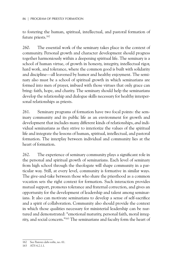to fostering the human, spiritual, intellectual, and pastoral formation of future priests.162

260. The essential work of the seminary takes place in the context of community. Personal growth and character development should progress together harmoniously within a deepening spiritual life. The seminary is a school of human virtue, of growth in honesty, integrity, intellectual rigor, hard work, and tolerance, where the common good is built with solidarity and discipline—all leavened by humor and healthy enjoyment. The seminary also must be a school of spiritual growth in which seminarians are formed into men of prayer, imbued with those virtues that only grace can bring: faith, hope, and charity. The seminary should help the seminarians develop the relationship and dialogue skills necessary for healthy interpersonal relationships as priests.

261. Seminary programs of formation have two focal points: the seminary community and its public life as an environment for growth and development that includes many different kinds of relationships, *and* individual seminarians as they strive to interiorize the values of the spiritual life and integrate the lessons of human, spiritual, intellectual, and pastoral formation. The interplay between individual and community lies at the heart of formation.

262. The experience of seminary community plays a significant role in the personal and spiritual growth of seminarians. Each level of seminary from high school through the theologate will shape community in a particular way. Still, at every level, community is formative in similar ways. The give-and-take between those who share the priesthood as a common vocation sets the right context for formation. Such interaction provides mutual support, promotes tolerance and fraternal correction, and gives an opportunity for the development of leadership and talent among seminarians. It also can motivate seminarians to develop a sense of self-sacrifice and a spirit of collaboration. Community also should provide the context in which those qualities necessary for ministerial leadership can be nurtured and demonstrated: "emotional maturity, personal faith, moral integrity, and social concern."163 The seminarians and faculty form the heart of

<sup>162</sup> See *Pastores dabo vobis*, no. 61.

<sup>163</sup> ATS 4.2.1.1.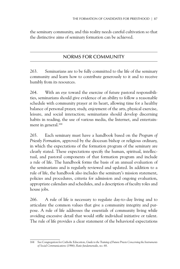the seminary community, and this reality needs careful cultivation so that the distinctive aims of seminary formation can be achieved.

# Norms for Community

263. Seminarians are to be fully committed to the life of the seminary community and learn how to contribute generously to it and to receive humbly from its resources.

264. With an eye toward the exercise of future pastoral responsibilities, seminarians should give evidence of an ability to follow a reasonable schedule with community prayer at its heart, allowing time for a healthy balance of personal prayer, study, enjoyment of the arts, physical exercise, leisure, and social interaction; seminarians should develop discerning habits in reading, the use of various media, the Internet, and entertainment in general.<sup>164</sup>

265. Each seminary must have a handbook based on the *Program of Priestly Formation*, approved by the diocesan bishop or religious ordinary, in which the expectations of the formation program of the seminary are clearly stated. These expectations specify the human, spiritual, intellectual, and pastoral components of that formation program and include a rule of life. The handbook forms the basis of an annual evaluation of the seminarians and is regularly reviewed and updated. In addition to a rule of life, the handbook also includes the seminary's mission statement, policies and procedures, criteria for admission and ongoing evaluation, appropriate calendars and schedules, and a description of faculty roles and house jobs.

266. A rule of life is necessary to regulate day-to-day living and to articulate the common values that give a community integrity and purpose. A rule of life addresses the essentials of community living while avoiding excessive detail that would stifle individual initiative or talent. The rule of life provides a clear statement of the behavioral expectations

<sup>164</sup> See Congregation for Catholic Education, *Guide to the Training of Future Priests Concerning the Instruments of Social Communications* (1986); *Ratio fundamentalis*, no. 68.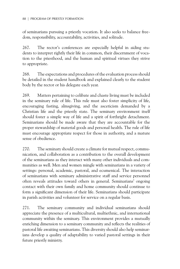of seminarians pursuing a priestly vocation. It also seeks to balance freedom, responsibility, accountability, activities, and solitude.

267. The rector's conferences are especially helpful in aiding students to interpret rightly their life in common, their discernment of vocation to the priesthood, and the human and spiritual virtues they strive to appropriate.

268. The expectations and procedures of the evaluation process should be detailed in the student handbook and explained clearly to the student body by the rector or his delegate each year.

269. Matters pertaining to celibate and chaste living must be included in the seminary rule of life. This rule must also foster simplicity of life, encouraging fasting, almsgiving, and the asceticism demanded by a Christian life and the priestly state. The seminary environment itself should foster a simple way of life and a spirit of forthright detachment. Seminarians should be made aware that they are accountable for the proper stewardship of material goods and personal health. The rule of life must encourage appropriate respect for those in authority, and a mature sense of obedience.

270. The seminary should create a climate for mutual respect, communication, and collaboration as a contribution to the overall development of the seminarians as they interact with many other individuals and communities as well. Men and women mingle with seminarians in a variety of settings: personal, academic, pastoral, and ecumenical. The interaction of seminarians with seminary administrative staff and service personnel often reveals attitudes toward others in general. Seminarians' ongoing contact with their own family and home community should continue to form a significant dimension of their life. Seminarians should participate in parish activities and volunteer for service on a regular basis.

271. The seminary community and individual seminarians should appreciate the presence of a multicultural, multiethnic, and international community within the seminary. This environment provides a mutually enriching dimension to a seminary community and reflects the realities of pastoral life awaiting seminarians. This diversity should also help seminarians develop a quality of adaptability to varied pastoral settings in their future priestly ministry.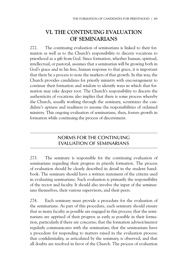# **VI. The Continuing Evaluation of Seminarians**

272. The continuing evaluation of seminarians is linked to their formation as well as to the Church's responsibility to discern vocations to priesthood as a gift from God. Since formation, whether human, spiritual, intellectual, or pastoral, assumes that a seminarian will be growing both in God's grace and in his free, human response to that grace, it is important that there be a process to note the markers of that growth. In this way, the Church provides candidates for priestly ministry with encouragement to continue their formation and wisdom to identify ways in which that formation may take deeper root. The Church's responsibility to discern the authenticity of vocations also implies that there is some process whereby the Church, usually working through the seminary, scrutinizes the candidate's aptness and readiness to assume the responsibilities of ordained ministry. This ongoing evaluation of seminarians, then, fosters growth in formation while continuing the process of discernment.

## Norms for the Continuing Evaluation of Seminarians

273. The seminary is responsible for the continuing evaluation of seminarians regarding their progress in priestly formation. The process of evaluation should be clearly described in detail in the student handbook. The seminary should have a written statement of the criteria used in evaluating seminarians. Such evaluation is primarily the responsibility of the rector and faculty. It should also involve the input of the seminarians themselves, their various supervisors, and their peers.

274. Each seminary must provide a procedure for the evaluation of the seminarians. As part of this procedure, each seminary should ensure that as many faculty as possible are engaged in this process; that the seminarians are apprised of their progress as early as possible in their formation, particularly if there are concerns; that the formation advisor/mentor regularly communicates with the seminarian; that the seminarians have a procedure for responding to matters raised in the evaluation process; that confidentiality, as articulated by the seminary, is observed; and that all doubts are resolved in favor of the Church. The process of evaluation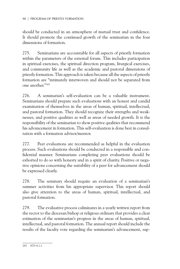should be conducted in an atmosphere of mutual trust and confidence. It should promote the continued growth of the seminarian in the four dimensions of formation.

275. Seminarians are accountable for all aspects of priestly formation within the parameters of the external forum. This includes participation in spiritual exercises, the spiritual direction program, liturgical exercises, and community life as well as the academic and pastoral dimensions of priestly formation. This approach is taken because all the aspects of priestly formation are "intimately interwoven and should not be separated from one another."165

276. A seminarian's self-evaluation can be a valuable instrument. Seminarians should prepare such evaluations with an honest and candid examination of themselves in the areas of human, spiritual, intellectual, and pastoral formation. They should recognize their strengths and weaknesses, and positive qualities as well as areas of needed growth. It is the responsibility of the seminarian to show positive qualities that recommend his advancement in formation. This self-evaluation is done best in consultation with a formation advisor/mentor.

277. Peer evaluations are recommended as helpful in the evaluation process. Such evaluations should be conducted in a responsible and confidential manner. Seminarians completing peer evaluations should be exhorted to do so with honesty and in a spirit of charity. Positive or negative opinions concerning the suitability of a peer for advancement should be expressed clearly.

278. The seminary should require an evaluation of a seminarian's summer activities from his appropriate supervisor. This report should also give attention to the areas of human, spiritual, intellectual, and pastoral formation.

279. The evaluative process culminates in a yearly written report from the rector to the diocesan bishop or religious ordinary that provides a clear estimation of the seminarian's progress in the areas of human, spiritual, intellectual, and pastoral formation. The annual report should include the results of the faculty vote regarding the seminarian's advancement, sup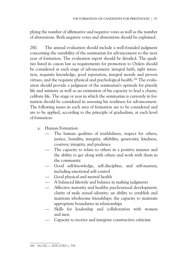plying the number of affirmative and negative votes as well as the number of abstentions. Both negative votes and abstentions should be explained.

280. The annual evaluation should include a well-founded judgment concerning the suitability of the seminarian for advancement to the next year of formation. The evaluation report should be detailed. The qualities listed in canon law as requirements for promotion to Orders should be considered at each stage of advancement: integral faith, right intention, requisite knowledge, good reputation, integral morals and proven virtues, and the requisite physical and psychological health.<sup>166</sup> The evaluation should provide a judgment of the seminarian's aptitude for priestly life and ministry as well as an estimation of his capacity to lead a chaste, celibate life. The stage or year in which the seminarian is currently in formation should be considered in assessing his readiness for advancement. The following issues in each area of formation are to be considered and are to be applied, according to the principle of gradualism, at each level of formation:

- a. Human Formation:
	- The human qualities of truthfulness, respect for others, justice, humility, integrity, affability, generosity, kindness, courtesy, integrity, and prudence
	- The capacity to relate to others in a positive manner and the ability to get along with others and work with them in the community
	- Good self-knowledge, self-discipline, and self-mastery, including emotional self-control
	- Good physical and mental health
	- A balanced lifestyle and balance in making judgments
	- Affective maturity and healthy psychosexual development; clarity of male sexual identity; an ability to establish and maintain wholesome friendships; the capacity to maintain appropriate boundaries in relationships
	- Skills for leadership and collaboration with women and men
	- Capacity to receive and integrate constructive criticism

<sup>166</sup> See CIC, c. 1029; CCEO, c. 758.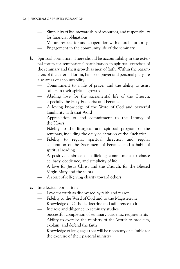- Simplicity of life, stewardship of resources, and responsibility for financial obligations
- Mature respect for and cooperation with church authority
- Engagement in the community life of the seminary
- b. Spiritual Formation: There should be accountability in the external forum for seminarians' participation in spiritual exercises of the seminary and their growth as men of faith. Within the parameters of the external forum, habits of prayer and personal piety are also areas of accountability.
	- Commitment to a life of prayer and the ability to assist others in their spiritual growth
	- Abiding love for the sacramental life of the Church, especially the Holy Eucharist and Penance
	- A loving knowledge of the Word of God and prayerful familiarity with that Word
	- Appreciation of and commitment to the Liturgy of the Hours
	- Fidelity to the liturgical and spiritual program of the seminary, including the daily celebration of the Eucharist
	- Fidelity to regular spiritual direction and regular celebration of the Sacrament of Penance and a habit of spiritual reading
	- A positive embrace of a lifelong commitment to chaste celibacy, obedience, and simplicity of life
	- A love for Jesus Christ and the Church, for the Blessed Virgin Mary and the saints
	- A spirit of self-giving charity toward others
- c. Intellectual Formation:
	- Love for truth as discovered by faith and reason
	- Fidelity to the Word of God and to the Magisterium
	- Knowledge of Catholic doctrine and adherence to it
	- Interest and diligence in seminary studies
	- Successful completion of seminary academic requirements
	- Ability to exercise the ministry of the Word: to proclaim, explain, and defend the faith
	- Knowledge of languages that will be necessary or suitable for the exercise of their pastoral ministry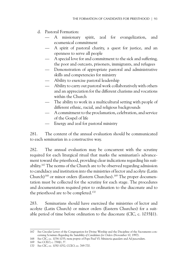- d. Pastoral Formation:
	- A missionary spirit, zeal for evangelization, and ecumenical commitment
	- A spirit of pastoral charity, a quest for justice, and an openness to serve all people
	- A special love for and commitment to the sick and suffering, the poor and outcasts, prisoners, immigrants, and refugees
	- Demonstration of appropriate pastoral and administrative skills and competencies for ministry
	- Ability to exercise pastoral leadership
	- Ability to carry out pastoral work collaboratively with others and an appreciation for the different charisms and vocations within the Church
	- The ability to work in a multicultural setting with people of different ethnic, racial, and religious backgrounds
	- A commitment to the proclamation, celebration, and service of the Gospel of life
	- Energy and zeal for pastoral ministry

281. The content of the annual evaluation should be communicated to each seminarian in a constructive way.

282. The annual evaluation may be concurrent with the scrutiny required for each liturgical ritual that marks the seminarian's advancement toward the priesthood, providing clear indications regarding his suitability.167 The norms of the Church are to be observed regarding admission to candidacy and institution into the ministries of lector and acolyte (Latin Church)<sup>168</sup> or minor orders (Eastern Churches).<sup>169</sup> The proper documentation must be collected for the scrutiny for each stage. The procedures and documentation required prior to ordination to the diaconate and to the priesthood are to be completed.170

283. Seminarians should have exercised the ministries of lector and acolyte (Latin Church) or minor orders (Eastern Churches) for a suitable period of time before ordination to the diaconate (CIC, c. 1035§1).

<sup>167</sup> See Circular Letter of the Congregation for Divine Worship and the Discipline of the Sacraments concerning *Scrutinies Regarding the Suitability of Candidates for Orders* (November 10, 1997).

<sup>168</sup> See CIC, cc. 1034-1035; *motu proprio* of Pope Paul VI: *Ministeria quaedam* and *Ad pascendum*.

<sup>169</sup> See CCEO, c. 758§1, 5°.

<sup>170</sup> See CIC, cc. 1050-1052; CCEO, cc. 769-770.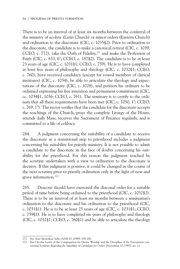There is to be an interval of at least six months between the conferral of the ministry of acolyte (Latin Church) or minor orders (Eastern Church) and ordination to the diaconate (CIC, c. 1035§2). Prior to ordination to the diaconate, the candidate is to make a canonical retreat (CIC, c. 1039; CCEO, c. 772), take the Oath of Fidelity,171 and make the Profession of Faith (CIC, c. 833, 6°; CCEO, c. 187§2). The candidate is to be at least 23 years of age (CIC, c. 1031§1; CCEO, c. 759). He is to have completed at least five years of philosophy and theology (CIC, c. 1032§1; CCEO, c. 760), have received candidacy (except for vowed members of clerical institutes) (CIC, c. 1034), be able to articulate the theology and expectations of the diaconate (CIC, c. 1028), and petition his ordinary to be ordained expressing his free intention and permanent commitment (CIC, cc. 1034§1, 1036; CCEO, c. 761). The seminary is to certify to the ordinary that all these requirements have been met (CIC, c. 1050, 1°; CCEO, c. 769, 1°). The rector verifies that the candidate for the diaconate accepts the teachings of the Church, prays the complete Liturgy of the Hours, attends daily Mass, receives the Sacrament of Penance regularly, and is committed to a life of celibacy.

284. A judgment concerning the suitability of a candidate to receive the diaconate as a transitional step to priesthood includes a judgment concerning his suitability for priestly ministry. It is not possible to admit a candidate to the diaconate in the face of doubts concerning his suitability for the priesthood. For this reason the judgment reached by the scrutiny undertaken with a view to ordination to the diaconate is decisive. If this judgment is positive, it could be changed in the course of the next scrutiny prior to priestly ordination only in the light of new and grave information.172

285. Deacons should have exercised the diaconal order for a suitable period of time before being ordained to the priesthood (CIC, c. 1032§2). There is to be an interval of at least six months between a seminarian's ordination to the diaconate and his ordination to the priesthood (CIC, c. 1031§1). He is to be at least 25 years of age (CIC, c. 1031§1; CCEO, c. 759§1). He is to have completed six years of philosophy and theology (CIC, c. 1032§1; CCEO, c. 760§1) and be able to articulate the theology

<sup>171</sup> See *Acta Apostolicae Sedis* (AAS) 81 (1989) 104-106.

<sup>172</sup> See Circular Letter of the Congregation for Divine Worship and the Discipline of the Sacraments concerning *Scrutinies Regarding the Suitability of Candidates for Orders* (November 10, 1997), no. 11.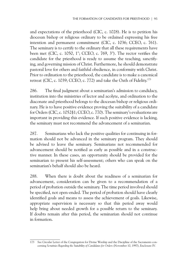and expectations of the priesthood (CIC, c. 1028). He is to petition his diocesan bishop or religious ordinary to be ordained expressing his free intention and permanent commitment (CIC, c. 1036; CCEO, c. 761). The seminary is to certify to the ordinary that all these requirements have been met (CIC, c. 1050, 1°; CCEO, c. 769, 3°). The rector verifies the candidate for the priesthood is ready to assume the teaching, sanctifying, and governing mission of Christ. Furthermore, he should demonstrate pastoral love for others and faithful obedience, in conformity with Christ. Prior to ordination to the priesthood, the candidate is to make a canonical retreat (CIC, c. 1039; CCEO, c. 772) and take the Oath of Fidelity.173

286. The final judgment about a seminarian's admission to candidacy, institution into the ministries of lector and acolyte, and ordination to the diaconate and priesthood belongs to the diocesan bishop or religious ordinary. He is to have positive evidence proving the suitability of a candidate for Orders (CIC, c. 1052§1; CCEO, c. 770). The seminary's evaluations are important in providing this evidence. If such positive evidence is lacking, the seminary must not recommend the advancement of a seminarian.

287. Seminarians who lack the positive qualities for continuing in formation should not be advanced in the seminary program. They should be advised to leave the seminary. Seminarians not recommended for advancement should be notified as early as possible and in a constructive manner. In these cases, an opportunity should be provided for the seminarian to present his self-assessment; others who can speak on the seminarian's behalf should also be heard.

288. When there is doubt about the readiness of a seminarian for advancement, consideration can be given to a recommendation of a period of probation outside the seminary. The time period involved should be specified, not open-ended. The period of probation should have clearly identified goals and means to assess the achievement of goals. Likewise, appropriate supervision is necessary so that this period away would help bring about needed growth for a possible return to the seminary. If doubts remain after this period, the seminarian should not continue in formation.

<sup>173</sup> See Circular Letter of the Congregation for Divine Worship and the Discipline of the Sacraments concerning *Scrutinies Regarding the Suitability of Candidates for Orders* (November 10, 1997), Enclosure IV*.*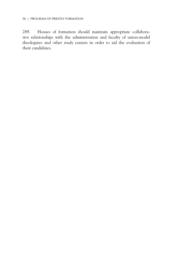289. Houses of formation should maintain appropriate collaborative relationships with the administration and faculty of union-model theologates and other study centers in order to aid the evaluation of their candidates.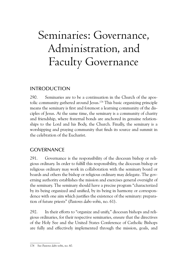# Seminaries: Governance, Administration, and Faculty Governance

# **INTRODUCTION**

290. Seminaries are to be a continuation in the Church of the apostolic community gathered around Jesus.174 This basic organizing principle means the seminary is first and foremost a learning community of the disciples of Jesus. At the same time, the seminary is a community of charity and friendship, where fraternal bonds are anchored in genuine relationships to the Lord and his Body, the Church. Finally, the seminary is a worshipping and praying community that finds its source and summit in the celebration of the Eucharist.

# **GOVERNANCE**

291. Governance is the responsibility of the diocesan bishop or religious ordinary. In order to fulfill this responsibility, the diocesan bishop or religious ordinary may work in collaboration with the seminary board or boards and others the bishop or religious ordinary may delegate. The governing authority establishes the mission and exercises general oversight of the seminary. The seminary should have a precise program "characterized by its being organized and unified, by its being in harmony or correspondence with one aim which justifies the existence of the seminary: preparation of future priests" (*Pastores dabo vobis*, no. 61).

292. In their efforts to "organize and unify," diocesan bishops and religious ordinaries, for their respective seminaries, ensure that the directives of the Holy See and the United States Conference of Catholic Bishops are fully and effectively implemented through the mission, goals, and

<sup>174</sup> See *Pastores dabo vobis*, no. 60.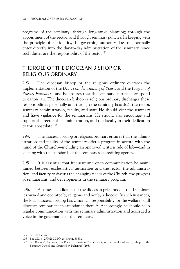programs of the seminary; through long-range planning; through the appointment of the rector; and through seminary policies. In keeping with the principle of subsidiarity, the governing authority does not normally enter directly into the day-to-day administration of the seminary, since such duties are the responsibility of the rector.<sup>175</sup>

## The Role of the Diocesan Bishop or Religious Ordinary

293. The diocesan bishop or the religious ordinary oversees the implementation of the *Decree on the Training of Priests* and the *Program of Priestly Formation*, and he ensures that the seminary statutes correspond to canon law. The diocesan bishop or religious ordinary discharges these responsibilities personally and through the seminary board(s), the rector, seminary administration, faculty, and staff. He should visit the seminary and have vigilance for the seminarians. He should also encourage and support the rector, the administration, and the faculty in their dedication to this apostolate.176

294. The diocesan bishop or religious ordinary ensures that the administration and faculty of the seminary offer a program in accord with the mind of the Church—including an approved written rule of life—and in keeping with the standards of the seminary's accrediting agency.

295. It is essential that frequent and open communication be maintained between ecclesiastical authorities and the rector, the administration, and faculty to discuss the changing needs of the Church, the progress of seminarians, and developments in the seminary program.

296. At times, candidates for the diocesan priesthood attend seminaries owned and operated by religious and not by a diocese. In such instances, the local diocesan bishop has canonical responsibility for the welfare of all diocesan seminarians in attendance there.177 Accordingly, he should be in regular communication with the seminary administration and accorded a voice in the governance of the seminary.

<sup>175</sup> See CIC, c. 260.

<sup>176</sup> See CIC, c. 259§2; CCEO, cc. 336§1, 356§2.

<sup>177</sup> See Bishops' Committee on Priestly Formation, "Relationship of the Local Ordinary (Bishop) to the Seminary Owned and Operated by Religious" (1981).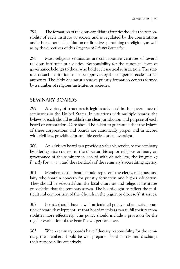297. The formation of religious candidates for priesthood is the responsibility of each institute or society and is regulated by the constitutions and other canonical legislation or directives pertaining to religious, as well as by the directives of this *Program of Priestly Formation*.

298. Most religious seminaries are collaborative ventures of several religious institutes or societies. Responsibility for the canonical form of governance belongs to those who hold ecclesiastical jurisdiction. The statutes of such institutions must be approved by the competent ecclesiastical authority. The Holy See must approve priestly formation centers formed by a number of religious institutes or societies.

## Seminary Boards

299. A variety of structures is legitimately used in the governance of seminaries in the United States. In situations with multiple boards, the bylaws of each should establish the clear jurisdiction and purpose of each board or corporation. Care should be taken to guarantee that the bylaws of these corporations and boards are canonically proper and in accord with civil law, providing for suitable ecclesiastical oversight.

300. An advisory board can provide a valuable service to the seminary by offering wise counsel to the diocesan bishop or religious ordinary on governance of the seminary in accord with church law, the *Program of Priestly Formation*, and the standards of the seminary's accrediting agency.

301. Members of the board should represent the clergy, religious, and laity who share a concern for priestly formation and higher education. They should be selected from the local churches and religious institutes or societies that the seminary serves. The board ought to reflect the multicultural composition of the Church in the region or diocese(s) it serves.

302. Boards should have a well-articulated policy and an active practice of board development, so that board members can fulfill their responsibilities more effectively. This policy should include a provision for the regular evaluation of the board's own performance.

303. When seminary boards have fiduciary responsibility for the seminary, the members should be well prepared for that role and discharge their responsibility effectively.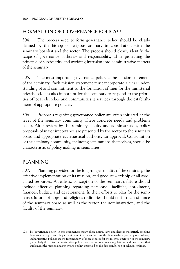## FORMATION OF GOVERNANCE POLICY<sup>178</sup>

304. The process used to form governance policy should be clearly defined by the bishop or religious ordinary in consultation with the seminary board(s) and the rector. The process should clearly identify the scope of governance authority and responsibility, while protecting the principle of subsidiarity and avoiding intrusion into administrative matters of the seminary.

305. The most important governance policy is the mission statement of the seminary. Each mission statement must incorporate a clear understanding of and commitment to the formation of men for the ministerial priesthood. It is also important for the seminary to respond to the priorities of local churches and communities it services through the establishment of appropriate policies.

306. Proposals regarding governance policy are often initiated at the level of the seminary community where concrete needs and problems occur. After review by the seminary faculty and administration, policy proposals of major importance are presented by the rector to the seminary board and appropriate ecclesiastical authority for approval. Consultation of the seminary community, including seminarians themselves, should be characteristic of policy making in seminaries.

## PI ANNING

307. Planning provides for the long-range stability of the seminary, the effective implementation of its mission, and good stewardship of all associated resources. A realistic conception of the seminary's future should include effective planning regarding personnel, facilities, enrollment, finances, budget, and development. In their efforts to plan for the seminary's future, bishops and religious ordinaries should enlist the assistance of the seminary board as well as the rector, the administration, and the faculty of the seminary.

<sup>178</sup> By "governance policy" in this document is meant those norms, laws, and decrees that strictly speaking flow from the rights and obligations inherent in the authority of the diocesan bishop or religious ordinary. Administrative policies are the responsibility of those deputed for the internal operation of the seminary, particularly the rector. Administrative policy means operational rules, regulations, and procedures that implement the mission and governance policy approved by the diocesan bishop or religious ordinary.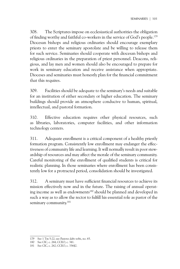308. The Scriptures impose on ecclesiastical authorities the obligation of finding worthy and faithful co-workers in the service of God's people.179 Diocesan bishops and religious ordinaries should encourage exemplary priests to enter the seminary apostolate and be willing to release them for such service. Seminaries should cooperate with diocesan bishops and religious ordinaries in the preparation of priest personnel. Deacons, religious, and lay men and women should also be encouraged to prepare for work in seminary education and receive assistance when appropriate. Dioceses and seminaries must honestly plan for the financial commitment that this requires.

309. Facilities should be adequate to the seminary's needs and suitable for an institution of either secondary or higher education. The seminary buildings should provide an atmosphere conducive to human, spiritual, intellectual, and pastoral formation.

310. Effective education requires other physical resources, such as libraries, laboratories, computer facilities, and other information technology centers.

311. Adequate enrollment is a critical component of a healthy priestly formation program. Consistently low enrollment may endanger the effectiveness of community life and learning. It will normally result in poor stewardship of resources and may affect the morale of the seminary community. Careful monitoring of the enrollment of qualified students is critical for realistic planning. In those seminaries where enrollment has been consistently low for a protracted period, consolidation should be investigated.

312. A seminary must have sufficient financial resources to achieve its mission effectively now and in the future. The raising of annual operating income as well as endowments<sup>180</sup> should be planned and developed in such a way as to allow the rector to fulfill his essential role as pastor of the seminary community.<sup>181</sup>

<sup>179</sup> See 1 Tm 5:22; see *Pastores dabo vobis*, no. 65.

<sup>180</sup> See CIC, c. 264; CCEO, c. 341.

<sup>181</sup> See CIC, c. 262; CCEO, c. 336§2.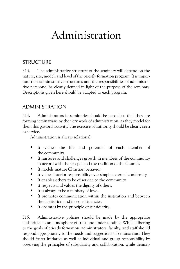# Administration

# **STRUCTURE**

313. The administrative structure of the seminary will depend on the nature, size, model, and level of the priestly formation program. It is important that administrative structures and the responsibilities of administrative personnel be clearly defined in light of the purpose of the seminary. Descriptions given here should be adapted to each program.

## Administration

314. Administrators in seminaries should be conscious that they are forming seminarians by the very work of administration, as they model for them this pastoral activity. The exercise of authority should be clearly seen as service.

Administration is always relational:

- It values the life and potential of each member of the community.
- It nurtures and challenges growth in members of the community in accord with the Gospel and the tradition of the Church.
- It models mature Christian behavior.
- It values interior responsibility over simple external conformity.
- It enables others to be of service to the community.
- It respects and values the dignity of others.
- It is always to be a ministry of love.
- It promotes communication within the institution and between the institution and its constituencies.
- It operates by the principle of subsidiarity.

315. Administrative policies should be made by the appropriate authorities in an atmosphere of trust and understanding. While adhering to the goals of priestly formation, administrators, faculty, and staff should respond appropriately to the needs and suggestions of seminarians. They should foster initiative as well as individual and group responsibility by observing the principles of subsidiarity and collaboration, while demon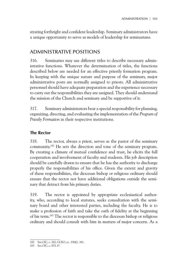strating forthright and confident leadership. Seminary administrators have a unique opportunity to serve as models of leadership for seminarians.

# Administrative Positions

316. Seminaries may use different titles to describe necessary administrative functions. Whatever the determination of titles, the functions described below are needed for an effective priestly formation program. In keeping with the unique nature and purpose of the seminary, major administrative posts are normally assigned to priests. All administrative personnel should have adequate preparation and the experience necessary to carry out the responsibilities they are assigned. They should understand the mission of the Church and seminary and be supportive of it.

317. Seminary administrators bear a special responsibility for planning, organizing, directing, and evaluating the implementation of the *Program of Priestly Formation* in their respective institutions.

## **The Rector**

318. The rector, always a priest, serves as the pastor of the seminary community.182 He sets the direction and tone of the seminary program. By creating a climate of mutual confidence and trust, he elicits the full cooperation and involvement of faculty and students. His job description should be carefully drawn to ensure that he has the authority to discharge properly the responsibilities of his office. Given the extent and gravity of these responsibilities, the diocesan bishop or religious ordinary should ensure that the rector not have additional obligations outside the seminary that detract from his primary duties.

319. The rector is appointed by appropriate ecclesiastical authority, who, according to local statutes, seeks consultation with the seminary board and other interested parties, including the faculty. He is to make a profession of faith and take the oath of fidelity at the beginning of his term.183 The rector is responsible to the diocesan bishop or religious ordinary and should consult with him in matters of major concern. As a

<sup>182</sup> See CIC, c. 262; CCEO, cc. 336§2, 341.

<sup>183</sup> See CIC, c. 833, 6°.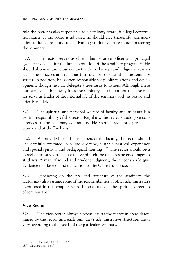rule the rector is also responsible to a seminary board, if a legal corporation exists. If the board is advisory, he should give thoughtful consideration to its counsel and take advantage of its expertise in administering the seminary.

320. The rector serves as chief administrative officer and principal agent responsible for the implementation of the seminary program.<sup>184</sup> He should also maintain close contact with the bishops and religious ordinaries of the dioceses and religious institutes or societies that the seminary serves. In addition, he is often responsible for public relations and development, though he may delegate these tasks to others. Although these duties may call him away from the seminary, it is important that the rector serve as leader of the internal life of the seminary both as pastor and priestly model.

321. The spiritual and personal welfare of faculty and students is a central responsibility of the rector. Regularly, the rector should give conferences to the seminary community. He should frequently preside at prayer and at the Eucharist.

322. As provided for other members of the faculty, the rector should "be carefully prepared in sound doctrine, suitable pastoral experience and special spiritual and pedagogical training."185 The rector should be a model of priestly virtue, able to live himself the qualities he encourages in students. A man of sound and prudent judgment, the rector should give evidence to a love of and dedication to the Church's service.

323. Depending on the size and structure of the seminary, the rector may also assume some of the responsibilities of other administrators mentioned in this chapter, with the exception of the spiritual direction of seminarians.

## **Vice-Rector**

324. The vice-rector, always a priest, assists the rector in areas determined by the rector and each seminary's administrative structure. Tasks vary according to the needs of the particular seminary.

<sup>184</sup> See CIC, c. 261; CCEO, c. 338§2.

<sup>185</sup> *Optatam totius*, no. 5.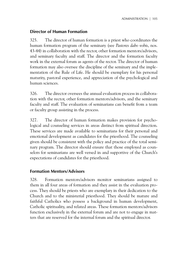## **Director of Human Formation**

325. The director of human formation is a priest who coordinates the human formation program of the seminary (see *Pastores dabo vobis*, nos. 43-44) in collaboration with the rector, other formation mentors/advisors, and seminary faculty and staff. The director and the formation faculty work in the external forum as agents of the rector. The director of human formation may also oversee the discipline of the seminary and the implementation of the Rule of Life. He should be exemplary for his personal maturity, pastoral experience, and appreciation of the psychological and human sciences.

326. The director oversees the annual evaluation process in collaboration with the rector, other formation mentors/advisors, and the seminary faculty and staff. The evaluation of seminarians can benefit from a team or faculty group assisting in the process.

327. The director of human formation makes provision for psychological and counseling services in areas distinct from spiritual direction. These services are made available to seminarians for their personal and emotional development as candidates for the priesthood. The counseling given should be consistent with the policy and practice of the total seminary program. The director should ensure that those employed as counselors for seminarians are well versed in and supportive of the Church's expectations of candidates for the priesthood.

## **Formation Mentors/Advisors**

328. Formation mentors/advisors monitor seminarians assigned to them in all four areas of formation and they assist in the evaluation process. They should be priests who are exemplary in their dedication to the Church and to the ministerial priesthood. They should be mature and faithful Catholics who possess a background in human development, Catholic spirituality, and related areas. These formation mentors/advisors function exclusively in the external forum and are not to engage in matters that are reserved for the internal forum and the spiritual director.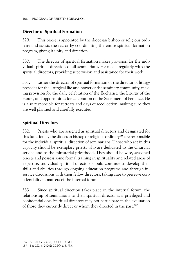## **Director of Spiritual Formation**

329. This priest is appointed by the diocesan bishop or religious ordinary and assists the rector by coordinating the entire spiritual formation program, giving it unity and direction.

330. The director of spiritual formation makes provision for the individual spiritual direction of all seminarians. He meets regularly with the spiritual directors, providing supervision and assistance for their work.

331. Either the director of spiritual formation or the director of liturgy provides for the liturgical life and prayer of the seminary community, making provision for the daily celebration of the Eucharist, the Liturgy of the Hours, and opportunities for celebration of the Sacrament of Penance. He is also responsible for retreats and days of recollection, making sure they are well planned and carefully executed.

## **Spiritual Directors**

332. Priests who are assigned as spiritual directors and designated for this function by the diocesan bishop or religious ordinary186 are responsible for the individual spiritual direction of seminarians. Those who act in this capacity should be exemplary priests who are dedicated to the Church's service and to the ministerial priesthood. They should be wise, seasoned priests and possess some formal training in spirituality and related areas of expertise. Individual spiritual directors should continue to develop their skills and abilities through ongoing education programs and through inservice discussions with their fellow directors, taking care to preserve confidentiality in matters of the internal forum.

333. Since spiritual direction takes place in the internal forum, the relationship of seminarians to their spiritual director is a privileged and confidential one. Spiritual directors may not participate in the evaluation of those they currently direct or whom they directed in the past.187

<sup>186</sup> See CIC, c. 239§2; CCEO, c. 339§1.

<sup>187</sup> See CIC, c. 240§2; CCEO, c. 339§3.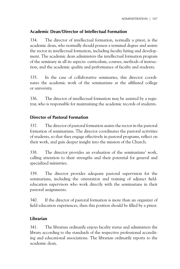## **Academic Dean/Director of Intellectual Formation**

334. The director of intellectual formation, normally a priest, is the academic dean, who normally should possess a terminal degree and assists the rector in intellectual formation, including faculty hiring and development. The academic dean administers the intellectual formation program of the seminary in all its aspects: curriculum, courses, methods of instruction, and the academic quality and performance of faculty and students.

335. In the case of collaborative seminaries, this director coordinates the academic work of the seminarians at the affiliated college or university.

336. The director of intellectual formation may be assisted by a registrar, who is responsible for maintaining the academic records of students.

## **Director of Pastoral Formation**

337. The director of pastoral formation assists the rector in the pastoral formation of seminarians. The director coordinates the pastoral activities of students, so that they engage effectively in pastoral programs, reflect on their work, and gain deeper insight into the mission of the Church.

338. The director provides an evaluation of the seminarians' work, calling attention to their strengths and their potential for general and specialized ministries.

339. The director provides adequate pastoral supervision for the seminarians, including the orientation and training of adjunct fieldeducation supervisors who work directly with the seminarians in their pastoral assignments.

340. If the director of pastoral formation is more than an organizer of field education experiences, then this position should be filled by a priest.

## **Librarian**

341. The librarian ordinarily enjoys faculty status and administers the library according to the standards of the respective professional accrediting and educational associations. The librarian ordinarily reports to the academic dean.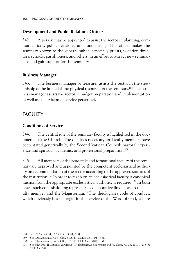## **Development and Public Relations Officer**

342. A person may be appointed to assist the rector in planning, communications, public relations, and fund raising. This officer makes the seminary known to the general public, especially priests, vocation directors, schools, parishioners, and others, in an effort to attract new seminarians and gain support for the seminary.

## **Business Manager**

343. The business manager or treasurer assists the rector in the stewardship of the financial and physical resources of the seminary.188 The business manager assists the rector in budget preparation and implementation as well as supervision of service personnel.

# **FACULTY**

## **Conditions of Service**

344. The central role of the seminary faculty is highlighted in the documents of the Church. The qualities necessary for faculty members have been stated generically by the Second Vatican Council: pastoral experience and spiritual, academic, and professional preparation.<sup>189</sup>

345. All members of the academic and formational faculty of the seminary are approved and appointed by the competent ecclesiastical authority on recommendation of the rector according to the approved statutes of the institution.190 In order to teach on an ecclesiastical faculty, a canonical mission from the appropriate ecclesiastical authority is required.<sup>191</sup> In both cases, such commissioning represents a collaborative link between the faculty member and the Magisterium. "The theologian's code of conduct, which obviously has its origin in the service of the Word of God, is here

<sup>188</sup> See CIC, c. 239§1; CCEO, cc. 338§1, 339§1.

<sup>189</sup> See *Optatam totius*, no. 5; CIC, c. 253§1; CCEO, cc. 340§1, 351.

<sup>190</sup> See *Optatam totius*, no. 5; CIC, c. 253§1; CCEO, cc. 340§1, 351.

<sup>191</sup> See John Paul II, *Sapientia christiana* (*On Ecclesiastical Universities and Faculties*), no. 27, 1; CIC, c. 818; CCEO, c. 644.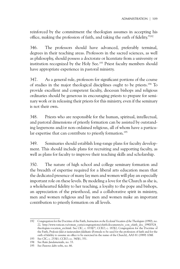reinforced by the commitment the theologian assumes in accepting his office, making the profession of faith, and taking the oath of fidelity."192

346. The professors should have advanced, preferably terminal, degrees in their teaching areas. Professors in the sacred sciences, as well as philosophy, should possess a doctorate or licentiate from a university or institution recognized by the Holy See.<sup>193</sup> Priest faculty members should have appropriate experience in pastoral ministry.

347. As a general rule, professors for significant portions of the course of studies in the major theological disciplines ought to be priests.<sup>194</sup> To provide excellent and competent faculty, diocesan bishops and religious ordinaries should be generous in encouraging priests to prepare for seminary work or in releasing their priests for this ministry, even if the seminary is not their own.

348. Priests who are responsible for the human, spiritual, intellectual, and pastoral dimensions of priestly formation can be assisted by outstanding laypersons and/or non-ordained religious, all of whom have a particular expertise that can contribute to priestly formation.<sup>195</sup>

349. Seminaries should establish long-range plans for faculty development. This should include plans for recruiting and supporting faculty, as well as plans for faculty to improve their teaching skills and scholarship.

350. The nature of high school and college seminary formation and the breadth of expertise required for a liberal arts education mean that the dedicated presence of many lay men and women will play an especially important role on these levels. By modeling a love for the Church as she is, a wholehearted fidelity to her teaching, a loyalty to the pope and bishops, an appreciation of the priesthood, and a collaborative spirit in ministry, men and women religious and lay men and women make an important contribution to priestly formation on all levels.

<sup>192</sup> Congregation for the Doctrine of the Faith, *Instruction on the Ecclesial Vocation of the Theologian* (1990), no. 22, http://www.vatican.va/roman\_curia/congregations/cfaith/documents/rc\_con\_cfaith\_doc\_19900524\_ theologian-vocation\_en.html. See CIC, c. 833§7°; CCEO, c. 187§2; Congregation for the Doctrine of the Faith, *Professio fidei et iusiurandum fidelitatis* (Formula to be used for the profession of faith and for the oath of fidelity to assume an office to be exercised in the name of the Church), AAS 81 (1989) 104ff.

<sup>193</sup> See CIC, c. 253§1; CCEO, cc. 340§1, 351.

<sup>194</sup> See *Ratio fundamentalis*, no. 33.

<sup>195</sup> See *Pastores dabo vobis*, no. 66.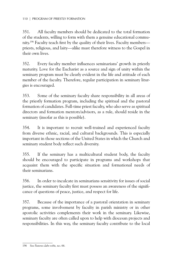351. All faculty members should be dedicated to the total formation of the students, willing to form with them a genuine educational community.<sup>196</sup> Faculty teach first by the quality of their lives. Faculty members priests, religious, and laity—alike must therefore witness to the Gospel in their own lives.

352. Every faculty member influences seminarians' growth in priestly maturity. Love for the Eucharist as a source and sign of unity within the seminary program must be clearly evident in the life and attitude of each member of the faculty. Therefore, regular participation in seminary liturgies is encouraged.

353. Some of the seminary faculty share responsibility in all areas of the priestly formation program, including the spiritual and the pastoral formation of candidates. Full-time priest faculty, who also serve as spiritual directors and formation mentors/advisors, as a rule, should reside in the seminary (insofar as this is possible).

354. It is important to recruit well-trained and experienced faculty from diverse ethnic, racial, and cultural backgrounds. This is especially important in those sections of the United States in which the Church and seminary student body reflect such diversity.

355. If the seminary has a multicultural student body, the faculty should be encouraged to participate in programs and workshops that acquaint them with the specific situation and formational needs of their seminarians.

356. In order to inculcate in seminarians sensitivity for issues of social justice, the seminary faculty first must possess an awareness of the significance of questions of peace, justice, and respect for life.

357. Because of the importance of a pastoral orientation in seminary programs, some involvement by faculty in parish ministry or in other apostolic activities complements their work in the seminary. Likewise, seminary faculty are often called upon to help with diocesan projects and responsibilities. In this way, the seminary faculty contribute to the local

<sup>196</sup> See *Pastores dabo vobis,* no. 66.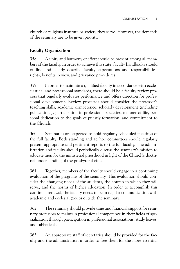church or religious institute or society they serve. However, the demands of the seminary are to be given priority.

## **Faculty Organization**

358. A unity and harmony of effort should be present among all members of the faculty. In order to achieve this state, faculty handbooks should outline and clearly describe faculty expectations and responsibilities, rights, benefits, review, and grievance procedures.

359. In order to maintain a qualified faculty in accordance with ecclesiastical and professional standards, there should be a faculty review process that regularly evaluates performance and offers direction for professional development. Review processes should consider the professor's teaching skills, academic competence, scholarly development (including publications), participation in professional societies, manner of life, personal dedication to the goals of priestly formation, and commitment to the Church.

360. Seminaries are expected to hold regularly scheduled meetings of the full faculty. Both standing and ad hoc committees should regularly present appropriate and pertinent reports to the full faculty. The administration and faculty should periodically discuss the seminary's mission to educate men for the ministerial priesthood in light of the Church's doctrinal understanding of the presbyteral office.

361. Together, members of the faculty should engage in a continuing evaluation of the programs of the seminary. This evaluation should consider the changing needs of the students, the church in which they will serve, and the norms of higher education. In order to accomplish this continual renewal, the faculty needs to be in regular communication with academic and ecclesial groups outside the seminary.

362. The seminary should provide time and financial support for seminary professors to maintain professional competence in their fields of specialization through participation in professional associations, study leaves, and sabbaticals.

363. An appropriate staff of secretaries should be provided for the faculty and the administration in order to free them for the more essential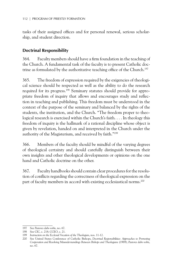tasks of their assigned offices and for personal renewal, serious scholarship, and student direction.

## **Doctrinal Responsibility**

364. Faculty members should have a firm foundation in the teaching of the Church. A fundamental task of the faculty is to present Catholic doctrine as formulated by the authoritative teaching office of the Church.<sup>197</sup>

365. The freedom of expression required by the exigencies of theological science should be respected as well as the ability to do the research required for its progress.198 Seminary statutes should provide for appropriate freedom of inquiry that allows and encourages study and reflection in teaching and publishing. This freedom must be understood in the context of the purpose of the seminary and balanced by the rights of the students, the institution, and the Church. "The freedom proper to theological research is exercised within the Church's faith. . . . In theology this freedom of inquiry is the hallmark of a rational discipline whose object is given by revelation, handed on and interpreted in the Church under the authority of the Magisterium, and received by faith."199

366. Members of the faculty should be mindful of the varying degrees of theological certainty and should carefully distinguish between their own insights and other theological developments or opinions on the one hand and Catholic doctrine on the other.

367. Faculty handbooks should contain clear procedures for the resolution of conflicts regarding the correctness of theological expression on the part of faculty members in accord with existing ecclesiastical norms.<sup>200</sup>

<sup>197</sup> See *Pastores dabo vobis*, no. 67.

<sup>198</sup> See CIC, c. 218; CCEO, c. 21.

<sup>199</sup> *Instruction on the Ecclesial Vocation of the Theologian*, nos. 11-12.

<sup>200</sup> See United States Conference of Catholic Bishops, *Doctrinal Responsibilities: Approaches to Promoting Cooperation and Resolving Misunderstandings Between Bishops and Theologians* (1989); *Pastores dabo vobis*, no. 67.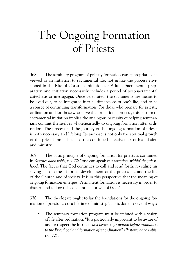# The Ongoing Formation of Priests

368. The seminary program of priestly formation can appropriately be viewed as an initiation to sacramental life, not unlike the process envisioned in the Rite of Christian Initiation for Adults. Sacramental preparation and initiation necessarily includes a period of post-sacramental catechesis or mystagogia. Once celebrated, the sacraments are meant to be lived out, to be integrated into all dimensions of one's life, and to be a source of continuing transformation. For those who prepare for priestly ordination and for those who serve the formational process, this pattern of sacramental initiation implies the analogous necessity of helping seminarians commit themselves wholeheartedly to ongoing formation after ordination. The process and the journey of the ongoing formation of priests is both necessary and lifelong. Its purpose is not only the spiritual growth of the priest himself but also the continued effectiveness of his mission and ministry.

369. The basic principle of ongoing formation for priests is contained in *Pastores dabo vobis*, no. 70: "one can speak of a *vocation 'within' the priesthood*. The fact is that God continues to call and send forth, revealing his saving plan in the historical development of the priest's life and the life of the Church and of society. It is in this perspective that the meaning of ongoing formation emerges. Permanent formation is necessary in order to discern and follow this constant call or will of God."

370. The theologate ought to lay the foundations for the ongoing formation of priests across a lifetime of ministry. This is done in several ways:

• The seminary formation program must be imbued with a vision of life after ordination. "It is particularly important to be aware of and to respect the intrinsic *link between formation before ordination to the Priesthood and formation after ordination*" (*Pastores dabo vobis*, no. 70).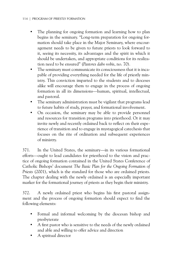- The planning for ongoing formation and learning how to plan begins in the seminary. "Long-term preparation for ongoing formation should take place in the Major Seminary, where encouragement needs to be given to future priests to look forward to it, seeing its necessity, its advantages and the spirit in which it should be undertaken, and appropriate conditions for its realization need to be ensured" (*Pastores dabo vobis*, no. 70).
- The seminary must communicate its consciousness that it is incapable of providing everything needed for the life of priestly ministry. This conviction imparted to the students and to dioceses alike will encourage them to engage in the process of ongoing formation in all its dimensions—human, spiritual, intellectual, and pastoral.
- The seminary administration must be vigilant that programs lead to future habits of study, prayer, and formational involvement.
- On occasion, the seminary may be able to provide personnel and resources for transition programs into priesthood. Or it may invite newly and recently ordained back to reflect on their experience of transition and to engage in mystagogical catechesis that focuses on the rite of ordination and subsequent experiences of ministry.

371. In the United States, the seminary—in its various formational efforts—ought to lead candidates for priesthood to the vision and practice of ongoing formation contained in the United States Conference of Catholic Bishops' document *The Basic Plan for the Ongoing Formation of Priests* (2001), which is the standard for those who are ordained priests. The chapter dealing with the newly ordained is an especially important marker for the formational journey of priests as they begin their ministry.

372. A newly ordained priest who begins his first pastoral assignment and the process of ongoing formation should expect to find the following elements:

- Formal and informal welcoming by the diocesan bishop and presbyterate
- A first pastor who is sensitive to the needs of the newly ordained and able and willing to offer advice and direction
- A spiritual director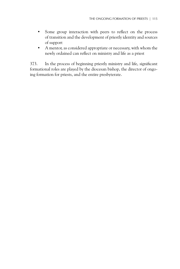- Some group interaction with peers to reflect on the process of transition and the development of priestly identity and sources of support
- A mentor, as considered appropriate or necessary, with whom the newly ordained can reflect on ministry and life as a priest

373. In the process of beginning priestly ministry and life, significant formational roles are played by the diocesan bishop, the director of ongoing formation for priests, and the entire presbyterate.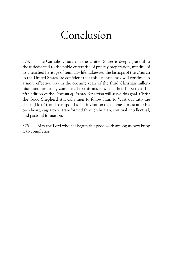# Conclusion

374. The Catholic Church in the United States is deeply grateful to those dedicated to the noble enterprise of priestly preparation, mindful of its cherished heritage of seminary life. Likewise, the bishops of the Church in the United States are confident that this essential task will continue in a more effective way in the opening years of the third Christian millennium and are firmly committed to this mission. It is their hope that this fifth edition of the *Program of Priestly Formation* will serve this goal. Christ the Good Shepherd still calls men to follow him, to "cast out into the deep" (Lk 5:4), and to respond to his invitation to become a priest after his own heart, eager to be transformed through human, spiritual, intellectual, and pastoral formation.

375. May the Lord who has begun this good work among us now bring it to completion.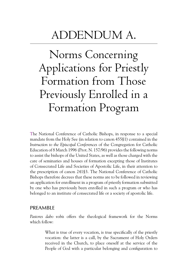# Addendum A.

Norms Concerning Applications for Priestly Formation from Those Previously Enrolled in a Formation Program

The National Conference of Catholic Bishops, in response to a special mandate from the Holy See (in relation to canon 455§1) contained in the *Instruction to the Episcopal Conferences* of the Congregation for Catholic Education of 8 March 1996 (Prot. N. 157/96) provides the following norms to assist the bishops of the United States, as well as those charged with the care of seminaries and houses of formation excepting those of Institutes of Consecrated Life and Societies of Apostolic Life, in their attention to the prescription of canon 241§3. The National Conference of Catholic Bishops therefore decrees that these norms are to be followed in reviewing an application for enrollment in a program of priestly formation submitted by one who has previously been enrolled in such a program or who has belonged to an institute of consecrated life or a society of apostolic life.

## PRFAMBIF

*Pastores dabo vobis* offers the theological framework for the Norms which follow:

> What is true of every vocation, is true specifically of the priestly vocation: the latter is a call, by the Sacrament of Holy Orders received in the Church, to place oneself at the service of the People of God with a particular belonging and configuration to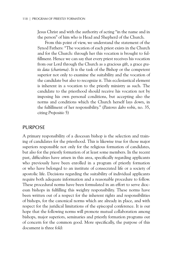Jesus Christ and with the authority of acting "in the name and in the person" of him who is Head and Shepherd of the Church.

From this point of view, we understand the statement of the Synod Fathers: "The vocation of each priest exists in the Church and for the Church: through her this vocation is brought to fulfillment. Hence we can say that every priest receives his vocation from our Lord through the Church as a gracious gift, a grace *gratis data (charisma)*. It is the task of the Bishop or the competent superior not only to examine the suitability and the vocation of the candidate but also to recognize it. This ecclesiastical element is inherent in a vocation to the priestly ministry as such. The candidate to the priesthood should receive his vocation not by imposing his own personal conditions, but accepting also the norms and conditions which the Church herself lays down, in the fulfillment of her responsibility." (*Pastores dabo vobis*, no. 35, citing *Propositio* 5)

### **PURPOSE**

A primary responsibility of a diocesan bishop is the selection and training of candidates for the priesthood. This is likewise true for those major superiors responsible not only for the religious formation of candidates, but also for the priestly formation of at least some members. In the recent past, difficulties have arisen in this area, specifically regarding applicants who previously have been enrolled in a program of priestly formation or who have belonged to an institute of consecrated life or a society of apostolic life. Decisions regarding the suitability of individual applicants require both adequate information and a reasonable procedure to follow. These procedural norms have been formulated in an effort to serve diocesan bishops in fulfilling this weighty responsibility. These norms have been written out of a respect for the inherent rights and responsibilities of bishops, for the canonical norms which are already in place, and with respect for the juridical limitations of the episcopal conference. It is our hope that the following norms will promote mutual collaboration among bishops, major superiors, seminaries and priestly formation programs out of concern for the common good. More specifically, the purpose of this document is three fold: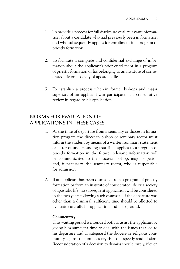- 1. To provide a process for full disclosure of all relevant information about a candidate who had previously been in formation and who subsequently applies for enrollment in a program of priestly formation
- 2. To facilitate a complete and confidential exchange of information about the applicant's prior enrollment in a program of priestly formation or his belonging to an institute of consecrated life or a society of apostolic life
- 3. To establish a process wherein former bishops and major superiors of an applicant can participate in a consultative review in regard to his application

## Norms for Evaluation of Applications in These Cases

- 1. At the time of departure from a seminary or diocesan formation program the diocesan bishop or seminary rector must inform the student by means of a written summary statement or letter of understanding that if he applies to a program of priestly formation in the future, relevant information will be communicated to the diocesan bishop, major superior, and, if necessary, the seminary rector, who is responsible for admission.
- 2. If an applicant has been dismissed from a program of priestly formation or from an institute of consecrated life or a society of apostolic life, no subsequent application will be considered in the two years following such dismissal. If the departure was other than a dismissal, sufficient time should be allotted to evaluate carefully his application and background.

### *Commentary*

This waiting period is intended both to assist the applicant by giving him sufficient time to deal with the issues that led to his departure and to safeguard the diocese or religious community against the unnecessary risks of a speedy readmission. Reconsideration of a decision to dismiss should rarely, if ever,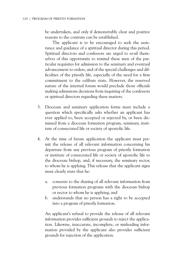be undertaken, and only if demonstrably clear and positive reasons to the contrary can be established.

The applicant is to be encouraged to seek the assistance and guidance of a spiritual director during this period. Spiritual directors and confessors are urged to avail themselves of this opportunity to remind these men of the particular requisites for admission to the seminary and eventual advancement to orders, and of the special challenges and difficulties of the priestly life, especially of the need for a firm commitment to the celibate state. However, the reserved nature of the internal forum would preclude those officials making admissions decisions from inquiring of the confessors or spiritual directors regarding these matters.

- 3. Diocesan and seminary application forms must include a question which specifically asks whether an applicant has ever applied to, been accepted or rejected by, or been dismissed from a diocesan formation program, seminary, institute of consecrated life or society of apostolic life.
- 4. At the time of future application the applicant must permit the release of all relevant information concerning his departure from any previous program of priestly formation or institute of consecrated life or society of apostolic life to the diocesan bishop, and, if necessary, the seminary rector, to whom he is applying. This release that the applicant signs must clearly state that he:
	- a. consents to the sharing of all relevant information from previous formation programs with the diocesan bishop or rector to whom he is applying, and
	- b. understands that no person has a right to be accepted into a program of priestly formation.

An applicant's refusal to provide the release of all relevant information provides sufficient grounds to reject the application. Likewise, inaccurate, incomplete, or misleading information provided by the applicant also provides sufficient grounds for rejection of the application.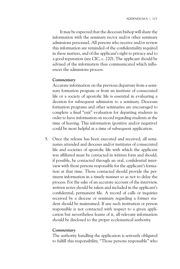It may be expected that the diocesan bishop will share the information with the seminary rector and/or other seminary admissions personnel. All persons who receive and/or review this information are reminded of the confidentiality required in these matters, and of the applicant's right to privacy and to a good reputation (see CIC, c. 220). The applicant should be advised of the information thus communicated which influences the admissions process.

### *Commentary*

Accurate information on the previous departure from a seminary formation program or from an institute of consecrated life or a society of apostolic life is essential in evaluating a decision for subsequent admission to a seminary. Diocesan formation programs and other seminaries are encouraged to complete a final "exit" evaluation for departing students in order to have information on record regarding students at the time of leaving. This information (positive and/or negative) could be most helpful at a time of subsequent application.

5. Once the release has been executed and received, all seminaries attended and dioceses and/or institutes of consecrated life and societies of apostolic life with which the applicant was affiliated must be contacted in written form and should, if possible, be contacted through an oral, confidential interview with those persons responsible for the applicant's formation at that time. Those contacted should provide the pertinent information in a timely manner so as not to delay the process. For the sake of an accurate account of the interview, written notes should be taken and included in the applicant's confidential, permanent file. A record of calls or inquiries received by a diocese or seminary regarding a former student should be maintained. If any such institution or person responsible is not contacted with respect to a given application but nevertheless learns of it, all relevant information should be disclosed to the proper ecclesiastical authority.

### *Commentary*

The authority handling the application is seriously obligated to fulfill this responsibility. "Those persons responsible" who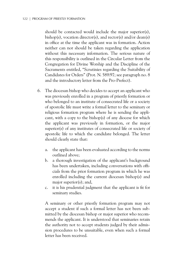should be contacted would include the major superior(s), bishop(s), vocation director(s), and rector(s) and/or dean(s) in office at the time the applicant was in formation. Action neither can nor should be taken regarding the application without this necessary information. The serious nature of this responsibility is outlined in the Circular Letter from the Congregation for Divine Worship and the Discipline of the Sacraments entitled, "Scrutinies regarding the Suitability of Candidates for Orders" (Prot. N. 589/97; see paragraph no. 8 and the introductory letter from the Pro-Prefect).

- 6. The diocesan bishop who decides to accept an applicant who was previously enrolled in a program of priestly formation or who belonged to an institute of consecrated life or a society of apostolic life must write a formal letter to the seminary or religious formation program where he is sending the applicant, with a copy to the bishop(s) of any diocese for which the applicant was previously in formation, or the major superior(s) of any institutes of consecrated life or society of apostolic life to which the candidate belonged. The letter should clearly state that:
	- a. the applicant has been evaluated according to the norms outlined above;
	- b. a thorough investigation of the applicant's background has been undertaken, including conversations with officials from the prior formation program in which he was enrolled including the current diocesan bishop(s) and major superior(s); and,
	- c. it is his prudential judgment that the applicant is fit for seminary studies.

A seminary or other priestly formation program may not accept a student if such a formal letter has not been submitted by the diocesan bishop or major superior who recommends the applicant. It is understood that seminaries retain the authority not to accept students judged by their admission procedures to be unsuitable, even when such a formal letter has been received.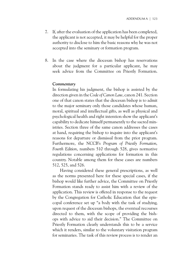- 7. If, after the evaluation of the application has been completed, the applicant is not accepted, it may be helpful for the proper authority to disclose to him the basic reasons why he was not accepted into the seminary or formation program.
- 8. In the case where the diocesan bishop has reservations about the judgment for a particular applicant, he may seek advice from the Committee on Priestly Formation.

### *Commentary*

In formulating his judgment, the bishop is assisted by the direction given in the *Code of Canon Law*, canon 241. Section one of that canon states that the diocesan bishop is to admit to the major seminary only those candidates whose human, moral, spiritual and intellectual gifts, as well as physical and psychological health and right intention show the applicant's capability to dedicate himself permanently to the sacred ministries. Section three of the same canon addresses the cases at hand, requiring the bishop to inquire into the applicant's reasons for departure or dismissal from the prior program. Furthermore, the NCCB's *Program of Priestly Formation, Fourth Edition*, numbers 510 through 528, gives normative regulations concerning applications for formation in this country. Notable among them for these cases are numbers 512, 525, and 526.

Having considered these general prescriptions, as well as the norms presented here for these special cases, if the bishop would like further advice, the Committee on Priestly Formation stands ready to assist him with a review of the application. This review is offered in response to the request by the Congregation for Catholic Education that the episcopal conference set up "a body with the task of studying, upon request of the diocesan bishops, the eventual recourses directed to them, with the scope of providing the bishops with advice to aid their decision." The Committee on Priestly Formation clearly understands this to be a service which it renders, similar to the voluntary visitation program for seminaries. The task of this review process is to render an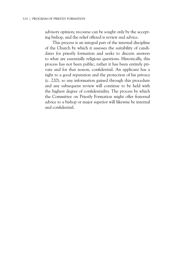advisory opinion; recourse can be sought only by the accepting bishop, and the relief offered is review and advice.

This process is an integral part of the internal discipline of the Church by which it assesses the suitability of candidates for priestly formation and seeks to discern answers to what are essentially religious questions. Historically, this process has not been public; rather it has been entirely private and for that reason, confidential. An applicant has a right to a good reputation and the protection of his privacy (c. 220), so any information gained through this procedure and any subsequent review will continue to be held with the highest degree of confidentiality. The process by which the Committee on Priestly Formation might offer fraternal advice to a bishop or major superior will likewise be internal and confidential.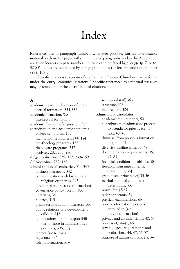# Index

References are to paragraph numbers whenever possible. Entries to indexable material on those few pages without numbered paragraphs, and to the Addendum, are given locators to page numbers, in italics and prefaced by *p.* or *pp.* (*p. 7,* or *pp. 82-85*). Notes are referenced by paragraph number, the letter *n*, and note number (282n168).

Specific citations to canons of the Latin and Eastern Churches may be found under the entry "canonical citations." Specific references to scriptural passages may be found under the entry "biblical citations."

## **A**

academic deans or directors of intellectual formation, 334-336 academic formation. *See* intellectual formation academic freedom of expression, 365 accreditation and academic standards college seminaries, 183 high school seminaries, 144, 174 pre-theology programs, 188 theologate programs, 232 acolytes, 282, 283, 286 *Ad gentes divinitus,* 239n152, 239n159 *Ad pascendum,* 282n168 administration of seminaries, 313-343 business managers, 342 communication with bishops and religious ordinaries, 295 directors (*see* directors of formation) governance policy, role in, 306 librarians, 341 policies, 315 priests serving as administrators, 306 public relations and development officers, 342 qualifications for and responsibilities of those in administrative positions, 306, 307 rectors (*see* rectors) registrars, 336 role in formation, 314

secretarial staff, 363 structure, 313 vice-rectors, 324 admission of candidates academic requirements, 50 contribution of admissions process to agenda for priestly formation, 40, 46 dismissal from previous formation program, 62 diversity, dealing with, 38, 49 documentation requirements, 39, 47, 63 financial condition and abilities, 58 freedom from impediments, determining, 64 gradualism, principle of, 35-36 marital status of candidates, determining, 66 norms for, 42-67 older applicants, 59 physical examinations, 65 previous formation, persons enrolled in (*see* previous formation) privacy and confidentiality, 40, 57 process of, 34-41, 46 psychological requirements and evaluations, 44, 47, 51-57 purpose of admissions process, 34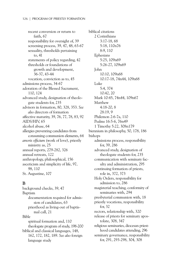recent conversion or return to faith, 67 responsibility for oversight of, 39 screening process, 39, 47, 48, 63-67 sexuality, thresholds pertaining to, 41 statements of policy regarding, 42 thresholds or foundations of growth and development, 36-37, 43-44 vocation, conviction as to, 45 admissions process, 34-67 adoration of the Blessed Sacrament, 110, 124 advanced study, designation of theologate students for, 235 advisors in formation, 80, 328, 353. *See also* directors of formation affective maturity, 39, 76, 77, 78, 83, 92 AIDS/HIV, 65 alcohol abuse, 64 allergies preventing candidates from consuming communion elements, 64 *amoris officium* (work of love), priestly ministry as, 25 annual reports, 279-282, 326 annual retreats, 122 anthropology, philosophical, 156 asceticism and simplicity of life, 97, 98, 110 St. Augustine, 107

## **B**

background checks, 39, 47 Baptism documentation required for admission of candidates, 63 priesthood as living-out of baptismal call, 21 Bible spiritual formation and, 110 theologate program of study, 198-200 biblical and classical languages, 148, 162, 172, 182, 189. *See also* foreign language study

biblical citations 2 Corinthians 3:17-18, 68 5:18, 110n76 8:9, 110 Ephesians 5:25, 109n69 5:26-27, 109n69 John 10:10, 109n68 10:17-18, 74n44, 109n68 Luke 5:4, 374 10:42, 20 Mark 10:45, 74n44, 109n67 Matthew 4:18-20, 8 28:19, 9 Philemon 2:6-7a, 110 Psalms 16:5-6, 76n49 1 Timothy 5:22, 308n179 biennium in philosophy, 50, 178, 186 bishops admissions process, responsibility for, 39, 286 advanced study, designation of theologate students for, 235 communication with seminary faculty and administration, 295 continuing formation of priests, role in, 372, 373 Holy Orders, responsibility for admission to, 286 magisterial teaching, conformity of seminaries with, 294 presbyterial communion with, 18 priestly vocations, responsibility for, 32 rectors, relationship with, 320 release of priests for seminary apostolate, 308, 347 religious seminaries, diocesan priesthood candidates attending, 296 seminary governance, responsibility for, 291, 293-298, 304, 308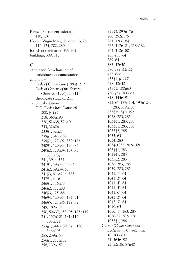Blessed Sacrament, adoration of, 110, 124 Blessed Virgin Mary, devotion to, 26, 110, 125, 202, 280 boards of seminaries, 299-303 buildings, 309, 310

### **C**

candidacy. *See* admission of candidates; documentation canon law *Code of Canon Law* (1983), 2, 211 *Code of Canons of the Eastern Churches* (1990), 2, 211 theologate study of, 211 canonical citations CIC *(Codex Iuris Canonici)* 200, *p. 124* 218, 365n198 220, 52n38, 57n40 233, 32n26 233§1, 32n27 239§1, 343n188 239§2, 127n92, 332n186 240§1, 120n83, 120n85 240§2, 120n84, 134n93, 333n187 241, 39, *p. 123* 241§1, 39n33, 44n36 241§2, 39n34, 63 241§3, 61n42, *p. 117* 242§1, *p. vii* 246§1, 116n78 246§2, 117n80 246§3, 125n88 246§4, 120n83, 127n91 246§5, 121n86, 122n87 249, 189n122 250, 50n37, 153n95, 185n119 251, 157n101, 181n116, 188n121 253§1, 344n189, 345n190, 346n193 255, 239n153 256§1, 211n137 258, 239n157

259§2, 293n176 260, 292n175 261, 320n184 262, 312n181, 318n182 264, 312n180 285-286, 64 289, 64 385, 32n30 396-397, 32n32 455, 6n6 455§1, *p. 117* 628, 32n32 748§1, 100n63 750-754, 100n63 818, 345n191 833, 6°, 177n114, 193n124, 283, 319n183 833§7°, 345n192 1028, 283, 285 1031§1, 283, 285 1032§1, 283, 285 1032§2, 285 1033, 63 1034, 283 1034-1035, 282n168 1034§1, 283 1035§1, 283 1035§2, 283 1036, 283, 285 1039, 283, 285 1041, 1°, 64 1041, 2°, 64 1041, 4°, 64 1041, 5°, 64 1041, 6°, 64 1042, 2°, 64 1042, 3°, 64 1050, 63 1050, 1°, 283, 285 1050-52, 282n170 1052§1, 286 CCEO *(Codex Canonum Ecclesiarum Orientalium)* 10, 100n63 21, 365n198 23, 52n38, 57n40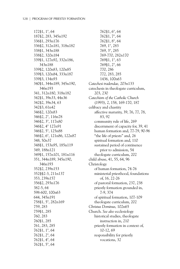172§1, 1°, 64 187§2, 283, 345n192 336§1, 293n176 336§2, 312n181, 318n182 338§1, 343n188 338§2, 320n184 339§1, 127n92, 332n186, 343n188 339§2, 120n83, 120n85 339§3, 120n84, 333n187 339§3, 134n93 340§1, 344n189, 345n190, 346n193 341, 312n180, 318n182 342§1, 39n33, 44n36 342§2, 39n34, 63 342§3, 61n42 346§2, 120n83 346§2, 2°, 116n78 346§2, 3°, 117n80 346§2, 4° 127n91 346§2, 5°, 125n88 346§2, 6°, 121n86, 122n87 348, 50n37 348§1, 153n95, 185n119 349, 188n121 349§1, 157n101, 181n116 351, 344n189, 345n190, 346n193 352§2, 239n153 352§§2-3, 211n137 353, 239n157 356§2, 293n176 382-5, 64 598-600, 100n63 644, 345n191 758§1, 5°, 282n169 759, 283 759§1, 285 760, 283 760§1, 285 761, 283, 285 762§1, 1°, 64 762§1, 2°, 64 762§1, 4°, 64 762§1, 5°, 64

762§1, 6°, 64 762§1, 7°, 64 762§1, 8°, 64 769, 1°, 283 769, 3°, 285 769-770, 282n170 769§1, 1°, 63 769§1, 2°, 66 770, 286 772, 283, 285 1436, 100n63 *Catechesi tradendae,* 203n133 catechesis in theologate curriculum, 203, 230 *Catechism of the Catholic Church* (1993), 2, 158, 169-170, 187 celibacy and chastity affective maturity, 39, 76, 77, 78, 83, 92 community rule of life, 269 discernment of capacity for, 39, 41 human formation and, 77-79, 90-96 "the life of priests" and, 26 spiritual formation and, 110 sustained period of continence prior to admission, 54 theologate curriculum, 202 child abuse, 41, 55, 64, 96 Christology of human formation, 74-76 ministerial priesthood, foundations of, 16, 22-26 of pastoral formation, 237, 238 priestly formation grounded in, 7-9, 374 of spiritual formation, 107-109 theologate curriculum, 202 *Christus Dominus,* 102n65 Church. *See also* ecclesiology historical studies, theologate instruction in, 210 priestly formation in context of, 10-12, 69 responsibility for priestly vocations, 32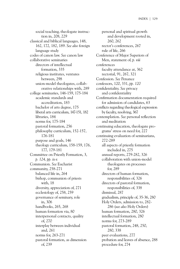social teaching, theologate instruction in, 208, 229 classical and biblical languages, 148, 162, 172, 182, 189. *See also* foreign language study codes of canon law. *See* canon law collaborative seminaries directors of intellectual formation, 335 religious institutes, ventures between, 298 union-model theologates, collaborative relationships with, 289 college seminaries, 146-159, 175-184 academic standards and accreditation, 183 bachelor of arts degree, 175 liberal arts curriculum, 147-151, 182 libraries, 184 norms for, 175-184 pastoral formation, 256 philosophy curriculum, 152-157, 176-181 purpose and goals, 146 theology curriculum, 158-159, 176, 177, 179-181 Committee on Priestly Formation, 3, *p. 124, pp. ix-x* Communion. *See* Eucharist community, 258-271 balanced life in, 264 bishop, communion of priests with, 18 diversity, appreciation of, 271 ecclesiology of, 258, 259 governance of seminary, role in, 306 handbooks, 265, 268 human formation via, 80 interpersonal contacts, quality of, 270 interplay between individual and, 261 norms for, 263-271 pastoral formation, as dimension of, 239

personal and spiritual growth and development rooted in, 260, 262 rector's conferences, 267 rule of life, 266 Conference of Major Superiors of Men, statement of, *p. viii* conferences faculty attendance at, 362 rectorial, 91, 267, 321 Confession. *See* Penance confessors, 120, 331, *pp. 120* confidentiality. *See* privacy and confidentiality Confirmation documentation required for admission of candidates, 63 conflicts regarding theological expression by faculty, resolving, 367 contemplation. *See* personal reflection and meditation continuing education, theologate programs' stress on need for, 227 continuing evaluation of seminarians, 272-289 all aspects of priestly formation included in, 275 annual reports, 279-282, 326 collaboration with union-model theologates on processes for, 289 directors of human formation, responsibilities of, 326 directors of pastoral formation, responsibilities of, 338 dismissal, 287 gradualism, principle of, 35-36, 280 Holy Orders, admission to, 282- 286 (*see also* Holy Orders) human formation, 280, 326 intellectual formation, 280 norms for, 273-289 pastoral formation, 248, 250, 280, 338 peer evaluations, 277 probation and leaves of absence, 288 procedure for, 274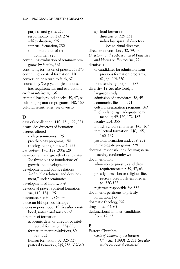purpose and goals, 272 responsibility for, 273, 274 self-evaluation, 276 spiritual formation, 280 summer and out-of-term activities, 278 continuing evaluation of seminary programs by faculty, 361 continuing formation of priests, 368-373 continuing spiritual formation, 110 conversion or return to faith, 67 counseling. *See* psychological counseling, requirements, and evaluations *credo ut intelligam,* 136 criminal background checks, 39, 47, 64 cultural preparation programs, 140, 160 cultural sensitivities. *See* diversity

### **D**

days of recollection, 110, 121, 122, 331 deans. *See* directors of formation degrees offered college seminaries, 175 pre-theology programs, 190 theologate programs, 231, 232 *Dei verbum,* 198n127, 200n129 development and growth of candidates. *See* thresholds or foundations of growth and development development and public relations. *See* "public relations and development," under seminaries development of faculty, 349 devotional prayer, spiritual formation via, 110, 124, 125 diaconate. *See* Holy Orders diocesan bishops. *See* bishops diocesan priesthood, 19. *See also* priesthood, nature and mission of directors of formation academic dean or director of intellectual formation, 334-336 formation mentors/advisors, 80, 328, 353 human formation, 80, 325-327 pastoral formation, 245, 256, 337-340

spiritual formation directors of, 329-331 individual spiritual directors (*see* spiritual directors) directors of vocations, 32, 39, 48 *Directory for the Application of Principles and Norms on Ecumenism*, 224 dismissals of candidates for admission from previous formation programs, 62, *pp. 119-120* from seminary program, 287 diversity, 12. *See also* foreign language study admission of candidates, 38, 49 community life and, 271 cultural preparation programs, 160 English language, adequate command of, 49, 160, 172, 182 faculty, 354, 355 in high school seminaries, 145, 167 intellectual formation, 140, 145, 160, 167 pastoral formation and, 239, 252 in theologate programs, 228 doctrinal responsibilities. *See* magisterial teaching, conformity with documentation admission to priestly candidacy, requirements for, 39, 47, 63 priestly formation or religious life, persons previously enrolled in, *pp. 120-122* registrars responsible for, 336 documents pertinent to priestly formation, 1-3 dogmatic theology, 202 drug abuse, 64, 65 dysfunctional families, candidates from, 12, 53

### **E**

Eastern Churches *Code of Canons of the Eastern Churches* (1990), 2, 211 (*see also under* canonical citations)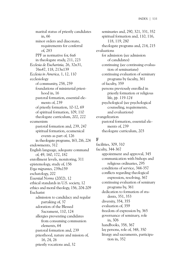marital status of priestly candidates in, 66 minor orders and diaconate, requirements for conferral of, 283 PPF as normative for, 6n6 in theologate study, 211, 223 *Ecclesia de Eucharistia,* 26, 32n31, 76n47, 118, 213n139 *Ecclesia in America,* 1, 12, 110 ecclesiology of community, 258, 259 foundations of ministerial priesthood in, 16 pastoral formation, essential elements of, 239 of priestly formation, 10-12, 69 of spiritual formation, 109, 110 theologate curriculum, 202, 222 ecumenism pastoral formation and, 239, 247 spiritual formation, ecumenical events as part of, 126 in theologate programs, 163, 216, 224 endowments, 312 English language, adequate command of, 49, 160, 172, 182 enrollment levels, monitoring, 311 epistemology, study of, 156 *Erga migrantes,* 239n159 eschatology, 202 *Essential Norms* (2002), 12 ethical standards in U.S. society, 12 ethics and moral theology, 156, 204-209 Eucharist admission to candidacy and regular partaking of, 37 adoration of the Blessed Sacrament, 110, 124 allergies preventing candidates from consuming communion elements, 64 pastoral formation and, 239 priesthood, nature and mission of, 16, 24, 26 priestly vocations and, 32

seminaries and, 290, 321, 331, 352 spiritual formation and, 110, 116, 118, 119, 280 theologate programs and, 214, 215 evaluations for admission (*see* admission of candidates) continuing (*see* continuing evaluation of seminarians) continuing evaluation of seminary programs by faculty, 361 of faculty, 359 persons previously enrolled in priestly formation or religious life, *pp. 119-124* psychological (*see* psychological counseling, requirements, and evaluations) evangelization pastoral formation, essential elements of, 239 theologate curriculum, 203

### **F**

facilities, 309, 310 faculty, 344-367 appointment and approval, 345 communication with bishops and religious ordinaries, 295 conditions of service, 344-357 conflicts regarding theological expression, resolving, 367 continuing evaluation of seminary programs by, 361 dedication to formation of students, 351, 353 diversity, 354, 355 evaluation of, 359 freedom of expression by, 365 governance of seminary, role in, 306 handbooks, 358, 367 lay persons, role of, 348, 350 liturgy and sacraments, participation in, 352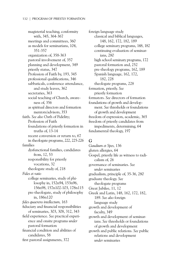magisterial teaching, conformity with, 345, 364-367 meetings and committees, 360 as models for seminarians, 104, 351-357 organization of, 358-363 pastoral involvement of, 357 planning and development, 349 priestly status, 347 Profession of Faith by, 193, 345 professional qualifications, 346 sabbaticals, conference attendance, and study leaves, 362 secretaries, 363 social teaching of Church, awareness of, 356 as spiritual directors and formation mentors/advisors, 353 faith. *See also* Oath of Fidelity; Profession of Faith foundations of priestly formation in truths of, 13-14 recent conversion or return to, 67 in theologate programs, 222, 225-226 families dysfunctional families, candidates from, 12, 53 responsibility for priestly vocations, 32 theologate study of, 218 *Fides et ratio* college seminaries, study of philosophy in, 152n94, 153n96, 156n98, 157n102-103, 178n115 pre-theologate, study of philosophy in, 186n120 *fides quaerens intellectum,* 163 fiduciary and financial responsibilities of seminaries, 303, 308, 312, 343 field experience. *See* practical experience and onsite programs *under* pastoral formation financial condition and abilities of candidates, 58 first pastoral assignments, 372

foreign language study classical and biblical languages, 148, 162, 172, 182, 189 college seminary programs, 148, 182 continuing evaluation of seminarians, 280 high school seminary programs, 172 pastoral formation and, 252 pre-theology programs, 162, 189 Spanish language, 162, 172, 182, 228 theologate programs, 228 formation, priestly. *See* priestly formation formators. *See* directors of formation foundations of growth and development. *See* thresholds or foundations of growth and development freedom of expression, academic, 365 freedom of priestly candidates from impediments, determining, 64 fundamental theology, 197

### **G**

*Gaudium et Spes,* 136 gluten allergies, 64 Gospel, priestly life as witness to radicalism of, 26 governance of seminaries. *See under* seminaries gradualism, principle of, 35-36, 280 graduate theology. *See* theologate programs Great Jubilee, 11, 12 Greek and Latin, 148, 162, 172, 182, 189. *See also* foreign language study growth and development of faculty, 349 growth and development of seminarians. *See* thresholds or foundations of growth and development growth and public relations. *See* public relations and development *under* seminaries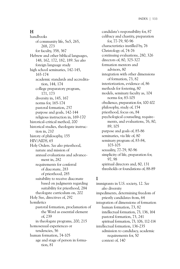### **H**

handbooks of community life, 5n5, 265, 268, 273 for faculty, 358, 367 Hebrew and other biblical languages, 148, 162, 172, 182, 189. *See also* foreign language study high school seminaries, 142-145, 165-174 academic standards and accreditation, 144, 174 college preparatory program, 171, 173 diversity in, 145, 167 norms for, 165-174 pastoral formation, 257 purpose and goals, 142-144 religious instruction in, 169-170 historical-critical method, 200 historical studies, theologate instruction in, 210 history of philosophy, 155 HIV/AIDS, 65 Holy Orders. *See also* priesthood, nature and mission of annual evaluations and advancement in, 282 requirements for conferral of diaconate, 283 of priesthood, 285 suitability to receive diaconate based on judgments regarding suitability for priesthood, 284 theologate curriculum on, 202 Holy See, directives of, 292 homiletics pastoral formation, proclamation of the Word as essential element of, 239 in theologate programs, 200, 215 homosexual experiences or tendencies, 56 human formation, 74-105 age and stage of person in formation, 81

candidate's responsibility for, 87 celibacy and chastity, preparation for, 77-79, 90-96 characteristics instilled by, 76 Christology of, 74-76 continuing evaluations, 280, 326 directors of, 80, 325-327 formation mentors and advisors, 80 integration with other dimensions of formation, 73, 82 interiorization, evidence of, 86 methods for fostering, 80 models, seminary faculty as, 104 norms for, 83-105 obedience, preparation for, 100-102 philosophy, study of, 154 priesthood, focus on, 84 psychological counseling, requirements, and evaluations, 76, 80, 89, 105 purpose and goals of, 85-86 seminaries, via life of, 80 seminary program of, 83-84, 103-105 sexuality, 77-79, 90-96 simplicity of life, preparation for, 97, 98 spiritual directors and, 80, 131 thresholds or foundations of, 88-89

## **I**

immigrants in U.S. society, 12. *See also* diversity impediments, determining freedom of priestly candidates from, 64 integration of dimensions of formation human formation, 73, 82 intellectual formation, 73, 136, 164 pastoral formation, 73, 241 spiritual formation, 73, 106, 112-114 intellectual formation, 136-235 admission to candidacy, academic requirements for, 50 context of, 140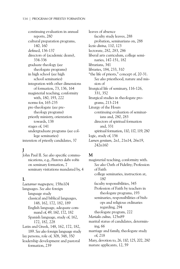continuing evaluation in annual reports, 280 cultural preparation programs, 140, 160 defined, 136-137 directors of (academic deans), 334-336 graduate theology (*see* theologate programs) in high school (*see* high school seminaries) integration with other dimensions of formation, 73, 136, 164 magisterial teaching, conformity with, 180, 193, 222 norms for, 165-235 pre-theologate (*see* pretheology programs) priestly ministry, orientation towards, 138 stages of, 141 undergraduate programs (*see* college seminaries) intention of priestly candidates, 37

# **J**

John Paul II. *See also* specific communications, e.g., *Pastores dabo vobis* on seminary formation, 7 seminary visitations mandated by, 4

## **L**

*Laetamur magnopere,* 158n104 languages. *See also* foreign language study classical and biblical languages, 148, 162, 172, 182, 189 English language, adequate command of, 49, 160, 172, 182 Spanish language, study of, 162, 172, 182, 228 Latin and Greek, 148, 162, 172, 182, 189. *See also* foreign language study lay persons, role of, 308, 348, 350 leadership development and pastoral formation, 239

leaves of absence faculty study leaves, 288 probation, seminarians on, 288 *lectio divina,* 110, 123 lectorate, 282, 283, 286 liberal arts curriculum, college seminaries, 147-151, 182 librarians, 341 libraries, 184, 233, 310 "the life of priests," concept of, 20-31. *See also* priesthood, nature and mission of liturgical life of seminary, 116-126, 331, 352 liturgical studies in theologate programs, 213-214 Liturgy of the Hours continuing evaluation of seminarians and, 280, 283 directors of spiritual formation and, 331 spiritual formation, 110, 117, 119, 280 logic, study of, 156 *Lumen gentium,* 2n1, 21n14, 26n19, 242n160

### **M**

magisterial teaching, conformity with. *See also* Oath of Fidelity; Profession of Faith college seminaries, instruction at, 180 faculty responsibilities, 345 Profession of Faith by teachers in theologate programs, 193 seminaries, responsibilities of bishops and religious ordinaries regarding, 294 theologate program, 222 *Marialis cultus,* 125n89 marital status of candidates, determining, 66 marriage and family, theologate study of, 218 Mary, devotion to, 26, 110, 125, 202, 280 mature applicants, 12, 59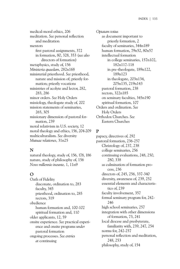medical-moral ethics, 206 meditation. *See* personal reflection and meditation mentors first pastoral assignments, 372 in formation, 80, 328, 353 (*see also* directors of formation) metaphysics, study of, 156 *Ministeria quaedam,* 282n168 ministerial priesthood. *See* priesthood, nature and mission of; priestly formation; priestly vocations ministries of acolyte and lector, 282, 283, 286 minor orders. *See* Holy Orders missiology, theologate study of, 202 mission statements of seminaries, 265, 305 missionary dimension of pastoral formation, 239 moral relativism in U.S. society, 12 moral theology and ethics, 156, 204-209 multiculturalism. *See* diversity *Mutuae relationes,* 31n25

## **N**

natural theology, study of, 156, 178, 186 nature, study of philosophy of, 156 *Novo millennio ineunte,* 1, 11n9

## **O**

Oath of Fidelity diaconate, ordination to, 283 faculty, 345 priesthood, ordination to, 285 rectors, 319 obedience human formation and, 100-102 spiritual formation and, 110 older applicants, 12, 59 onsite experience. *See* practical experience and onsite programs *under* pastoral formation ongoing processes. *See entries at* continuing

*Optatam totius* as document important to priestly formation, 2 faculty of seminaries, 344n189 human formation, 79n52, 80n57 intellectual formation in college seminaries, 157n102, 182n117-118 in pre-theologate, 189n122, 189n123 in theologate, 203n134, 205n135, 219n143 pastoral formation, 238 rectors, 322n185 on seminary faculties, 345n190 spiritual formation, 107 Orders and ordination. *See* Holy Orders Orthodox Churches. *See* Eastern Churches

# **P**

papacy, directives of, 292 pastoral formation, 236-257 Christology of, 237, 238 college seminaries, 256 continuing evaluations, 248, 250, 280, 338 as culmination of formation process, 236 directors of, 245, 256, 337-340 diversity, awareness of, 239, 252 essential elements and characteristics of, 239 faculty involvement, 357 formal seminary program for, 242- 246 high school seminaries, 257 integration with other dimensions of formation, 73, 241 local diocese and presbyterate, familiarity with, 239, 247, 254 norms for, 242-257 personal reflection and meditation, 248, 253 philosophy, study of, 154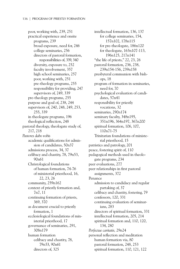poor, working with, 239, 251 practical experience and onsite programs, 239 broad exposure, need for, 246 college seminaries, 256 directors of pastoral formation, responsibilities of, 339, 340 diversity, exposure to, 252 faculty involvement, 357 high school seminaries, 257 poor, working with, 251 pre-theology programs, 255 responsibility for providing, 247 supervisors of, 249, 339 pre-theology programs, 255 purpose and goal of, 238, 244 supervisors of, 240, 248, 249, 253, 255, 339 in theologate programs, 196 theological reflection, 248 pastoral theology, theologate study of, 217, 218 *Pastores dabo vobis* academic qualifications for admission of candidates, 50n37 admissions process, 34, 37 celibacy and chastity, 78, 79n53, 90n61 Christological foundations of human formation, 74-76 of ministerial priesthood, 16, 22, 23, 26 community, 259n162 context of priestly formation and, 7n7, 11 continuing formation of priests, 369, 370 as document crucial to priestly formation, 1 ecclesiological foundations of ministerial priesthood, 17 governance of seminaries, 291, 308n179 human formation celibacy and chastity, 78, 79n53, 90n61 directors of, 325

intellectual formation, 136, 137 for college seminaries, 154, 157n102, 178n115 for pre-theologate, 186n120 for theologate, 163n107-113, 196n125, 217n141 "the life of priests," 22, 23, 26 pastoral formation, 236, 238, 239n154-156, 239n158 presbyteral communion with bishops, 18 program of formation in seminaries, need for, 70 psychological evaluation of candidates, 57n41 responsibility for priestly vocations, 32 seminaries, 290n174 seminary faculty, 348n195, 351n196, 364n197, 367n200 spiritual formation, 106, 107, 110n71-75 Trinitarian foundations of ministerial priesthood, 15 patristics and patrology, 201 peace, fostering spirit of, 110 pedagogical methods used in theologate programs, 234 peer evaluations, 277 peer relationships in first pastoral assignments, 372 Penance admission to candidacy and regular partaking of, 37 celibacy and chastity, fostering, 79 confessors, 120, 331 continuing evaluation of seminarians, 283 directors of spiritual formation, 331 intellectual formation, 205, 214 spiritual formation and, 110, 120, 134, 280 *Perfectae caritatis,* 29n24 personal reflection and meditation human formation via, 80 pastoral formation, 248, 253 spiritual formation, 110, 121, 122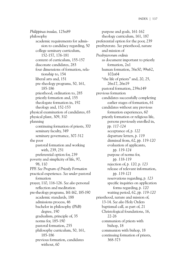*Philippinas insulas,* 125n89 philosophy academic requirements for admission to candidacy regarding, 50 college seminary curriculum, 152-157, 176-181 content of curriculum, 155-157 diaconate candidates, 283 four dimensions of formation, relationship to, 154 liberal arts and, 151 pre-theology programs, 50, 161, 185-186 priesthood, ordination to, 285 priestly formation and, 155 theologate formation in, 192 theology and, 152-153 physical examination of candidates, 65 physical plant, 309, 310 planning continuing formation of priests, 370 seminary faculty, 349 seminary governance, 307-312 the poor pastoral formation and working with, 239, 251 preferential option for, 239 poverty and simplicity of life, 97, 98, 110 PPF. *See Program of Priestly Formation* practical experience. *See under* pastoral formation prayer, 110, 116-126. *See also* personal reflection and meditation pre-theology programs, 161-162, 185-190 academic standards, 188 admissions process, 46 bachelor in philosophy (PhB) degree, 190 gradualism, principle of, 35 norms for, 185-190 pastoral formation, 255 philosophy curriculum, 50, 161, 185-186 previous formation, candidates without, 60

purpose and goals, 161-162 theology curriculum, 161, 187 preferential option for the poor, 239 presbyterate. *See* priesthood, nature and mission of *Presbyterorum ordinis* as document important to priestly formation, 2n1 human formation, 76n50, 99n62, 102n64 "the life of priests" and, 20, 25, 26n17, 26n19 pastoral formation, 239n149 previous formation candidates successfully completing earlier stages of formation, 61 candidates without any previous formation experiences, 60 priestly formation or religious life, persons previously enrolled in, *pp. 117-124* acceptance of, *p. 122* departure letters, *p. 119* dismissal from, 62, *pp. 119-120* evaluation of applicants, *pp. 119-124* purpose of norms for, *pp. 118-119* rejection of, *p. 120, p. 123* release of relevant information, *pp. 119-121* reservations regarding, *p. 123* specific inquiries on application forms regarding, *p. 120* waiting period, 62, *pp. 119-120* priesthood, nature and mission of, 13-14. *See also* Holy Orders baptismal call, as part of, 21 Christological foundations, 16, 22-26 communion of priests with bishop, 18 communion with bishop, 18 continuing formation of priests, 368-373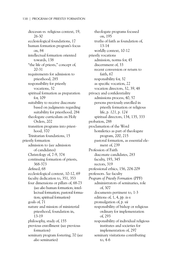diocesan *vs.* religious context, 19, 26-30 ecclesiological foundations, 17 human formation program's focus on, 84 intellectual formation oriented towards, 138 "the life of priests," concept of, 20-31 requirements for admission to priesthood, 285 responsibility for priestly vocations, 32 spiritual formation as preparation for, 109 suitability to receive diaconate based on judgments regarding suitability for priesthood, 284 theologate curriculum on Holy Orders, 202 transition programs into priesthood, 370 Trinitarian foundations, 15 priestly formation admission to (*see* admission of candidates) Christology of, 7-9, 374 continuing formation of priests, 368-373 defined, 68 ecclesiological context, 10-12, 69 faculty dedication to, 351, 353 four dimensions or pillars of, 68-73 (*see also* human formation; intellectual formation; pastoral formation; spiritual formation) goals of, 71 nature and mission of ministerial priesthood, foundation in, 13-19 philosophy, study of, 155 previous enrollment (*see* previous formation) seminary program fostering, 70 (*see also* seminaries)

theologate programs focused on, 195 truths of faith as foundation of, 13-14 worldly context, 10-12 priestly vocations admission, norms for, 45 discernment of, 33 recent conversion or return to faith, 67 responsibility for, 32 as specific vocation, 22 vocation directors, 32, 39, 48 privacy and confidentiality admissions process, 40, 57 persons previously enrolled in priestly formation or religious life, *p. 121, p. 124* spiritual directors, 134, 135, 333 probation, 288 proclamation of the Word homiletics as part of theologate program, 200, 215 pastoral formation, as essential element of, 239 Profession of Faith diaconate candidates, 283 faculty, 193, 345 rectors, 319 professional ethics, 156, 204-209 professors. *See* faculty *Program of Priestly Formation* (PPF) administrators of seminaries, role of, 307 documents pertinent to, 1-3 editions of, 1, 4, *pp. ix-x* promulgation of, *p. vii* responsibility of bishop or religious ordinary for implementation of, 293 responsibility of individual religious institutes and societies for implementation of, 297 seminary visitations contributing to, 4-6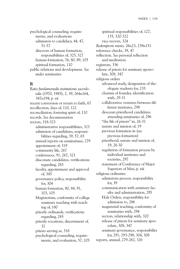psychological counseling, requirements, and evaluations admission to candidacy, 44, 47, 51-57 directors of human formation, responsibilities of, 325, 327 human formation, 76, 80, 89, 105 spiritual formation, 110 public relations and development. *See under* seminaries

#### **R**

*Ratio fundamentalis institutionis sacerdotalis* (1970, 1985), 2, 39, 264n164, 347n194, *p. vii* recent conversion or return to faith, 67 recollection, days of, 110, 122 reconciliation, fostering spirit of, 110 records. *See* documentation rectors, 318-323 administrative responsibilities, 323 admission of candidates, responsibilities regarding, 39, 57, 65 annual reports on seminarians, 279 appointment of, 319 community life, 267 conferences, 91, 267, 321 diaconate candidates, verifications regarding, 283 faculty, appointment and approval of, 345 governance policy, responsibility for, 304 human formation, 80, 84, 91, 103, 105 Magisterium, conformity of college seminary teaching with teaching of, 180 priestly ordinands, verifications regarding, 285 priestly vocations, discernment of, 32 priests serving as, 318 psychological counseling, requirements, and evaluation, 57, 105

spiritual responsibilities of, 127, 135, 320-322 vice-rectors, 324 *Redemptoris missio,* 26n23, 239n151 reference checks, 39, 47 reflection. *See* personal reflection and meditation registrars, 336 release of priests for seminary apostolate, 308, 347 religious orders advanced study, designation of theologate students for, 235 charism of founder, identification with, 29-31 collaborative ventures between different institutes, 298 diocesan priesthood candidates attending seminaries of, 296 "the life of priests" in, 26-31 nature and mission of, 19 previous formation in (*see* previous formation) priesthood, nature and mission of, 19, 26-30 regulation of formation process by individual institutes and societies, 297 statement of Conference of Major Superiors of Men, *p. viii* religious ordinaries admissions process, responsibility for, 39 communication with seminary faculty and administration, 295 Holy Orders, responsibility for admission to, 286 magisterial teaching, conformity of seminaries with, 294 rectors, relationship with, 320 release of priests for seminary apostolate, 308, 347 seminary governance, responsibility for, 291, 293-298, 304, 308 reports, annual, 279-282, 326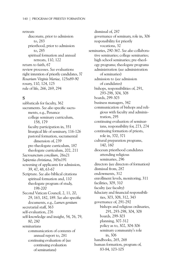retreats diaconate, prior to admission to, 283 priesthood, prior to admission to, 285 spiritual formation and annual retreats, 110, 122 return to faith, 67 review processes. *See* evaluations right intention of priestly candidates, 37 *Rosarium Virginis Mariae,* 125n89-90 rosary, 110, 124, 125 rule of life, 266, 269, 294

### **S**

sabbaticals for faculty, 362 sacraments. *See also* specific sacraments, e.g., Penance college seminary curriculum, 158, 179 faculty participation in, 351 liturgical life of seminary, 116-126 pastoral formation, sacramental dimension of, 239 pre-theologate curriculum, 187 theologate curriculum, 202, 211 *Sacrosanctum concilium,* 26n21 *Sapientia christiana,* 345n191 screening of applicants for admission, 39, 47, 48, 63-67 Scripture. *See also* biblical citations spiritual formation and, 110 theologate program of study, 198-200 Second Vatican Council, 2, 11, 20, 29, 163, 182, 189. *See also* specific documents, e.g., *Lumen gentium* secretarial staff, 363 self-evaluation, 276 self-knowledge and insight, 54, 76, 79, 80, 280 seminarians communication of contents of annual report to, 281 continuing evaluation of (*see* continuing evaluation of seminarians)

dismissal of, 287 governance of seminary, role in, 306 responsibility for priestly vocations, 32 seminaries, 290-367. *See also* collaborative seminaries; college seminaries; high school seminaries; pre-theology programs; theologate programs administration (*see* administration of seminaries) admission to (*see* admission of candidates) bishops, responsibilities of, 291, 293-298, 304, 308 boards, 299-303 business managers, 342 communication of bishops and religious with faculty and administration, 295 continuing evaluation of seminarians, responsibility for, 273, 274 continuing formation of priests, role in, 370, 371 cultural preparation programs, 140, 160 diocesan priesthood candidates attending religious seminaries, 296 directors (*see* directors of formation) dismissal from, 287 endowments, 312 enrollment levels, monitoring, 311 facilities, 309, 310 faculty (*see* faculty) fiduciary and financial responsibilities, 303, 308, 312, 343 governance of, 291-292 bishops and religious ordinaries, 291, 293-298, 304, 308 boards, 299-303 planning, 307-312 policy as to, 302, 304-306 seminary community's role in, 306 handbooks, 265, 268 human formation, program of, 83-84, 103-105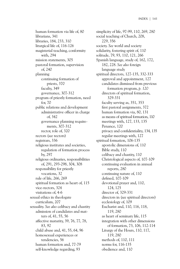human formation via life of, 80 librarians, 341 libraries, 184, 233, 310 liturgical life of, 116-126 magisterial teaching, conformity with, 294 mission statements, 305 pastoral formation, supervision of, 240 planning continuing formation of priests, 370 faculty, 349 governance, 307-312 program of priestly formation, need for, 70 public relations and development administrative officer in charge of, 342 governance planning requirements, 307-312 rector, role of, 320 rectors (*see* rectors) registrars, 336 religious institutes and societies, regulation of formation process by, 297 religious ordinaries, responsibilities of, 291, 293-298, 304, 308 responsibility for priestly vocations, 32 rule of life, 266, 269 spiritual formation as heart of, 115 vice-rectors, 324 visitations of, 4-6 sexual ethics in theologate curriculum, 207 sexuality. *See also* celibacy and chastity admission of candidates and matters of, 41, 55, 56 affective maturity, 39, 76, 77, 78, 83, 92 child abuse and, 41, 55, 64, 96 homosexual experiences or tendencies, 56 human formation and, 77-79 self-knowledge regarding, 93

simplicity of life, 97-99, 110, 269, 280 social teaching of Church, 208, 229, 356 society. *See* world and society solidarity, fostering spirit of, 110 solitude, 79, 93, 110, 121, 266 Spanish language, study of, 162, 172, 182, 228. *See also* foreign language study spiritual directors, 127-135, 332-333 approval and appointment, 127 candidates dismissed from previous formation program, *p. 120* directors of spiritual formation, 329-331 faculty serving as, 351, 353 first pastoral assignments, 372 human formation via, 80, 131 as means of spiritual formation, 110 meetings with, 127, 133, 135 Penance, 120 privacy and confidentiality, 134, 135 regular meetings with, 127 spiritual formation, 106-135 apostolic dimensions of, 110 Bible study, 110 celibacy and chastity, 110 Christological aspects of, 107-109 continuing evaluation in annual reports, 280 continuing nature of, 110 defined, 107-109 devotional prayer and, 110, 124, 125 director of, 329-331 directors in (*see* spiritual directors) ecclesiology of, 109 Eucharist and, 110, 116, 118, 119, 280 as heart of seminary life, 115 integration with other dimensions of formation, 73, 106, 112-114 Liturgy of the Hours, 110, 117, 119, 280 methods of, 110, 111 norms for, 116-135 obedience and, 110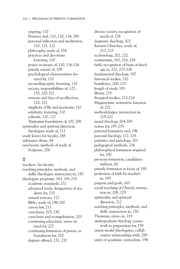ongoing, 110 Penance and, 110, 120, 134, 280 personal reflection and meditation, 110, 121, 122 philosophy, study of, 154 practices and devotions fostering, 110 prayer as means of, 110, 116-126 priestly nature of, 109 psychological characteristics fostered by, 110 reconciling spirit, fostering, 110 rectors, responsibilities of, 127, 135, 320-322 retreats and days of recollection, 110, 122 simplicity of life and asceticism, 110 solidarity, fostering, 110 solitude, 110, 121 Trinitarian foundations of, 107, 108 spirituality and spiritual direction, theologate study of, 212 study leaves for faculty, 288 substance abuse, 64 synchronic methods of study of Scripture, 200

#### **T**

teachers. *See* faculty teaching principles, methods, and skills, theologate instruction in, 230 theologate programs, 163, 191-235 academic standards, 232 advanced study, designation of students for, 235 annual retreats, 122 Bible, study of, 198-200 canon law, 211 catechesis, 203, 230 catechesis and evangelization, 203 continuing education, stress on need for, 227 continuing formation of priests, as foundation for, 370 degrees offered, 231, 232

diverse society, recognition of needs of, 228 dogmatic theology, 202 Eastern Churches, study of, 211, 223 ecclesiology, 202, 222 ecumenism, 163, 216, 224 faith, recognition of basis of theology in, 222, 225-226 fundamental theology, 197 historical studies, 210 homiletics, 200, 215 length of study, 191 library, 233 liturgical studies, 213-214 Magisterium, normative function of, 222 methodologies, instruction in, 219-221 moral theology, 204-209 norms for, 191-235 pastoral formation and, 196 pastoral theology, 217, 218 patristics and patrology, 201 pedagogical methods, 234 philosophical formation required for, 192 previous formation, candidates without, 60 priestly formation as focus of, 195 profession of faith by teachers in, 193 purpose and goals, 163 social teaching of Church, instruction in, 208, 229 spirituality and spiritual direction, 212 teaching principles, methods, and skills, instruction in, 230 Thomism, stress on, 219 undergraduate theology coursework as preparation for, 159 union-model theologates, collaborative relationships with, 289 unity of academic curriculum, 194